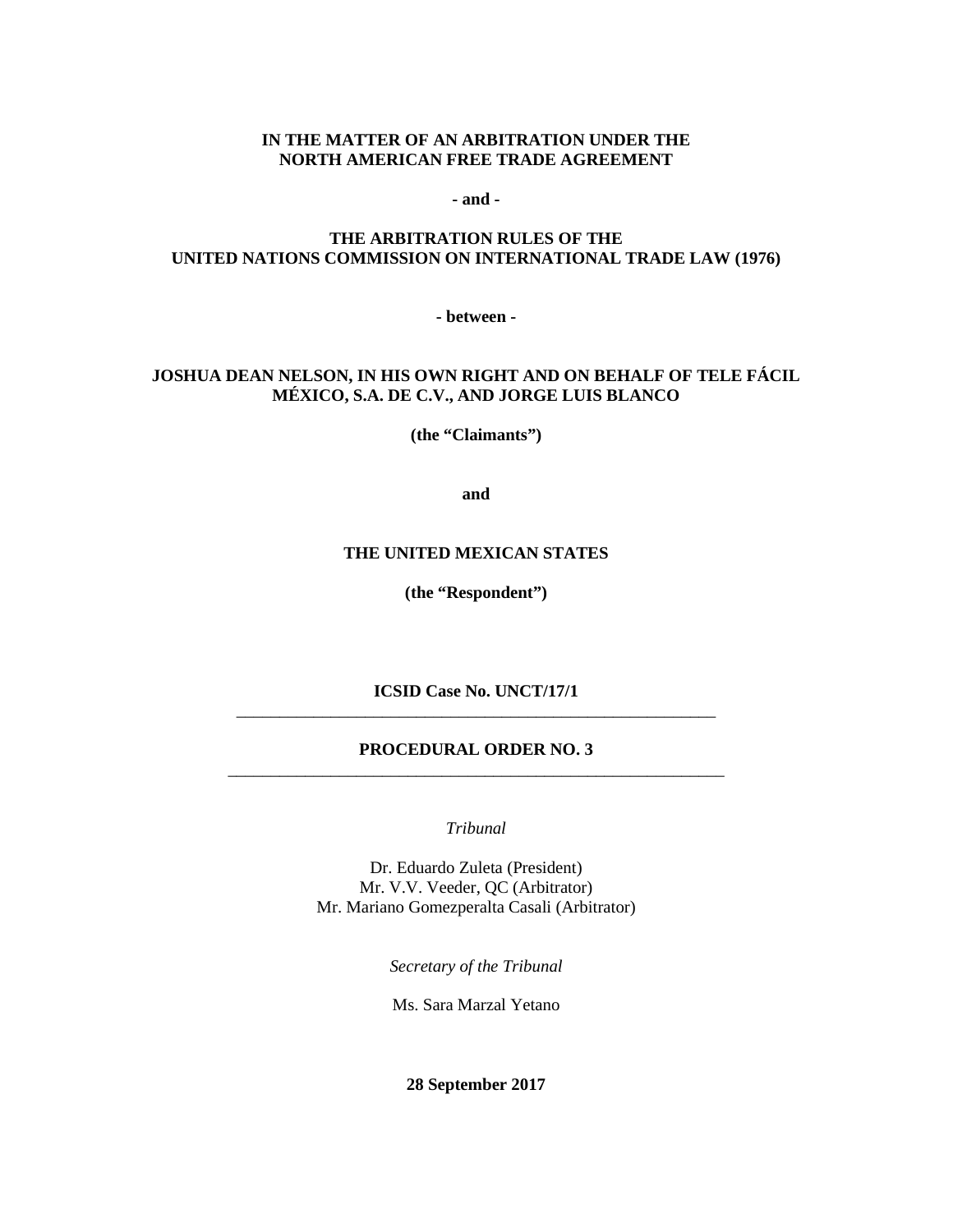#### **IN THE MATTER OF AN ARBITRATION UNDER THE NORTH AMERICAN FREE TRADE AGREEMENT**

**- and -**

#### **THE ARBITRATION RULES OF THE UNITED NATIONS COMMISSION ON INTERNATIONAL TRADE LAW (1976)**

**- between -**

#### **JOSHUA DEAN NELSON, IN HIS OWN RIGHT AND ON BEHALF OF TELE FÁCIL MÉXICO, S.A. DE C.V., AND JORGE LUIS BLANCO**

**(the "Claimants")**

**and**

#### **THE UNITED MEXICAN STATES**

**(the "Respondent")**

**ICSID Case No. UNCT/17/1** \_\_\_\_\_\_\_\_\_\_\_\_\_\_\_\_\_\_\_\_\_\_\_\_\_\_\_\_\_\_\_\_\_\_\_\_\_\_\_\_\_\_\_\_\_\_\_\_\_\_\_\_\_\_\_\_

#### **PROCEDURAL ORDER NO. 3** \_\_\_\_\_\_\_\_\_\_\_\_\_\_\_\_\_\_\_\_\_\_\_\_\_\_\_\_\_\_\_\_\_\_\_\_\_\_\_\_\_\_\_\_\_\_\_\_\_\_\_\_\_\_\_\_\_\_

*Tribunal*

Dr. Eduardo Zuleta (President) Mr. V.V. Veeder, QC (Arbitrator) Mr. Mariano Gomezperalta Casali (Arbitrator)

*Secretary of the Tribunal*

Ms. Sara Marzal Yetano

**28 September 2017**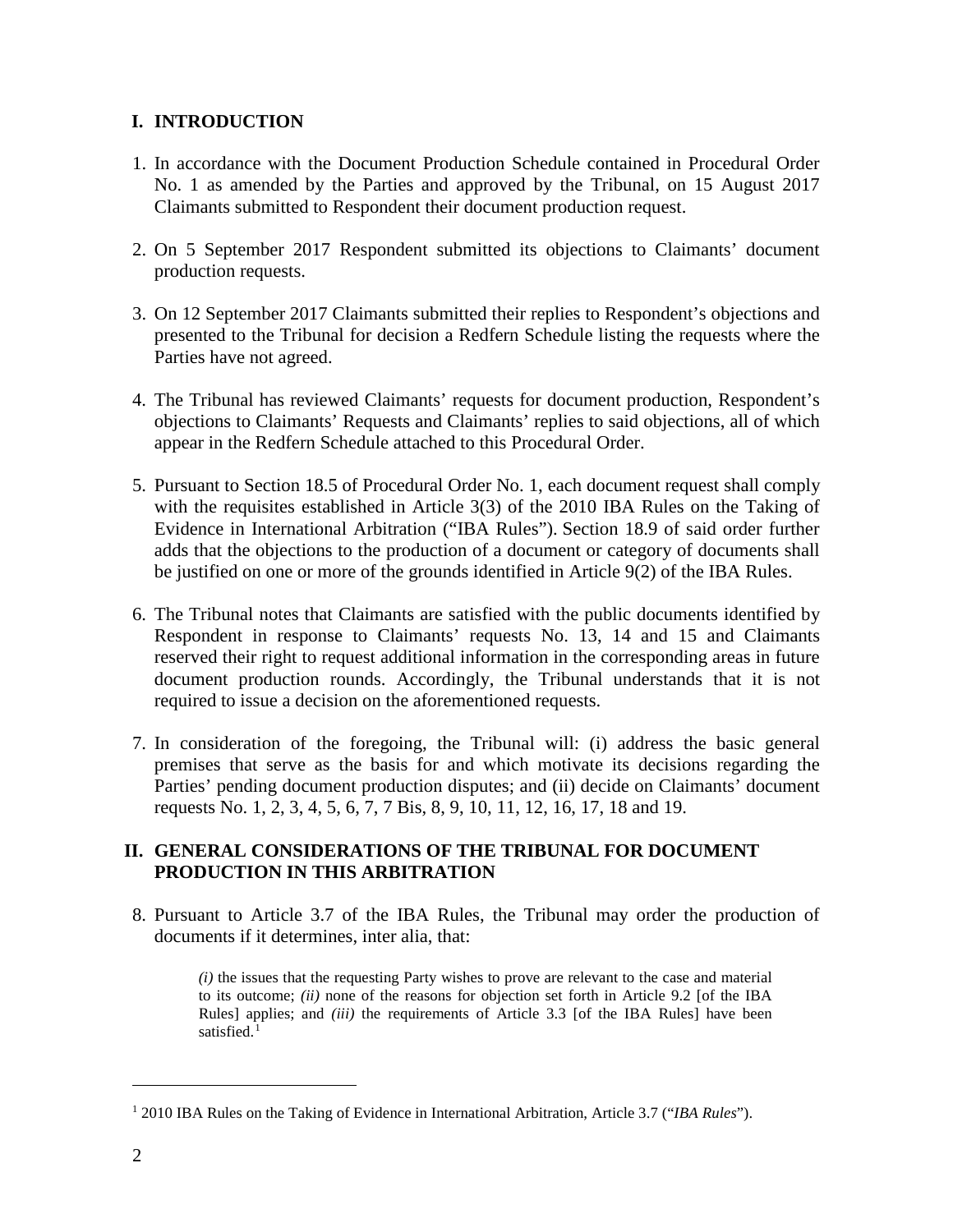# **I. INTRODUCTION**

- 1. In accordance with the Document Production Schedule contained in Procedural Order No. 1 as amended by the Parties and approved by the Tribunal, on 15 August 2017 Claimants submitted to Respondent their document production request.
- 2. On 5 September 2017 Respondent submitted its objections to Claimants' document production requests.
- 3. On 12 September 2017 Claimants submitted their replies to Respondent's objections and presented to the Tribunal for decision a Redfern Schedule listing the requests where the Parties have not agreed.
- 4. The Tribunal has reviewed Claimants' requests for document production, Respondent's objections to Claimants' Requests and Claimants' replies to said objections, all of which appear in the Redfern Schedule attached to this Procedural Order.
- 5. Pursuant to Section 18.5 of Procedural Order No. 1, each document request shall comply with the requisites established in Article 3(3) of the 2010 IBA Rules on the Taking of Evidence in International Arbitration ("IBA Rules"). Section 18.9 of said order further adds that the objections to the production of a document or category of documents shall be justified on one or more of the grounds identified in Article 9(2) of the IBA Rules.
- 6. The Tribunal notes that Claimants are satisfied with the public documents identified by Respondent in response to Claimants' requests No. 13, 14 and 15 and Claimants reserved their right to request additional information in the corresponding areas in future document production rounds. Accordingly, the Tribunal understands that it is not required to issue a decision on the aforementioned requests.
- 7. In consideration of the foregoing, the Tribunal will: (i) address the basic general premises that serve as the basis for and which motivate its decisions regarding the Parties' pending document production disputes; and (ii) decide on Claimants' document requests No. 1, 2, 3, 4, 5, 6, 7, 7 Bis, 8, 9, 10, 11, 12, 16, 17, 18 and 19.

## **II. GENERAL CONSIDERATIONS OF THE TRIBUNAL FOR DOCUMENT PRODUCTION IN THIS ARBITRATION**

8. Pursuant to Article 3.7 of the IBA Rules, the Tribunal may order the production of documents if it determines, inter alia, that:

*(i)* the issues that the requesting Party wishes to prove are relevant to the case and material to its outcome; *(ii)* none of the reasons for objection set forth in Article 9.2 [of the IBA Rules] applies; and *(iii)* the requirements of Article 3.3 [of the IBA Rules] have been satisfied.<sup>[1](#page-1-0)</sup>

<span id="page-1-0"></span><sup>1</sup> 2010 IBA Rules on the Taking of Evidence in International Arbitration, Article 3.7 ("*IBA Rules*").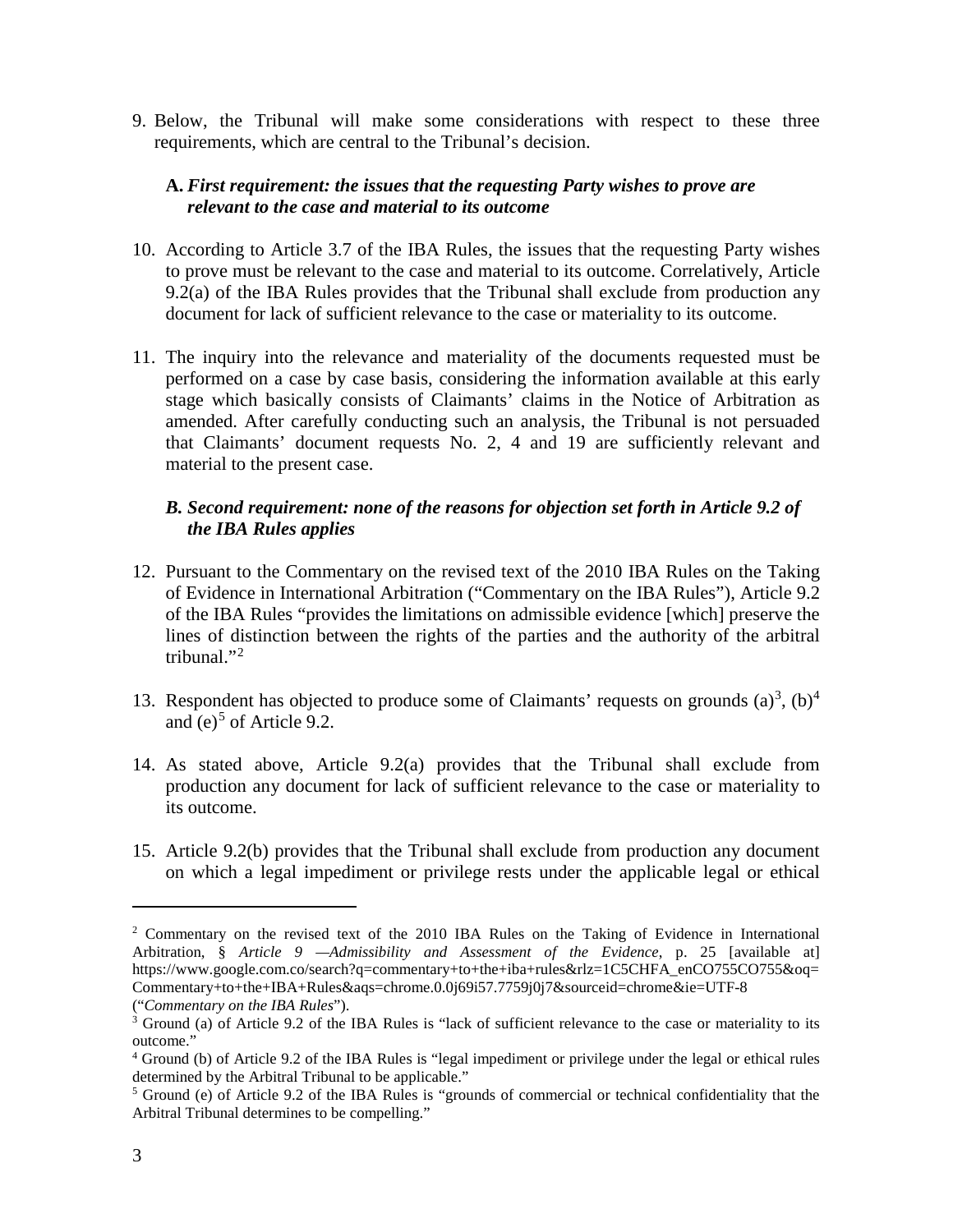9. Below, the Tribunal will make some considerations with respect to these three requirements, which are central to the Tribunal's decision.

### **A.** *First requirement: the issues that the requesting Party wishes to prove are relevant to the case and material to its outcome*

- 10. According to Article 3.7 of the IBA Rules, the issues that the requesting Party wishes to prove must be relevant to the case and material to its outcome. Correlatively, Article 9.2(a) of the IBA Rules provides that the Tribunal shall exclude from production any document for lack of sufficient relevance to the case or materiality to its outcome.
- 11. The inquiry into the relevance and materiality of the documents requested must be performed on a case by case basis, considering the information available at this early stage which basically consists of Claimants' claims in the Notice of Arbitration as amended. After carefully conducting such an analysis, the Tribunal is not persuaded that Claimants' document requests No. 2, 4 and 19 are sufficiently relevant and material to the present case.

# *B. Second requirement: none of the reasons for objection set forth in Article 9.2 of the IBA Rules applies*

- 12. Pursuant to the Commentary on the revised text of the 2010 IBA Rules on the Taking of Evidence in International Arbitration ("Commentary on the IBA Rules"), Article 9.2 of the IBA Rules "provides the limitations on admissible evidence [which] preserve the lines of distinction between the rights of the parties and the authority of the arbitral tribunal."[2](#page-2-0)
- 1[3](#page-2-1). Respondent has objected to produce some of Claimants' requests on grounds  $(a)^3$ ,  $(b)^4$  $(b)^4$ and (e)<sup>[5](#page-2-3)</sup> of Article 9.2.
- 14. As stated above, Article 9.2(a) provides that the Tribunal shall exclude from production any document for lack of sufficient relevance to the case or materiality to its outcome.
- 15. Article 9.2(b) provides that the Tribunal shall exclude from production any document on which a legal impediment or privilege rests under the applicable legal or ethical

<span id="page-2-0"></span><sup>2</sup> Commentary on the revised text of the 2010 IBA Rules on the Taking of Evidence in International Arbitration, § *Article 9 —Admissibility and Assessment of the Evidence*, p. 25 [available at] https://www.google.com.co/search?q=commentary+to+the+iba+rules&rlz=1C5CHFA\_enCO755CO755&oq= Commentary+to+the+IBA+Rules&aqs=chrome.0.0j69i57.7759j0j7&sourceid=chrome&ie=UTF-8

<sup>(&</sup>quot;*Commentary on the IBA Rules*").

<span id="page-2-1"></span><sup>&</sup>lt;sup>3</sup> Ground (a) of Article 9.2 of the IBA Rules is "lack of sufficient relevance to the case or materiality to its outcome."

<span id="page-2-2"></span><sup>4</sup> Ground (b) of Article 9.2 of the IBA Rules is "legal impediment or privilege under the legal or ethical rules determined by the Arbitral Tribunal to be applicable."

<span id="page-2-3"></span><sup>5</sup> Ground (e) of Article 9.2 of the IBA Rules is "grounds of commercial or technical confidentiality that the Arbitral Tribunal determines to be compelling."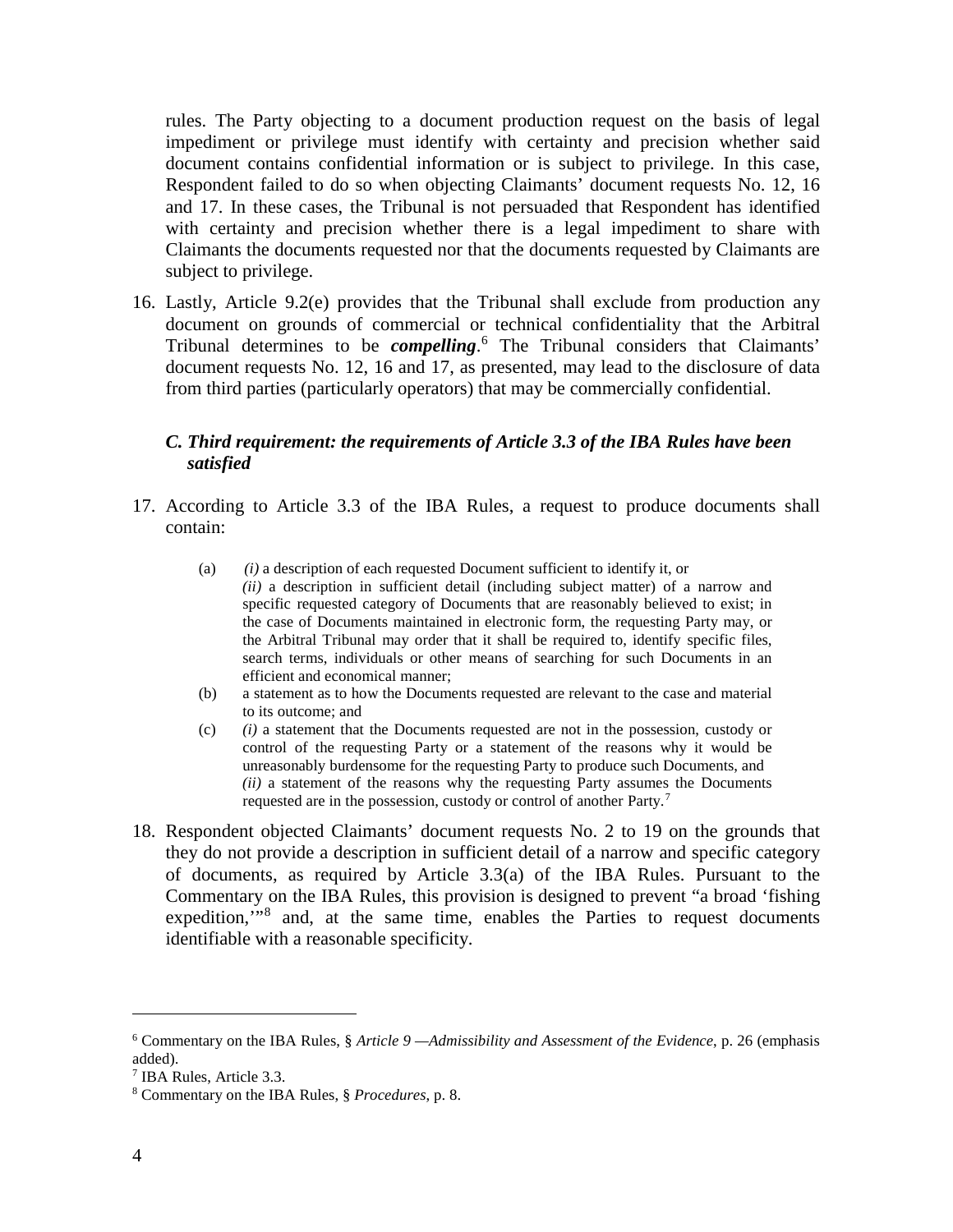rules. The Party objecting to a document production request on the basis of legal impediment or privilege must identify with certainty and precision whether said document contains confidential information or is subject to privilege. In this case, Respondent failed to do so when objecting Claimants' document requests No. 12, 16 and 17. In these cases, the Tribunal is not persuaded that Respondent has identified with certainty and precision whether there is a legal impediment to share with Claimants the documents requested nor that the documents requested by Claimants are subject to privilege.

16. Lastly, Article 9.2(e) provides that the Tribunal shall exclude from production any document on grounds of commercial or technical confidentiality that the Arbitral Tribunal determines to be *compelling*. [6](#page-3-0) The Tribunal considers that Claimants' document requests No. 12, 16 and 17, as presented, may lead to the disclosure of data from third parties (particularly operators) that may be commercially confidential.

#### *C. Third requirement: the requirements of Article 3.3 of the IBA Rules have been satisfied*

- 17. According to Article 3.3 of the IBA Rules, a request to produce documents shall contain:
	- (a) *(i)* a description of each requested Document sufficient to identify it, or *(ii)* a description in sufficient detail (including subject matter) of a narrow and specific requested category of Documents that are reasonably believed to exist; in the case of Documents maintained in electronic form, the requesting Party may, or the Arbitral Tribunal may order that it shall be required to, identify specific files, search terms, individuals or other means of searching for such Documents in an efficient and economical manner;
	- (b) a statement as to how the Documents requested are relevant to the case and material to its outcome; and
	- (c) *(i)* a statement that the Documents requested are not in the possession, custody or control of the requesting Party or a statement of the reasons why it would be unreasonably burdensome for the requesting Party to produce such Documents, and *(ii)* a statement of the reasons why the requesting Party assumes the Documents requested are in the possession, custody or control of another Party.[7](#page-3-1)
- 18. Respondent objected Claimants' document requests No. 2 to 19 on the grounds that they do not provide a description in sufficient detail of a narrow and specific category of documents, as required by Article 3.3(a) of the IBA Rules. Pursuant to the Commentary on the IBA Rules, this provision is designed to prevent "a broad 'fishing expedition,"<sup>[8](#page-3-2)</sup> and, at the same time, enables the Parties to request documents identifiable with a reasonable specificity.

<span id="page-3-0"></span><sup>6</sup> Commentary on the IBA Rules, § *Article 9 —Admissibility and Assessment of the Evidence*, p. 26 (emphasis added).

<sup>7</sup> IBA Rules, Article 3.3.

<span id="page-3-2"></span><span id="page-3-1"></span><sup>8</sup> Commentary on the IBA Rules, § *Procedures*, p. 8.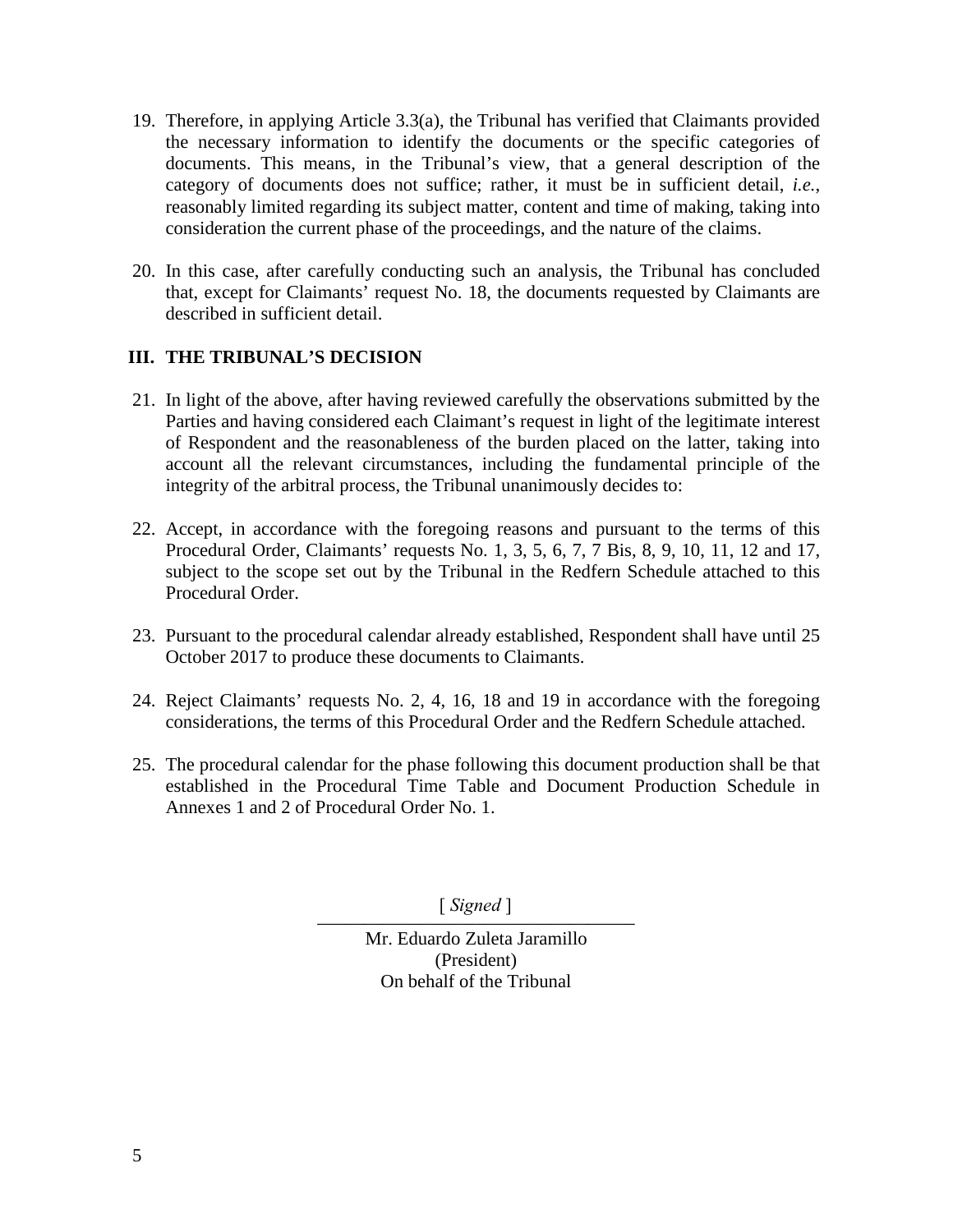- 19. Therefore, in applying Article 3.3(a), the Tribunal has verified that Claimants provided the necessary information to identify the documents or the specific categories of documents. This means, in the Tribunal's view, that a general description of the category of documents does not suffice; rather, it must be in sufficient detail, *i.e.*, reasonably limited regarding its subject matter, content and time of making, taking into consideration the current phase of the proceedings, and the nature of the claims.
- 20. In this case, after carefully conducting such an analysis, the Tribunal has concluded that, except for Claimants' request No. 18, the documents requested by Claimants are described in sufficient detail.

## **III. THE TRIBUNAL'S DECISION**

- 21. In light of the above, after having reviewed carefully the observations submitted by the Parties and having considered each Claimant's request in light of the legitimate interest of Respondent and the reasonableness of the burden placed on the latter, taking into account all the relevant circumstances, including the fundamental principle of the integrity of the arbitral process, the Tribunal unanimously decides to:
- 22. Accept, in accordance with the foregoing reasons and pursuant to the terms of this Procedural Order, Claimants' requests No. 1, 3, 5, 6, 7, 7 Bis, 8, 9, 10, 11, 12 and 17, subject to the scope set out by the Tribunal in the Redfern Schedule attached to this Procedural Order.
- 23. Pursuant to the procedural calendar already established, Respondent shall have until 25 October 2017 to produce these documents to Claimants.
- 24. Reject Claimants' requests No. 2, 4, 16, 18 and 19 in accordance with the foregoing considerations, the terms of this Procedural Order and the Redfern Schedule attached.
- 25. The procedural calendar for the phase following this document production shall be that established in the Procedural Time Table and Document Production Schedule in Annexes 1 and 2 of Procedural Order No. 1.

 $\left[ \begin{array}{c} \text{log} \text{max} \\ \text{log} \text{max} \end{array} \right]$ [ *Signed* ]

> Mr. Eduardo Zuleta Jaramillo (President) On behalf of the Tribunal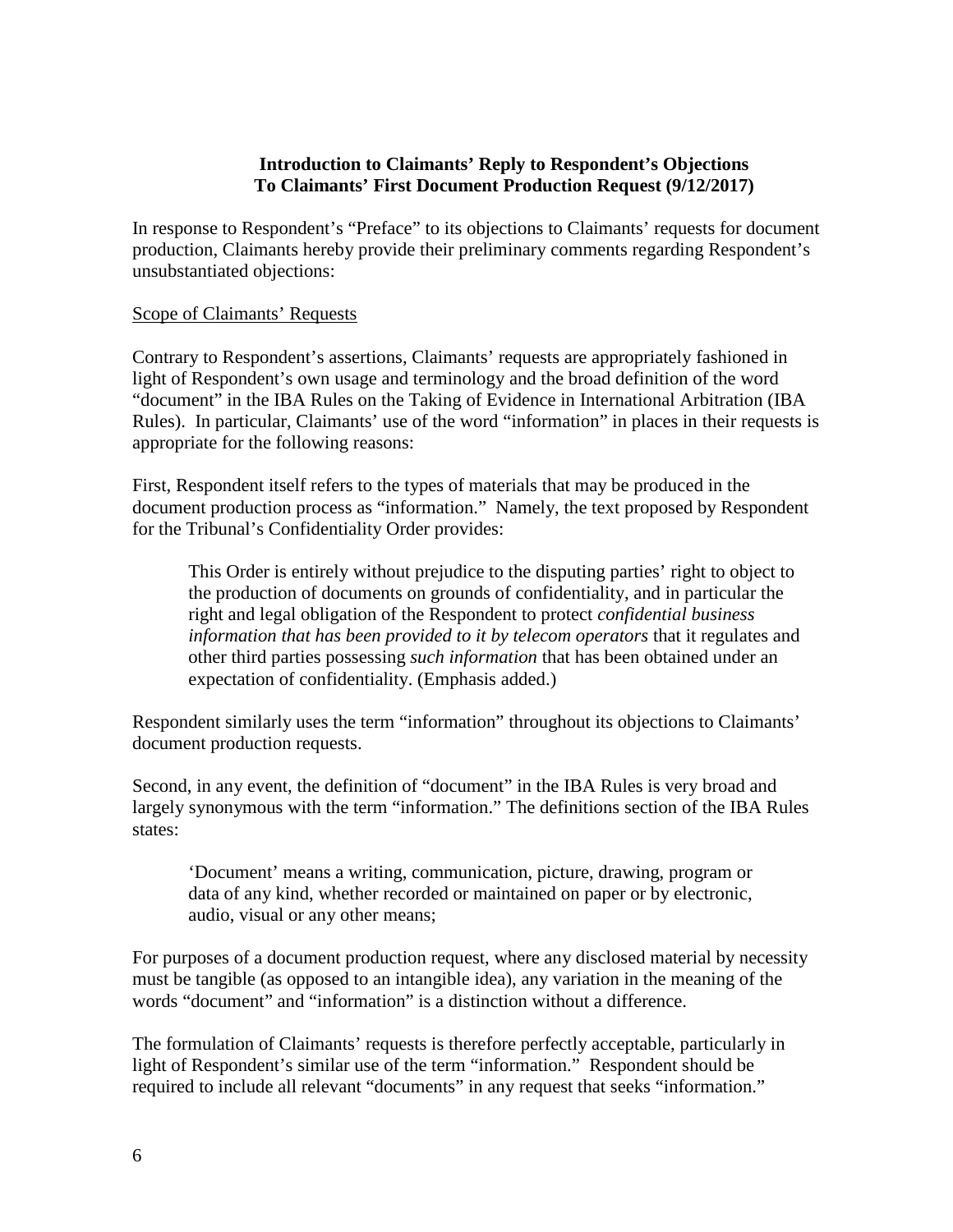#### **Introduction to Claimants' Reply to Respondent's Objections To Claimants' First Document Production Request (9/12/2017)**

In response to Respondent's "Preface" to its objections to Claimants' requests for document production, Claimants hereby provide their preliminary comments regarding Respondent's unsubstantiated objections:

#### Scope of Claimants' Requests

Contrary to Respondent's assertions, Claimants' requests are appropriately fashioned in light of Respondent's own usage and terminology and the broad definition of the word "document" in the IBA Rules on the Taking of Evidence in International Arbitration (IBA Rules). In particular, Claimants' use of the word "information" in places in their requests is appropriate for the following reasons:

First, Respondent itself refers to the types of materials that may be produced in the document production process as "information." Namely, the text proposed by Respondent for the Tribunal's Confidentiality Order provides:

This Order is entirely without prejudice to the disputing parties' right to object to the production of documents on grounds of confidentiality, and in particular the right and legal obligation of the Respondent to protect *confidential business information that has been provided to it by telecom operators* that it regulates and other third parties possessing *such information* that has been obtained under an expectation of confidentiality. (Emphasis added.)

Respondent similarly uses the term "information" throughout its objections to Claimants' document production requests.

Second, in any event, the definition of "document" in the IBA Rules is very broad and largely synonymous with the term "information." The definitions section of the IBA Rules states:

'Document' means a writing, communication, picture, drawing, program or data of any kind, whether recorded or maintained on paper or by electronic, audio, visual or any other means;

For purposes of a document production request, where any disclosed material by necessity must be tangible (as opposed to an intangible idea), any variation in the meaning of the words "document" and "information" is a distinction without a difference.

The formulation of Claimants' requests is therefore perfectly acceptable, particularly in light of Respondent's similar use of the term "information." Respondent should be required to include all relevant "documents" in any request that seeks "information."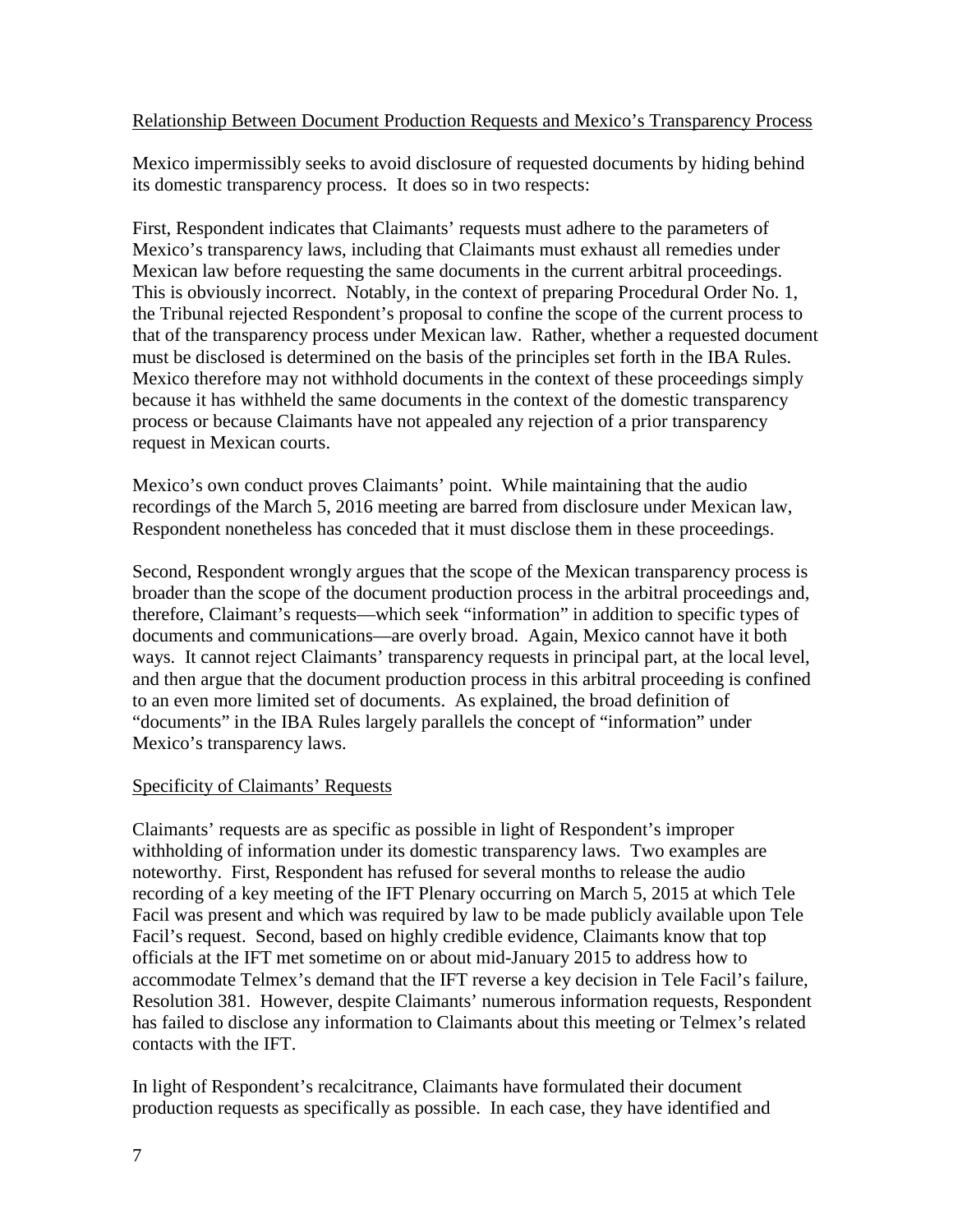#### Relationship Between Document Production Requests and Mexico's Transparency Process

Mexico impermissibly seeks to avoid disclosure of requested documents by hiding behind its domestic transparency process. It does so in two respects:

First, Respondent indicates that Claimants' requests must adhere to the parameters of Mexico's transparency laws, including that Claimants must exhaust all remedies under Mexican law before requesting the same documents in the current arbitral proceedings. This is obviously incorrect. Notably, in the context of preparing Procedural Order No. 1, the Tribunal rejected Respondent's proposal to confine the scope of the current process to that of the transparency process under Mexican law. Rather, whether a requested document must be disclosed is determined on the basis of the principles set forth in the IBA Rules. Mexico therefore may not withhold documents in the context of these proceedings simply because it has withheld the same documents in the context of the domestic transparency process or because Claimants have not appealed any rejection of a prior transparency request in Mexican courts.

Mexico's own conduct proves Claimants' point. While maintaining that the audio recordings of the March 5, 2016 meeting are barred from disclosure under Mexican law, Respondent nonetheless has conceded that it must disclose them in these proceedings.

Second, Respondent wrongly argues that the scope of the Mexican transparency process is broader than the scope of the document production process in the arbitral proceedings and, therefore, Claimant's requests—which seek "information" in addition to specific types of documents and communications—are overly broad. Again, Mexico cannot have it both ways. It cannot reject Claimants' transparency requests in principal part, at the local level, and then argue that the document production process in this arbitral proceeding is confined to an even more limited set of documents. As explained, the broad definition of "documents" in the IBA Rules largely parallels the concept of "information" under Mexico's transparency laws.

## Specificity of Claimants' Requests

Claimants' requests are as specific as possible in light of Respondent's improper withholding of information under its domestic transparency laws. Two examples are noteworthy. First, Respondent has refused for several months to release the audio recording of a key meeting of the IFT Plenary occurring on March 5, 2015 at which Tele Facil was present and which was required by law to be made publicly available upon Tele Facil's request. Second, based on highly credible evidence, Claimants know that top officials at the IFT met sometime on or about mid-January 2015 to address how to accommodate Telmex's demand that the IFT reverse a key decision in Tele Facil's failure, Resolution 381. However, despite Claimants' numerous information requests, Respondent has failed to disclose any information to Claimants about this meeting or Telmex's related contacts with the IFT.

In light of Respondent's recalcitrance, Claimants have formulated their document production requests as specifically as possible. In each case, they have identified and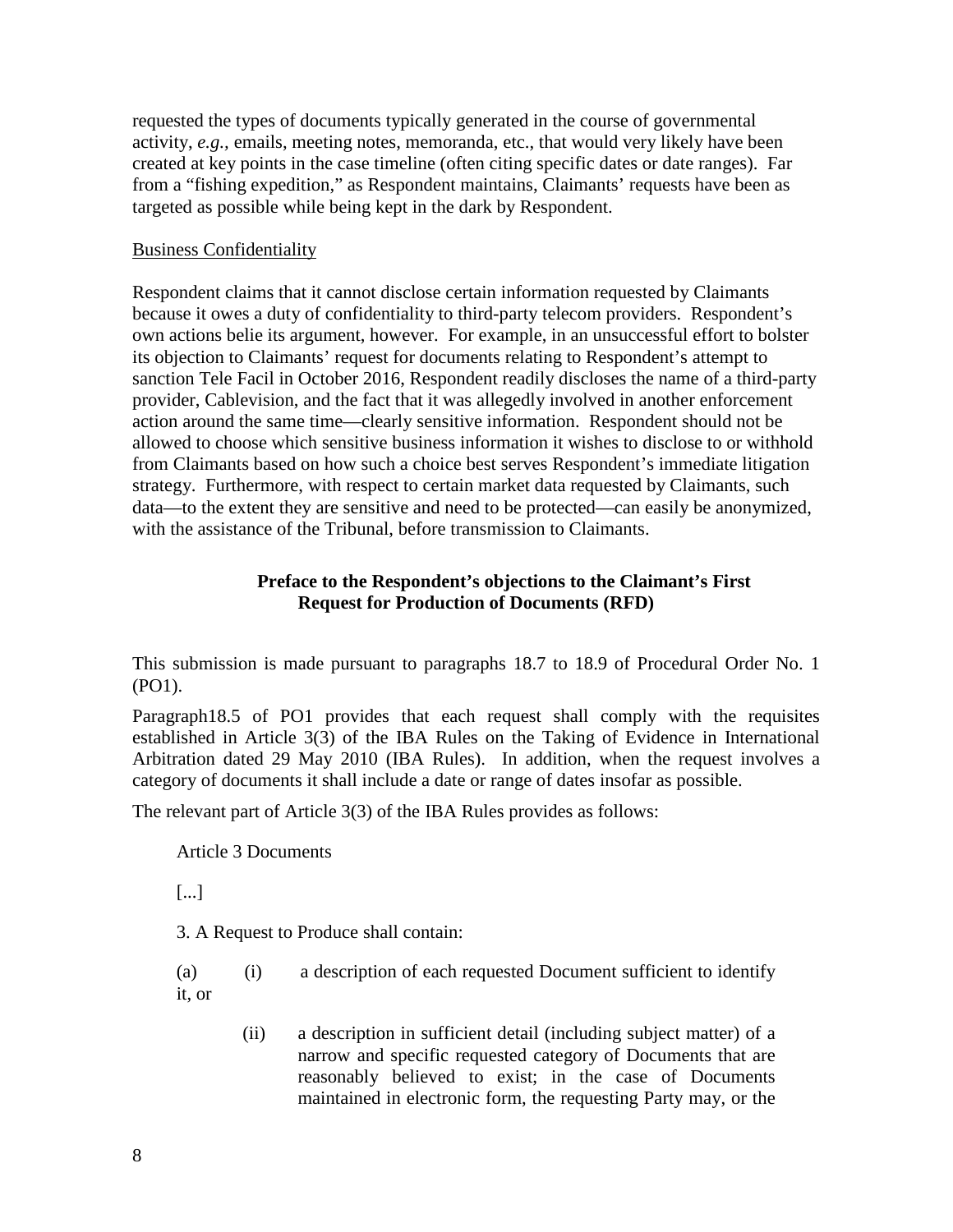requested the types of documents typically generated in the course of governmental activity, *e.g.,* emails, meeting notes, memoranda, etc., that would very likely have been created at key points in the case timeline (often citing specific dates or date ranges). Far from a "fishing expedition," as Respondent maintains, Claimants' requests have been as targeted as possible while being kept in the dark by Respondent.

### Business Confidentiality

Respondent claims that it cannot disclose certain information requested by Claimants because it owes a duty of confidentiality to third-party telecom providers. Respondent's own actions belie its argument, however. For example, in an unsuccessful effort to bolster its objection to Claimants' request for documents relating to Respondent's attempt to sanction Tele Facil in October 2016, Respondent readily discloses the name of a third-party provider, Cablevision, and the fact that it was allegedly involved in another enforcement action around the same time—clearly sensitive information. Respondent should not be allowed to choose which sensitive business information it wishes to disclose to or withhold from Claimants based on how such a choice best serves Respondent's immediate litigation strategy. Furthermore, with respect to certain market data requested by Claimants, such data—to the extent they are sensitive and need to be protected—can easily be anonymized, with the assistance of the Tribunal, before transmission to Claimants.

#### **Preface to the Respondent's objections to the Claimant's First Request for Production of Documents (RFD)**

This submission is made pursuant to paragraphs 18.7 to 18.9 of Procedural Order No. 1 (PO1).

Paragraph18.5 of PO1 provides that each request shall comply with the requisites established in Article 3(3) of the IBA Rules on the Taking of Evidence in International Arbitration dated 29 May 2010 (IBA Rules). In addition, when the request involves a category of documents it shall include a date or range of dates insofar as possible.

The relevant part of Article 3(3) of the IBA Rules provides as follows:

Article 3 Documents

[...]

3. A Request to Produce shall contain:

(a) (i) a description of each requested Document sufficient to identify it, or

> (ii) a description in sufficient detail (including subject matter) of a narrow and specific requested category of Documents that are reasonably believed to exist; in the case of Documents maintained in electronic form, the requesting Party may, or the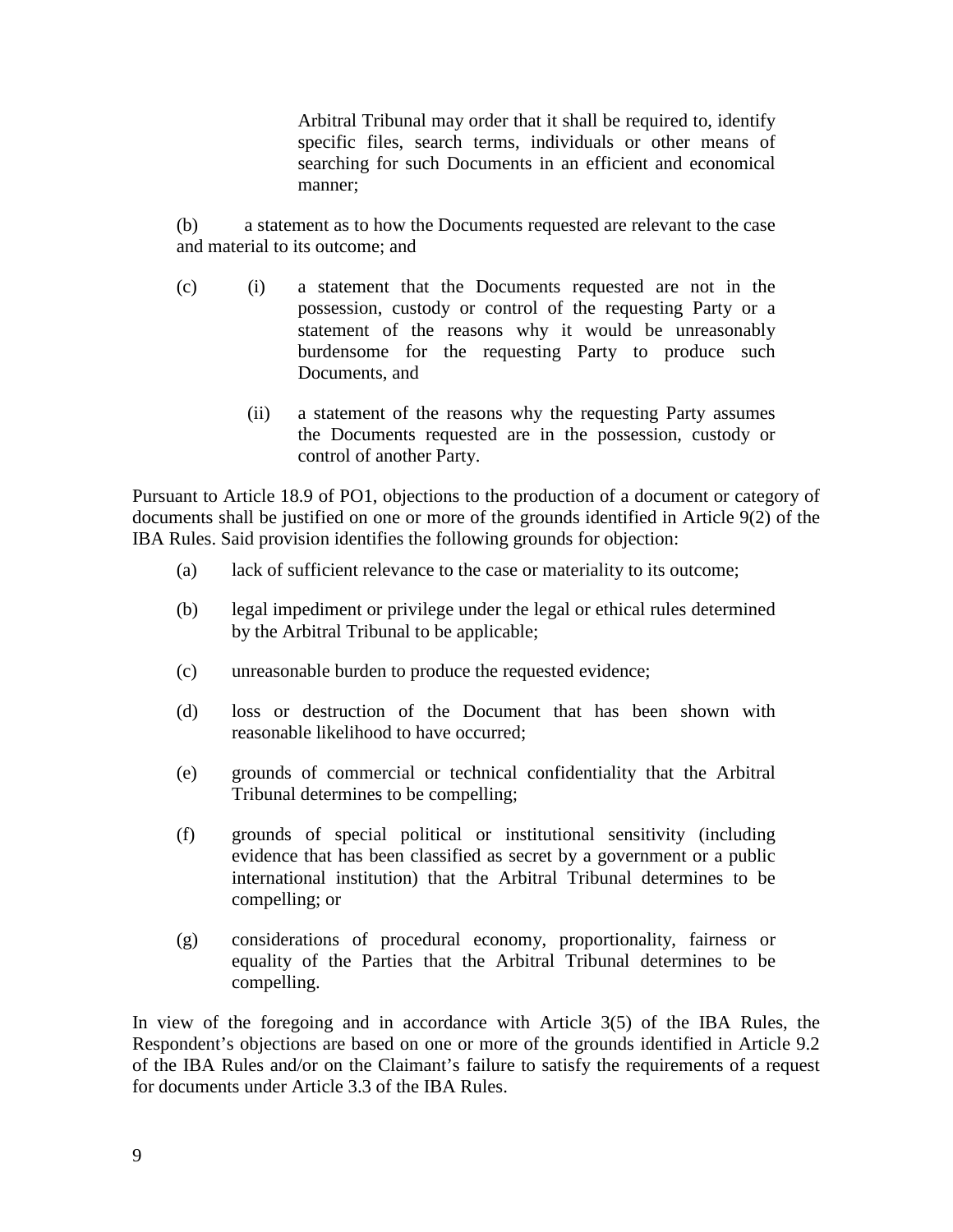Arbitral Tribunal may order that it shall be required to, identify specific files, search terms, individuals or other means of searching for such Documents in an efficient and economical manner;

(b) a statement as to how the Documents requested are relevant to the case and material to its outcome; and

- (c) (i) a statement that the Documents requested are not in the possession, custody or control of the requesting Party or a statement of the reasons why it would be unreasonably burdensome for the requesting Party to produce such Documents, and
	- (ii) a statement of the reasons why the requesting Party assumes the Documents requested are in the possession, custody or control of another Party.

Pursuant to Article 18.9 of PO1, objections to the production of a document or category of documents shall be justified on one or more of the grounds identified in Article 9(2) of the IBA Rules. Said provision identifies the following grounds for objection:

- (a) lack of sufficient relevance to the case or materiality to its outcome;
- (b) legal impediment or privilege under the legal or ethical rules determined by the Arbitral Tribunal to be applicable;
- (c) unreasonable burden to produce the requested evidence;
- (d) loss or destruction of the Document that has been shown with reasonable likelihood to have occurred;
- (e) grounds of commercial or technical confidentiality that the Arbitral Tribunal determines to be compelling;
- (f) grounds of special political or institutional sensitivity (including evidence that has been classified as secret by a government or a public international institution) that the Arbitral Tribunal determines to be compelling; or
- (g) considerations of procedural economy, proportionality, fairness or equality of the Parties that the Arbitral Tribunal determines to be compelling.

In view of the foregoing and in accordance with Article 3(5) of the IBA Rules, the Respondent's objections are based on one or more of the grounds identified in Article 9.2 of the IBA Rules and/or on the Claimant's failure to satisfy the requirements of a request for documents under Article 3.3 of the IBA Rules.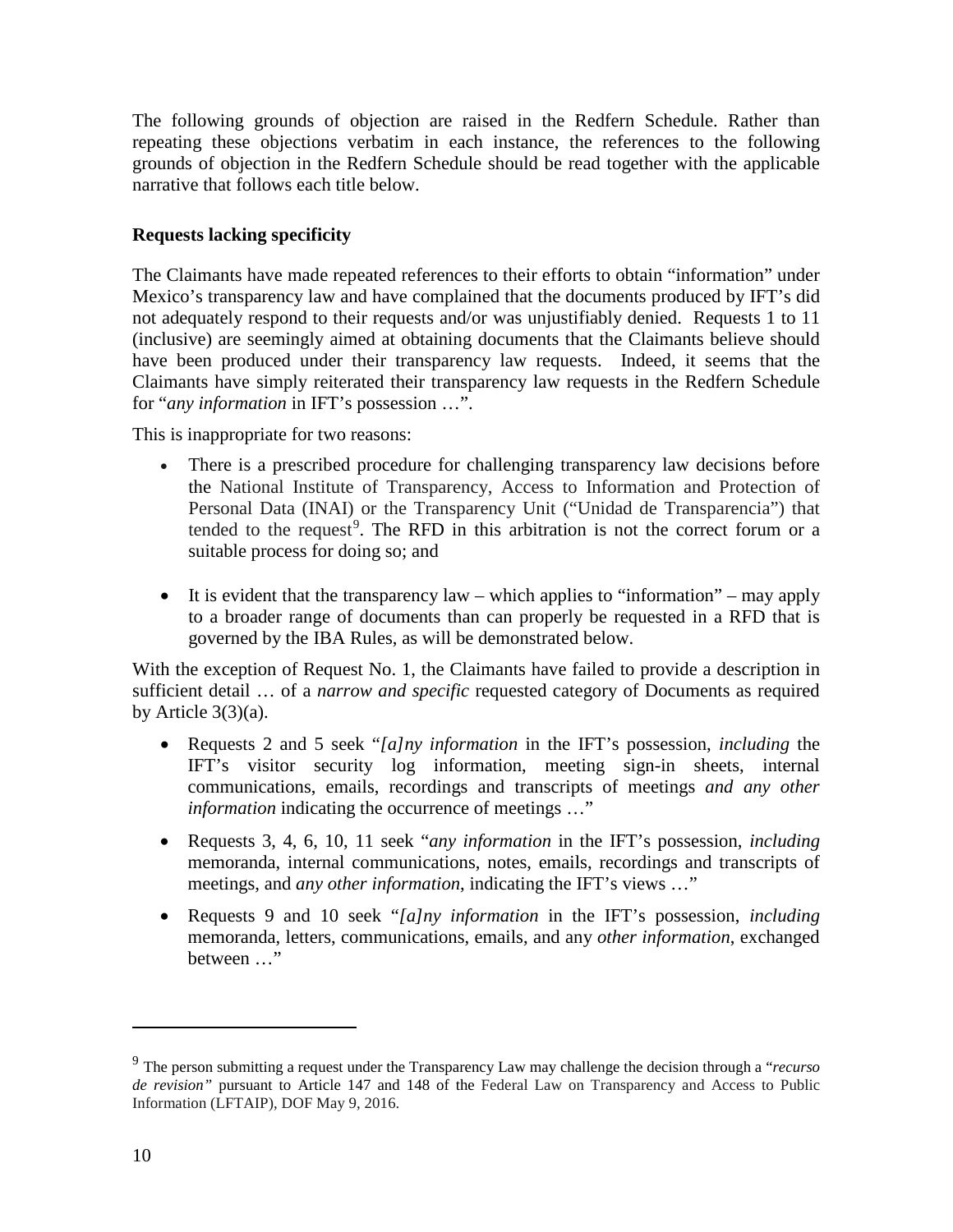The following grounds of objection are raised in the Redfern Schedule. Rather than repeating these objections verbatim in each instance, the references to the following grounds of objection in the Redfern Schedule should be read together with the applicable narrative that follows each title below.

# **Requests lacking specificity**

The Claimants have made repeated references to their efforts to obtain "information" under Mexico's transparency law and have complained that the documents produced by IFT's did not adequately respond to their requests and/or was unjustifiably denied. Requests 1 to 11 (inclusive) are seemingly aimed at obtaining documents that the Claimants believe should have been produced under their transparency law requests. Indeed, it seems that the Claimants have simply reiterated their transparency law requests in the Redfern Schedule for "*any information* in IFT's possession …".

This is inappropriate for two reasons:

- There is a prescribed procedure for challenging transparency law decisions before the National Institute of Transparency, Access to Information and Protection of Personal Data (INAI) or the Transparency Unit ("Unidad de Transparencia") that tended to the request<sup>[9](#page-9-0)</sup>. The RFD in this arbitration is not the correct forum or a suitable process for doing so; and
- It is evident that the transparency law which applies to "information" may apply to a broader range of documents than can properly be requested in a RFD that is governed by the IBA Rules, as will be demonstrated below.

With the exception of Request No. 1, the Claimants have failed to provide a description in sufficient detail … of a *narrow and specific* requested category of Documents as required by Article  $3(3)(a)$ .

- Requests 2 and 5 seek "*[a]ny information* in the IFT's possession, *including* the IFT's visitor security log information, meeting sign-in sheets, internal communications, emails, recordings and transcripts of meetings *and any other information* indicating the occurrence of meetings ..."
- Requests 3, 4, 6, 10, 11 seek "*any information* in the IFT's possession, *including* memoranda, internal communications, notes, emails, recordings and transcripts of meetings, and *any other information*, indicating the IFT's views ..."
- Requests 9 and 10 seek "*[a]ny information* in the IFT's possession, *including* memoranda, letters, communications, emails, and any *other information*, exchanged between …"

<span id="page-9-0"></span><sup>9</sup> The person submitting a request under the Transparency Law may challenge the decision through a "*recurso de revision"* pursuant to Article 147 and 148 of the Federal Law on Transparency and Access to Public Information (LFTAIP), DOF May 9, 2016.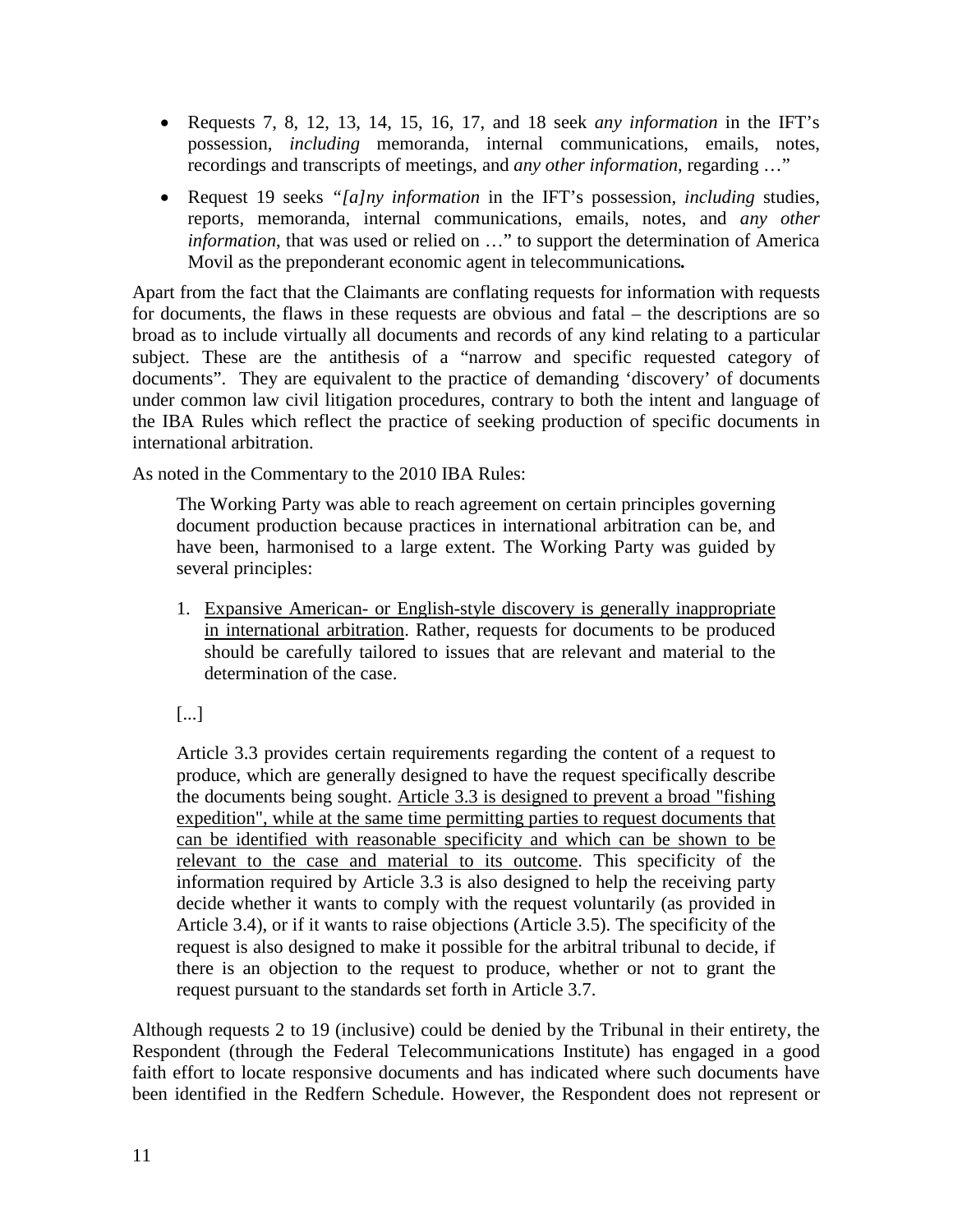- Requests 7, 8, 12, 13, 14, 15, 16, 17, and 18 seek *any information* in the IFT's possession, *including* memoranda, internal communications, emails, notes, recordings and transcripts of meetings, and *any other information*, regarding …"
- Request 19 seeks *"[a]ny information* in the IFT's possession, *including* studies, reports, memoranda, internal communications, emails, notes, and *any other information*, that was used or relied on …" to support the determination of America Movil as the preponderant economic agent in telecommunications*.*

Apart from the fact that the Claimants are conflating requests for information with requests for documents, the flaws in these requests are obvious and fatal – the descriptions are so broad as to include virtually all documents and records of any kind relating to a particular subject. These are the antithesis of a "narrow and specific requested category of documents". They are equivalent to the practice of demanding 'discovery' of documents under common law civil litigation procedures, contrary to both the intent and language of the IBA Rules which reflect the practice of seeking production of specific documents in international arbitration.

As noted in the Commentary to the 2010 IBA Rules:

The Working Party was able to reach agreement on certain principles governing document production because practices in international arbitration can be, and have been, harmonised to a large extent. The Working Party was guided by several principles:

1. Expansive American- or English-style discovery is generally inappropriate in international arbitration. Rather, requests for documents to be produced should be carefully tailored to issues that are relevant and material to the determination of the case.

[...]

Article 3.3 provides certain requirements regarding the content of a request to produce, which are generally designed to have the request specifically describe the documents being sought. Article 3.3 is designed to prevent a broad "fishing expedition", while at the same time permitting parties to request documents that can be identified with reasonable specificity and which can be shown to be relevant to the case and material to its outcome. This specificity of the information required by Article 3.3 is also designed to help the receiving party decide whether it wants to comply with the request voluntarily (as provided in Article 3.4), or if it wants to raise objections (Article 3.5). The specificity of the request is also designed to make it possible for the arbitral tribunal to decide, if there is an objection to the request to produce, whether or not to grant the request pursuant to the standards set forth in Article 3.7.

Although requests 2 to 19 (inclusive) could be denied by the Tribunal in their entirety, the Respondent (through the Federal Telecommunications Institute) has engaged in a good faith effort to locate responsive documents and has indicated where such documents have been identified in the Redfern Schedule. However, the Respondent does not represent or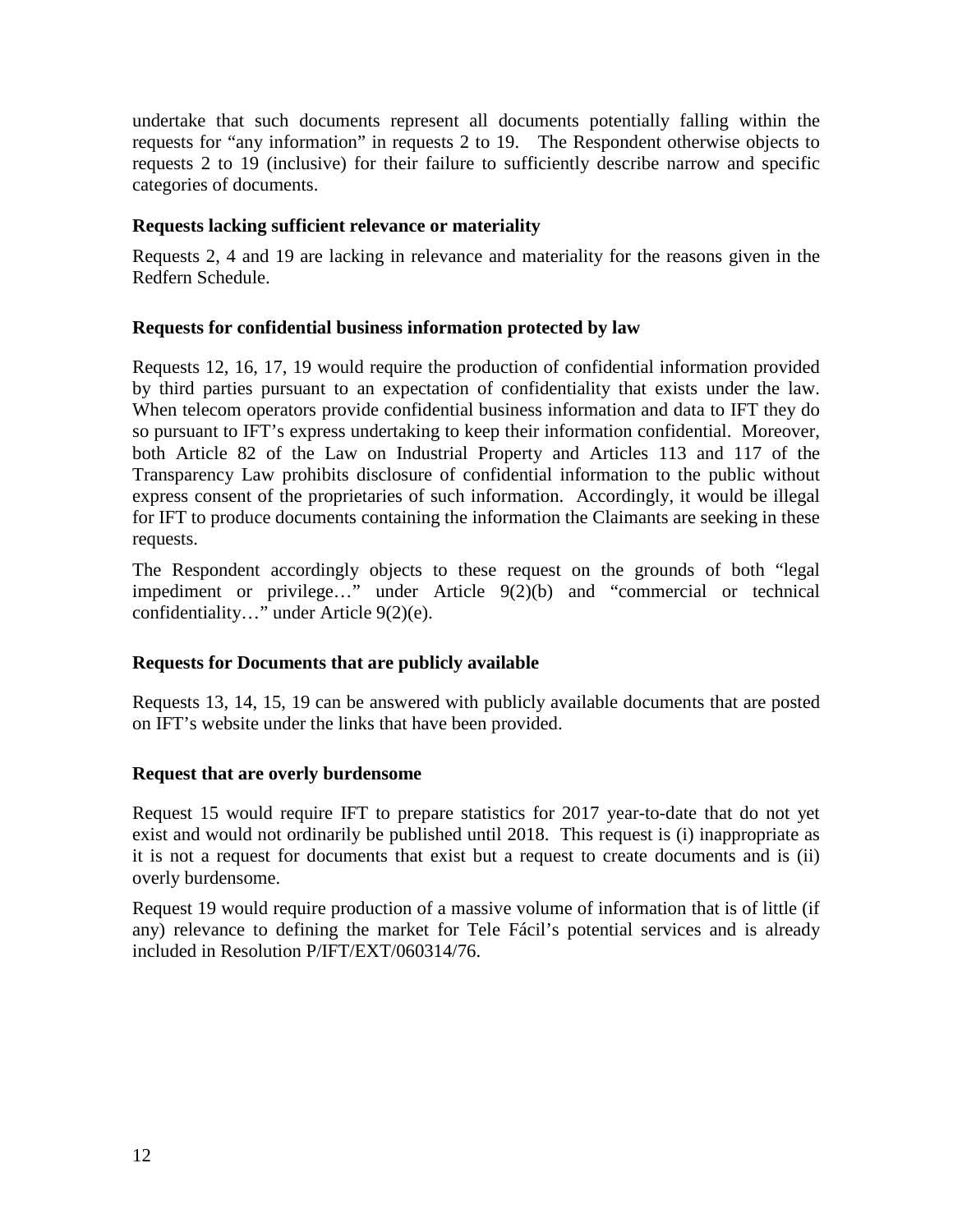undertake that such documents represent all documents potentially falling within the requests for "any information" in requests 2 to 19. The Respondent otherwise objects to requests 2 to 19 (inclusive) for their failure to sufficiently describe narrow and specific categories of documents.

### **Requests lacking sufficient relevance or materiality**

Requests 2, 4 and 19 are lacking in relevance and materiality for the reasons given in the Redfern Schedule.

#### **Requests for confidential business information protected by law**

Requests 12, 16, 17, 19 would require the production of confidential information provided by third parties pursuant to an expectation of confidentiality that exists under the law. When telecom operators provide confidential business information and data to IFT they do so pursuant to IFT's express undertaking to keep their information confidential. Moreover, both Article 82 of the Law on Industrial Property and Articles 113 and 117 of the Transparency Law prohibits disclosure of confidential information to the public without express consent of the proprietaries of such information. Accordingly, it would be illegal for IFT to produce documents containing the information the Claimants are seeking in these requests.

The Respondent accordingly objects to these request on the grounds of both "legal impediment or privilege…" under Article 9(2)(b) and "commercial or technical confidentiality…" under Article 9(2)(e).

## **Requests for Documents that are publicly available**

Requests 13, 14, 15, 19 can be answered with publicly available documents that are posted on IFT's website under the links that have been provided.

## **Request that are overly burdensome**

Request 15 would require IFT to prepare statistics for 2017 year-to-date that do not yet exist and would not ordinarily be published until 2018. This request is (i) inappropriate as it is not a request for documents that exist but a request to create documents and is (ii) overly burdensome.

Request 19 would require production of a massive volume of information that is of little (if any) relevance to defining the market for Tele Fácil's potential services and is already included in Resolution P/IFT/EXT/060314/76.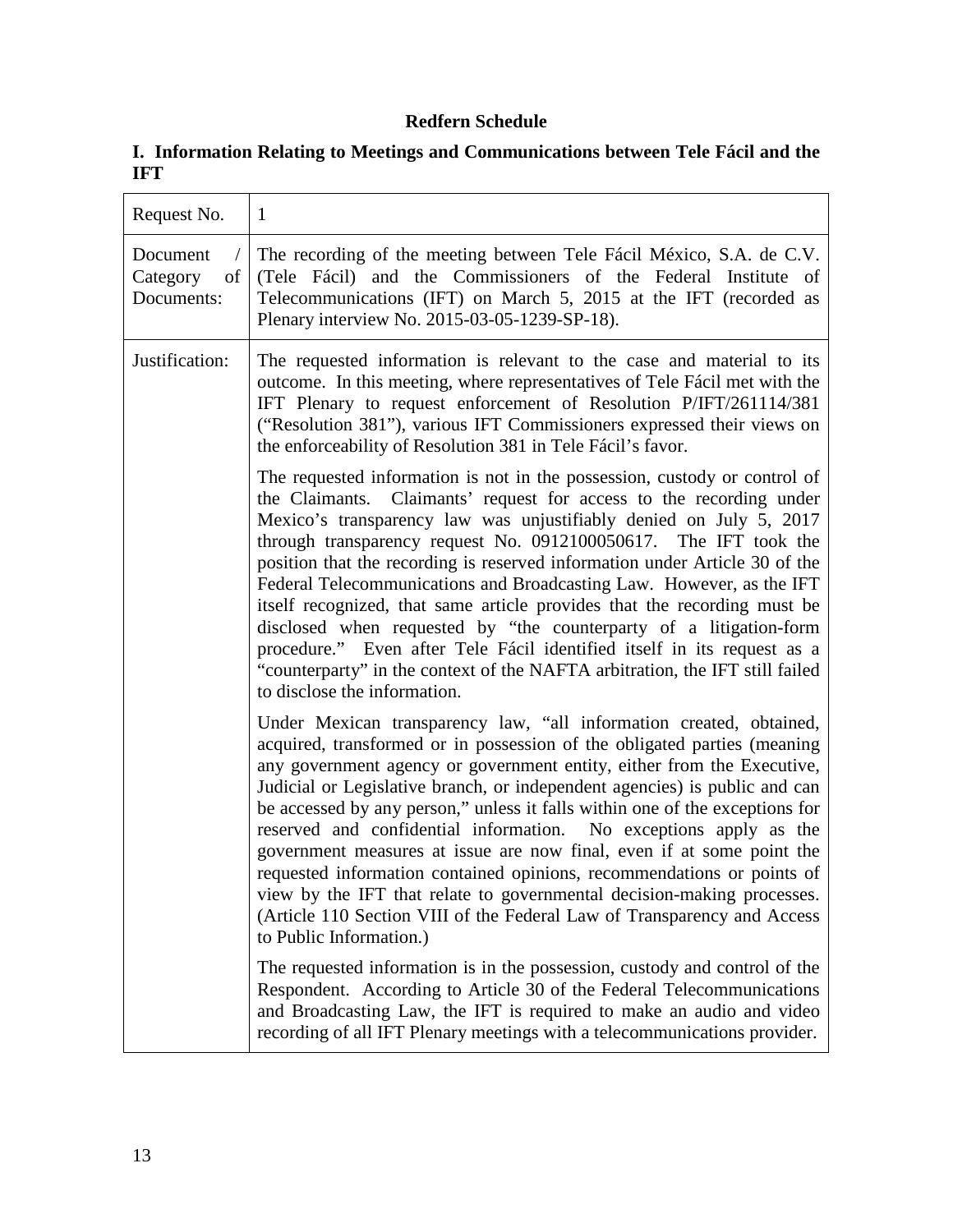# **Redfern Schedule**

# **I. Information Relating to Meetings and Communications between Tele Fácil and the IFT**

| Request No.                              | $\mathbf{1}$                                                                                                                                                                                                                                                                                                                                                                                                                                                                                                                                                                                                                                                                                                                                                                                                                                                                  |
|------------------------------------------|-------------------------------------------------------------------------------------------------------------------------------------------------------------------------------------------------------------------------------------------------------------------------------------------------------------------------------------------------------------------------------------------------------------------------------------------------------------------------------------------------------------------------------------------------------------------------------------------------------------------------------------------------------------------------------------------------------------------------------------------------------------------------------------------------------------------------------------------------------------------------------|
| Document<br>Category<br>of<br>Documents: | The recording of the meeting between Tele Fácil México, S.A. de C.V.<br>(Tele Fácil) and the Commissioners of the Federal Institute of<br>Telecommunications (IFT) on March 5, 2015 at the IFT (recorded as<br>Plenary interview No. 2015-03-05-1239-SP-18).                                                                                                                                                                                                                                                                                                                                                                                                                                                                                                                                                                                                                  |
| Justification:                           | The requested information is relevant to the case and material to its<br>outcome. In this meeting, where representatives of Tele Fácil met with the<br>IFT Plenary to request enforcement of Resolution P/IFT/261114/381<br>("Resolution 381"), various IFT Commissioners expressed their views on<br>the enforceability of Resolution 381 in Tele Fácil's favor.                                                                                                                                                                                                                                                                                                                                                                                                                                                                                                             |
|                                          | The requested information is not in the possession, custody or control of<br>the Claimants. Claimants' request for access to the recording under<br>Mexico's transparency law was unjustifiably denied on July 5, 2017<br>through transparency request No. 0912100050617. The IFT took the<br>position that the recording is reserved information under Article 30 of the<br>Federal Telecommunications and Broadcasting Law. However, as the IFT<br>itself recognized, that same article provides that the recording must be<br>disclosed when requested by "the counterparty of a litigation-form<br>procedure." Even after Tele Fácil identified itself in its request as a<br>"counterparty" in the context of the NAFTA arbitration, the IFT still failed<br>to disclose the information.                                                                                |
|                                          | Under Mexican transparency law, "all information created, obtained,<br>acquired, transformed or in possession of the obligated parties (meaning<br>any government agency or government entity, either from the Executive,<br>Judicial or Legislative branch, or independent agencies) is public and can<br>be accessed by any person," unless it falls within one of the exceptions for<br>reserved and confidential information. No exceptions apply as the<br>government measures at issue are now final, even if at some point the<br>requested information contained opinions, recommendations or points of<br>view by the IFT that relate to governmental decision-making processes.<br>(Article 110 Section VIII of the Federal Law of Transparency and Access<br>to Public Information.)<br>The requested information is in the possession, custody and control of the |
|                                          | Respondent. According to Article 30 of the Federal Telecommunications<br>and Broadcasting Law, the IFT is required to make an audio and video<br>recording of all IFT Plenary meetings with a telecommunications provider.                                                                                                                                                                                                                                                                                                                                                                                                                                                                                                                                                                                                                                                    |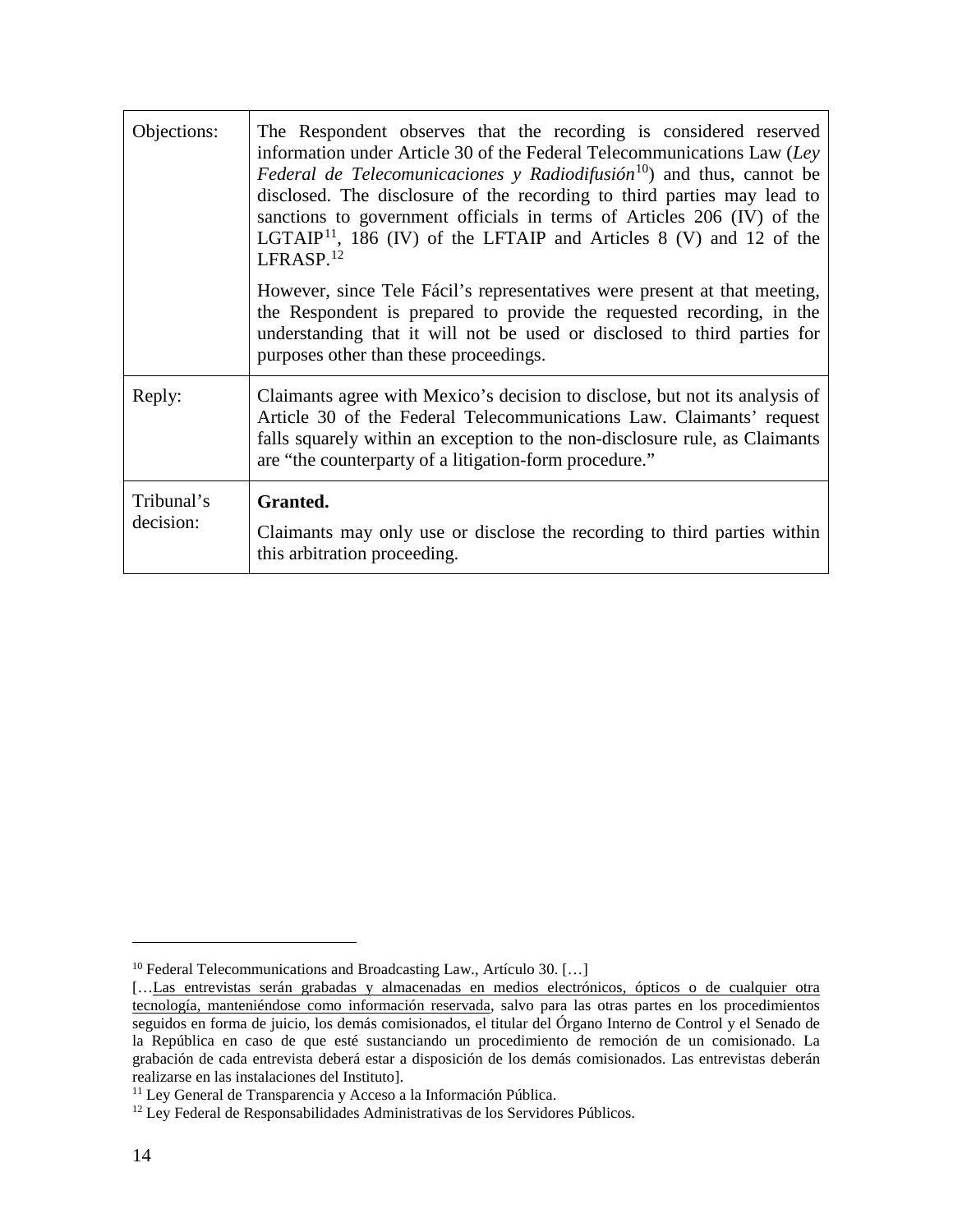| Objections:             | The Respondent observes that the recording is considered reserved<br>information under Article 30 of the Federal Telecommunications Law $(Lev)$<br><i>Federal de Telecomunicaciones</i> y Radiodifusión <sup>10</sup> ) and thus, cannot be<br>disclosed. The disclosure of the recording to third parties may lead to<br>sanctions to government officials in terms of Articles 206 (IV) of the<br>LGTAIP <sup>11</sup> , 186 (IV) of the LFTAIP and Articles 8 (V) and 12 of the<br>LFRASP. <sup>12</sup> |
|-------------------------|-------------------------------------------------------------------------------------------------------------------------------------------------------------------------------------------------------------------------------------------------------------------------------------------------------------------------------------------------------------------------------------------------------------------------------------------------------------------------------------------------------------|
|                         | However, since Tele Fácil's representatives were present at that meeting,<br>the Respondent is prepared to provide the requested recording, in the<br>understanding that it will not be used or disclosed to third parties for<br>purposes other than these proceedings.                                                                                                                                                                                                                                    |
| Reply:                  | Claimants agree with Mexico's decision to disclose, but not its analysis of<br>Article 30 of the Federal Telecommunications Law. Claimants' request<br>falls squarely within an exception to the non-disclosure rule, as Claimants<br>are "the counterparty of a litigation-form procedure."                                                                                                                                                                                                                |
| Tribunal's<br>decision: | Granted.<br>Claimants may only use or disclose the recording to third parties within<br>this arbitration proceeding.                                                                                                                                                                                                                                                                                                                                                                                        |

<span id="page-13-0"></span> $^{10}$  Federal Telecommunications and Broadcasting Law., Artículo 30.  $[\ldots]$ 

<sup>[...</sup>Las entrevistas serán grabadas y almacenadas en medios electrónicos, ópticos o de cualquier otra tecnología, manteniéndose como información reservada, salvo para las otras partes en los procedimientos seguidos en forma de juicio, los demás comisionados, el titular del Órgano Interno de Control y el Senado de la República en caso de que esté sustanciando un procedimiento de remoción de un comisionado. La grabación de cada entrevista deberá estar a disposición de los demás comisionados. Las entrevistas deberán realizarse en las instalaciones del Instituto].

<span id="page-13-2"></span><span id="page-13-1"></span><sup>&</sup>lt;sup>11</sup> Ley General de Transparencia y Acceso a la Información Pública.

<sup>&</sup>lt;sup>12</sup> Ley Federal de Responsabilidades Administrativas de los Servidores Públicos.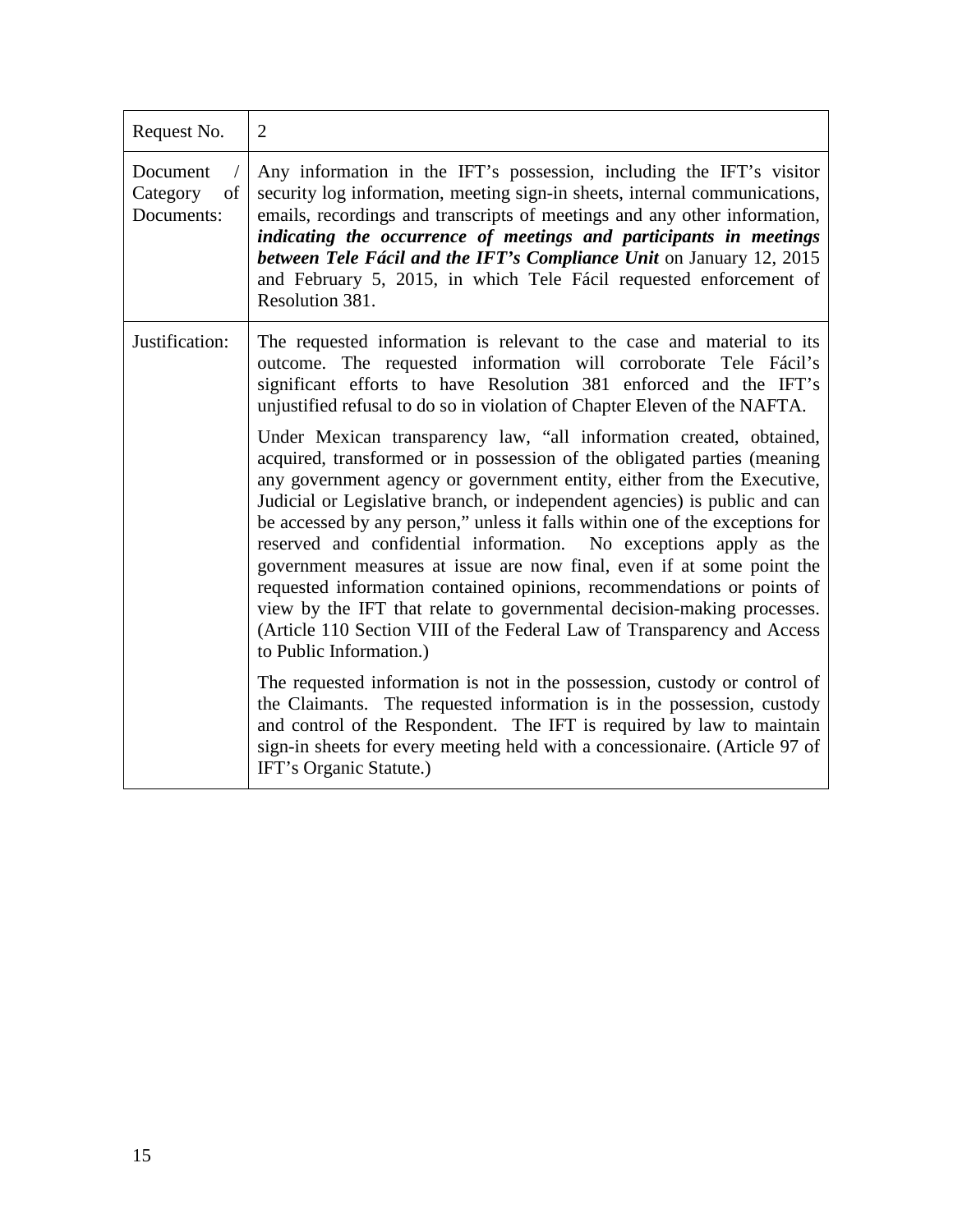| Request No.                              | $\overline{2}$                                                                                                                                                                                                                                                                                                                                                                                                                                                                                                                                                                                                                                                                                                                                                                                  |
|------------------------------------------|-------------------------------------------------------------------------------------------------------------------------------------------------------------------------------------------------------------------------------------------------------------------------------------------------------------------------------------------------------------------------------------------------------------------------------------------------------------------------------------------------------------------------------------------------------------------------------------------------------------------------------------------------------------------------------------------------------------------------------------------------------------------------------------------------|
| Document<br>of<br>Category<br>Documents: | Any information in the IFT's possession, including the IFT's visitor<br>security log information, meeting sign-in sheets, internal communications,<br>emails, recordings and transcripts of meetings and any other information,<br>indicating the occurrence of meetings and participants in meetings<br>between Tele Fácil and the IFT's Compliance Unit on January 12, 2015<br>and February 5, 2015, in which Tele Fácil requested enforcement of<br>Resolution 381.                                                                                                                                                                                                                                                                                                                          |
| Justification:                           | The requested information is relevant to the case and material to its<br>outcome. The requested information will corroborate Tele Fácil's<br>significant efforts to have Resolution 381 enforced and the IFT's<br>unjustified refusal to do so in violation of Chapter Eleven of the NAFTA.                                                                                                                                                                                                                                                                                                                                                                                                                                                                                                     |
|                                          | Under Mexican transparency law, "all information created, obtained,<br>acquired, transformed or in possession of the obligated parties (meaning<br>any government agency or government entity, either from the Executive,<br>Judicial or Legislative branch, or independent agencies) is public and can<br>be accessed by any person," unless it falls within one of the exceptions for<br>reserved and confidential information. No exceptions apply as the<br>government measures at issue are now final, even if at some point the<br>requested information contained opinions, recommendations or points of<br>view by the IFT that relate to governmental decision-making processes.<br>(Article 110 Section VIII of the Federal Law of Transparency and Access<br>to Public Information.) |
|                                          | The requested information is not in the possession, custody or control of<br>the Claimants. The requested information is in the possession, custody<br>and control of the Respondent. The IFT is required by law to maintain<br>sign-in sheets for every meeting held with a concessionaire. (Article 97 of<br>IFT's Organic Statute.)                                                                                                                                                                                                                                                                                                                                                                                                                                                          |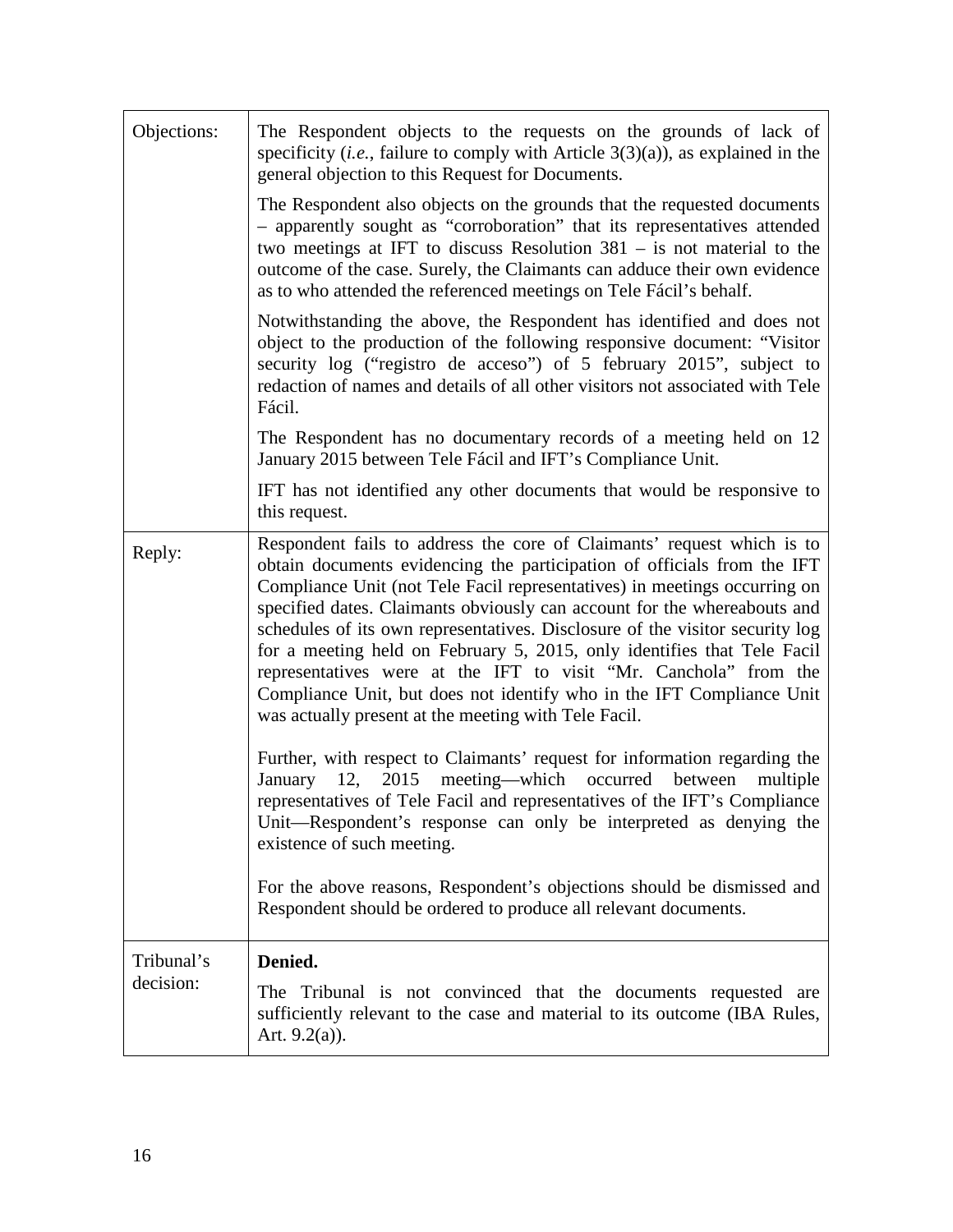| Objections: | The Respondent objects to the requests on the grounds of lack of<br>specificity ( <i>i.e.</i> , failure to comply with Article $3(3)(a)$ ), as explained in the<br>general objection to this Request for Documents.                                                                                                                                                                                                                                                                                                                                                                                                                                                        |
|-------------|----------------------------------------------------------------------------------------------------------------------------------------------------------------------------------------------------------------------------------------------------------------------------------------------------------------------------------------------------------------------------------------------------------------------------------------------------------------------------------------------------------------------------------------------------------------------------------------------------------------------------------------------------------------------------|
|             | The Respondent also objects on the grounds that the requested documents<br>- apparently sought as "corroboration" that its representatives attended<br>two meetings at IFT to discuss Resolution $381 -$ is not material to the<br>outcome of the case. Surely, the Claimants can adduce their own evidence<br>as to who attended the referenced meetings on Tele Fácil's behalf.                                                                                                                                                                                                                                                                                          |
|             | Notwithstanding the above, the Respondent has identified and does not<br>object to the production of the following responsive document: "Visitor<br>security log ("registro de acceso") of 5 february 2015", subject to<br>redaction of names and details of all other visitors not associated with Tele<br>Fácil.                                                                                                                                                                                                                                                                                                                                                         |
|             | The Respondent has no documentary records of a meeting held on 12<br>January 2015 between Tele Fácil and IFT's Compliance Unit.                                                                                                                                                                                                                                                                                                                                                                                                                                                                                                                                            |
|             | IFT has not identified any other documents that would be responsive to<br>this request.                                                                                                                                                                                                                                                                                                                                                                                                                                                                                                                                                                                    |
| Reply:      | Respondent fails to address the core of Claimants' request which is to<br>obtain documents evidencing the participation of officials from the IFT<br>Compliance Unit (not Tele Facil representatives) in meetings occurring on<br>specified dates. Claimants obviously can account for the whereabouts and<br>schedules of its own representatives. Disclosure of the visitor security log<br>for a meeting held on February 5, 2015, only identifies that Tele Facil<br>representatives were at the IFT to visit "Mr. Canchola" from the<br>Compliance Unit, but does not identify who in the IFT Compliance Unit<br>was actually present at the meeting with Tele Facil. |
|             | Further, with respect to Claimants' request for information regarding the<br>meeting—which occurred<br>12, 2015<br>January<br>between<br>multiple<br>representatives of Tele Facil and representatives of the IFT's Compliance<br>Unit—Respondent's response can only be interpreted as denying the<br>existence of such meeting.                                                                                                                                                                                                                                                                                                                                          |
|             | For the above reasons, Respondent's objections should be dismissed and<br>Respondent should be ordered to produce all relevant documents.                                                                                                                                                                                                                                                                                                                                                                                                                                                                                                                                  |
| Tribunal's  | Denied.                                                                                                                                                                                                                                                                                                                                                                                                                                                                                                                                                                                                                                                                    |
| decision:   | The Tribunal is not convinced that the documents requested are<br>sufficiently relevant to the case and material to its outcome (IBA Rules,<br>Art. $9.2(a)$ ).                                                                                                                                                                                                                                                                                                                                                                                                                                                                                                            |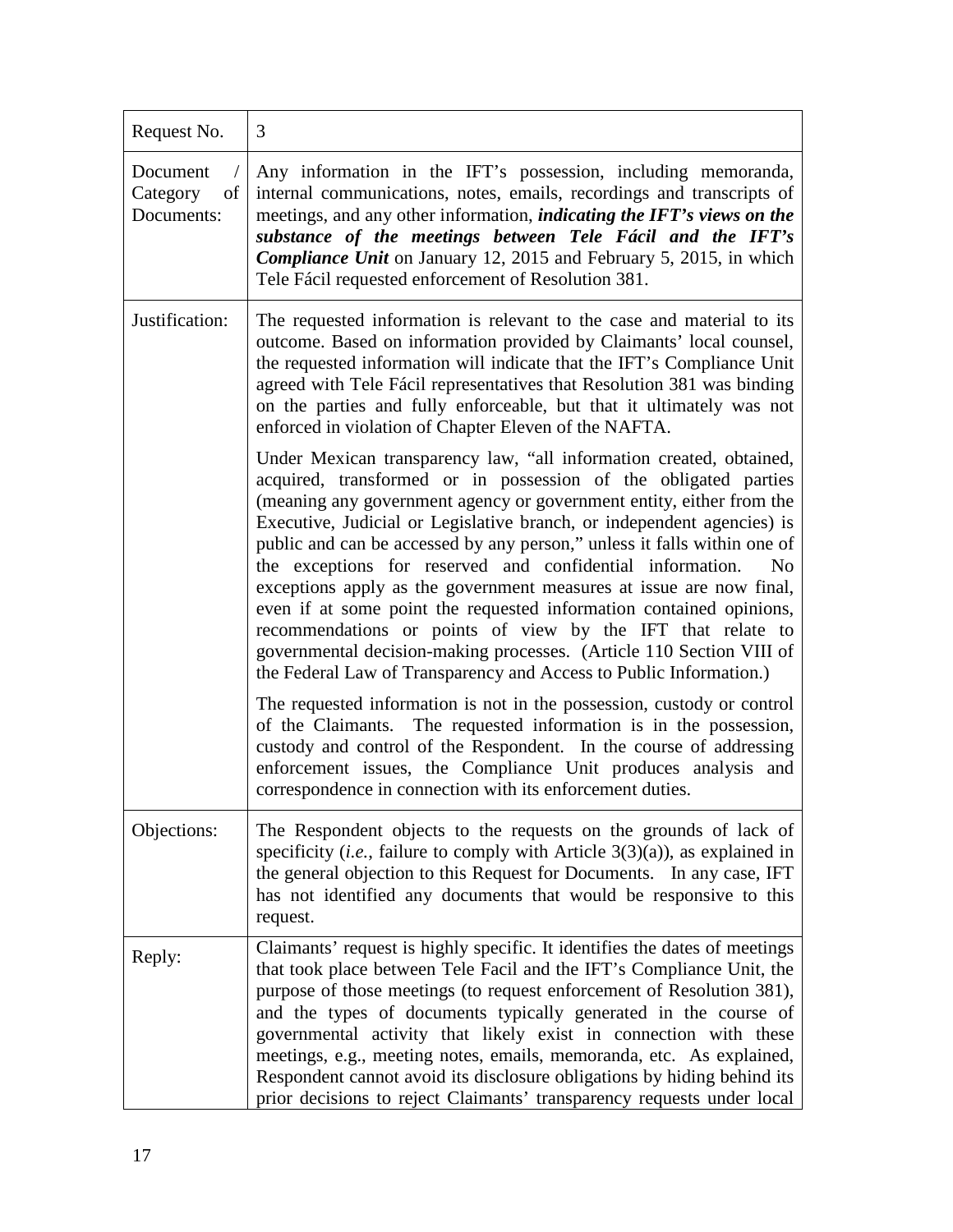| Request No.                              | 3                                                                                                                                                                                                                                                                                                                                                                                                                                                                                                                                                                                                                                                                                                                                                                                                              |
|------------------------------------------|----------------------------------------------------------------------------------------------------------------------------------------------------------------------------------------------------------------------------------------------------------------------------------------------------------------------------------------------------------------------------------------------------------------------------------------------------------------------------------------------------------------------------------------------------------------------------------------------------------------------------------------------------------------------------------------------------------------------------------------------------------------------------------------------------------------|
| Document<br>Category<br>of<br>Documents: | Any information in the IFT's possession, including memoranda,<br>internal communications, notes, emails, recordings and transcripts of<br>meetings, and any other information, <i>indicating the IFT's views on the</i><br>substance of the meetings between Tele Fácil and the IFT's<br><b>Compliance Unit</b> on January 12, 2015 and February 5, 2015, in which<br>Tele Fácil requested enforcement of Resolution 381.                                                                                                                                                                                                                                                                                                                                                                                      |
| Justification:                           | The requested information is relevant to the case and material to its<br>outcome. Based on information provided by Claimants' local counsel,<br>the requested information will indicate that the IFT's Compliance Unit<br>agreed with Tele Fácil representatives that Resolution 381 was binding<br>on the parties and fully enforceable, but that it ultimately was not<br>enforced in violation of Chapter Eleven of the NAFTA.                                                                                                                                                                                                                                                                                                                                                                              |
|                                          | Under Mexican transparency law, "all information created, obtained,<br>acquired, transformed or in possession of the obligated parties<br>(meaning any government agency or government entity, either from the<br>Executive, Judicial or Legislative branch, or independent agencies) is<br>public and can be accessed by any person," unless it falls within one of<br>the exceptions for reserved and confidential information.<br>N <sub>0</sub><br>exceptions apply as the government measures at issue are now final,<br>even if at some point the requested information contained opinions,<br>recommendations or points of view by the IFT that relate to<br>governmental decision-making processes. (Article 110 Section VIII of<br>the Federal Law of Transparency and Access to Public Information.) |
|                                          | The requested information is not in the possession, custody or control<br>of the Claimants. The requested information is in the possession,<br>custody and control of the Respondent. In the course of addressing<br>enforcement issues, the Compliance Unit produces analysis and<br>correspondence in connection with its enforcement duties.                                                                                                                                                                                                                                                                                                                                                                                                                                                                |
| Objections:                              | The Respondent objects to the requests on the grounds of lack of<br>specificity ( <i>i.e.</i> , failure to comply with Article $3(3)(a)$ ), as explained in<br>the general objection to this Request for Documents. In any case, IFT<br>has not identified any documents that would be responsive to this<br>request.                                                                                                                                                                                                                                                                                                                                                                                                                                                                                          |
| Reply:                                   | Claimants' request is highly specific. It identifies the dates of meetings<br>that took place between Tele Facil and the IFT's Compliance Unit, the<br>purpose of those meetings (to request enforcement of Resolution 381),<br>and the types of documents typically generated in the course of<br>governmental activity that likely exist in connection with these<br>meetings, e.g., meeting notes, emails, memoranda, etc. As explained,<br>Respondent cannot avoid its disclosure obligations by hiding behind its<br>prior decisions to reject Claimants' transparency requests under local                                                                                                                                                                                                               |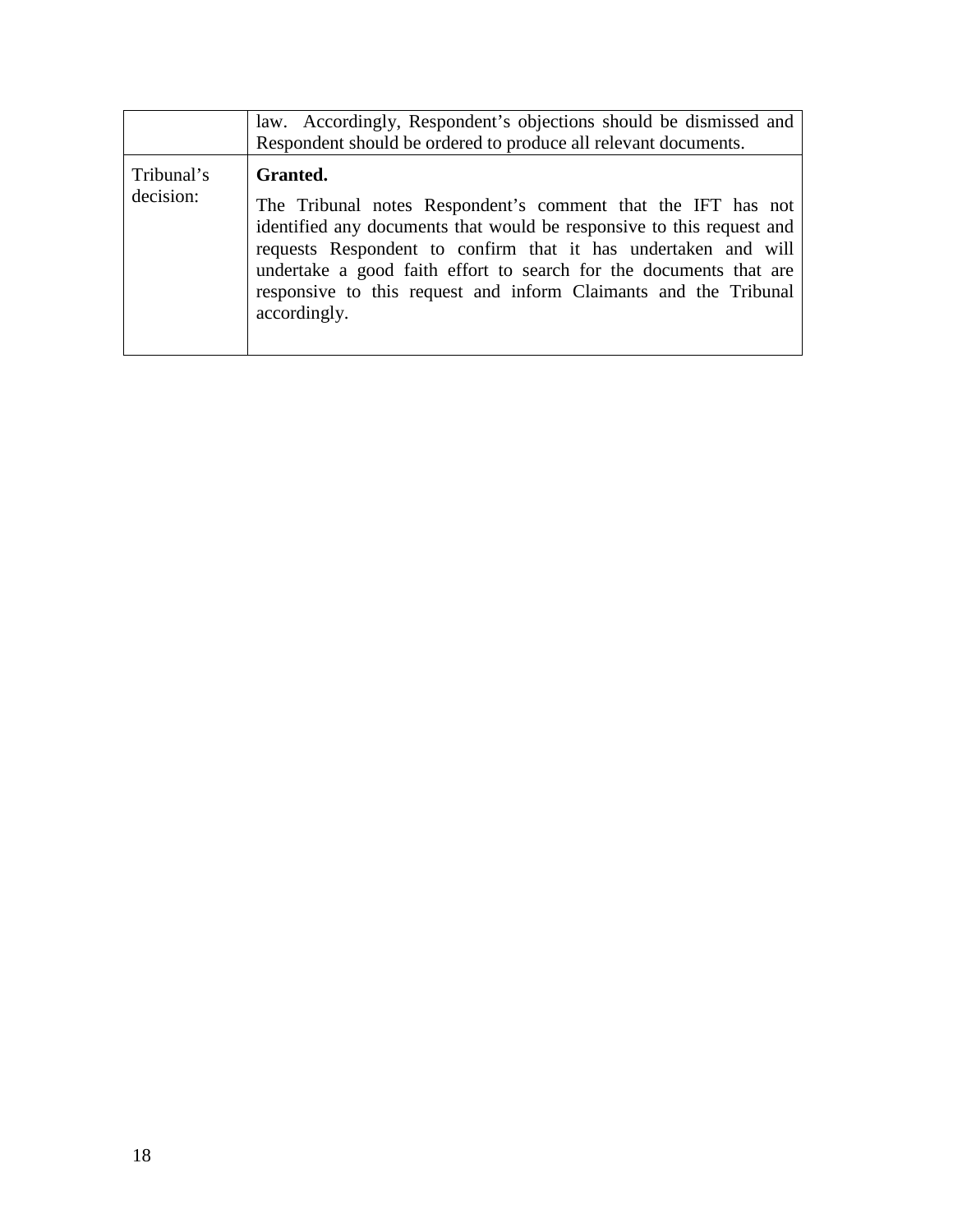|                         | law. Accordingly, Respondent's objections should be dismissed and<br>Respondent should be ordered to produce all relevant documents.                                                                                                                                                                                                                                          |
|-------------------------|-------------------------------------------------------------------------------------------------------------------------------------------------------------------------------------------------------------------------------------------------------------------------------------------------------------------------------------------------------------------------------|
| Tribunal's<br>decision: | Granted.<br>The Tribunal notes Respondent's comment that the IFT has not<br>identified any documents that would be responsive to this request and<br>requests Respondent to confirm that it has undertaken and will<br>undertake a good faith effort to search for the documents that are<br>responsive to this request and inform Claimants and the Tribunal<br>accordingly. |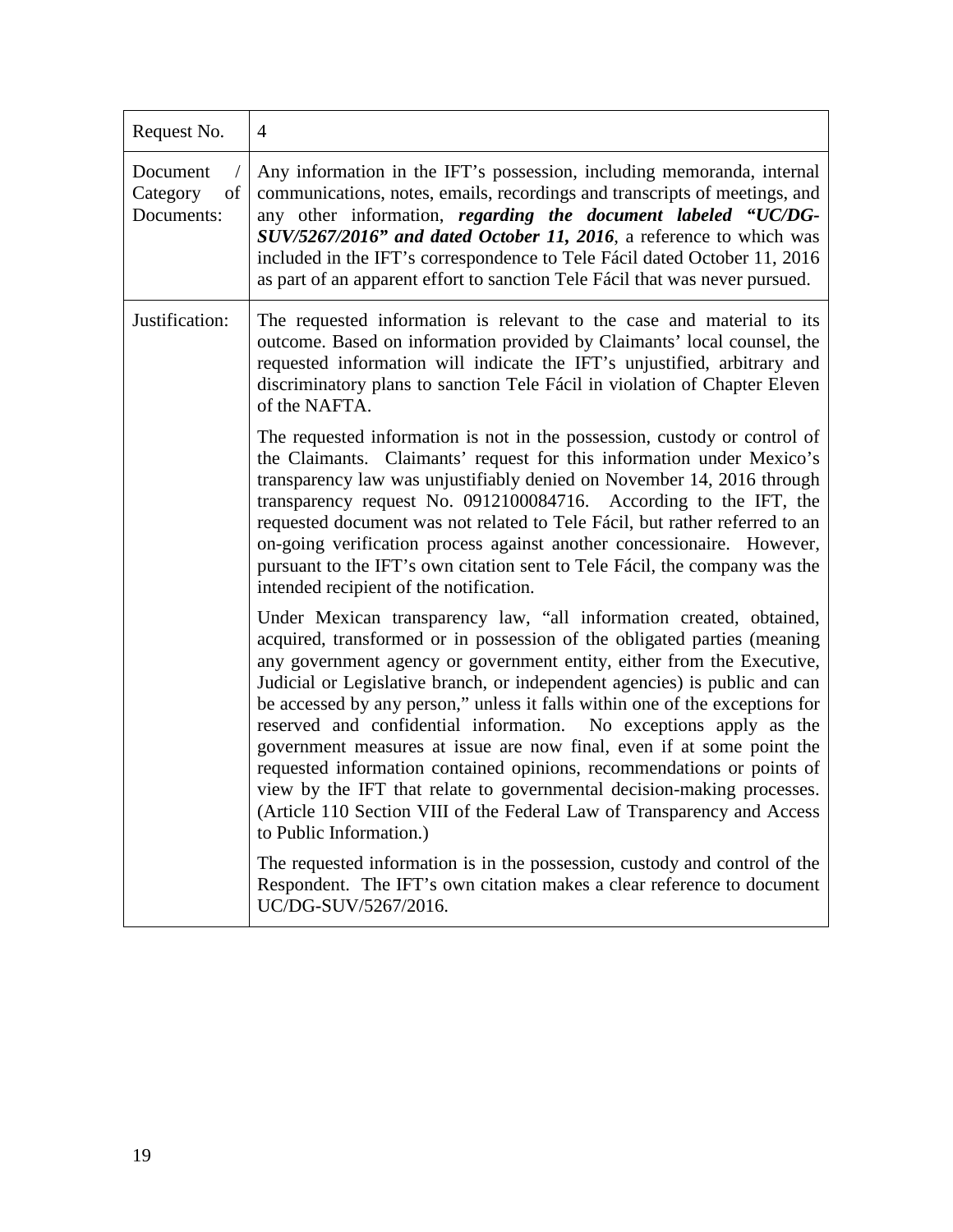| Request No.                              | $\overline{4}$                                                                                                                                                                                                                                                                                                                                                                                                                                                                                                                                                                                                                                                                                                                                                                                  |
|------------------------------------------|-------------------------------------------------------------------------------------------------------------------------------------------------------------------------------------------------------------------------------------------------------------------------------------------------------------------------------------------------------------------------------------------------------------------------------------------------------------------------------------------------------------------------------------------------------------------------------------------------------------------------------------------------------------------------------------------------------------------------------------------------------------------------------------------------|
| Document<br>Category<br>of<br>Documents: | Any information in the IFT's possession, including memoranda, internal<br>communications, notes, emails, recordings and transcripts of meetings, and<br>any other information, regarding the document labeled "UC/DG-<br>SUV/5267/2016" and dated October 11, 2016, a reference to which was<br>included in the IFT's correspondence to Tele Fácil dated October 11, 2016<br>as part of an apparent effort to sanction Tele Fácil that was never pursued.                                                                                                                                                                                                                                                                                                                                       |
| Justification:                           | The requested information is relevant to the case and material to its<br>outcome. Based on information provided by Claimants' local counsel, the<br>requested information will indicate the IFT's unjustified, arbitrary and<br>discriminatory plans to sanction Tele Fácil in violation of Chapter Eleven<br>of the NAFTA.                                                                                                                                                                                                                                                                                                                                                                                                                                                                     |
|                                          | The requested information is not in the possession, custody or control of<br>the Claimants. Claimants' request for this information under Mexico's<br>transparency law was unjustifiably denied on November 14, 2016 through<br>transparency request No. 0912100084716. According to the IFT, the<br>requested document was not related to Tele Fácil, but rather referred to an<br>on-going verification process against another concessionaire. However,<br>pursuant to the IFT's own citation sent to Tele Fácil, the company was the<br>intended recipient of the notification.                                                                                                                                                                                                             |
|                                          | Under Mexican transparency law, "all information created, obtained,<br>acquired, transformed or in possession of the obligated parties (meaning<br>any government agency or government entity, either from the Executive,<br>Judicial or Legislative branch, or independent agencies) is public and can<br>be accessed by any person," unless it falls within one of the exceptions for<br>reserved and confidential information. No exceptions apply as the<br>government measures at issue are now final, even if at some point the<br>requested information contained opinions, recommendations or points of<br>view by the IFT that relate to governmental decision-making processes.<br>(Article 110 Section VIII of the Federal Law of Transparency and Access<br>to Public Information.) |
|                                          | The requested information is in the possession, custody and control of the<br>Respondent. The IFT's own citation makes a clear reference to document<br>UC/DG-SUV/5267/2016.                                                                                                                                                                                                                                                                                                                                                                                                                                                                                                                                                                                                                    |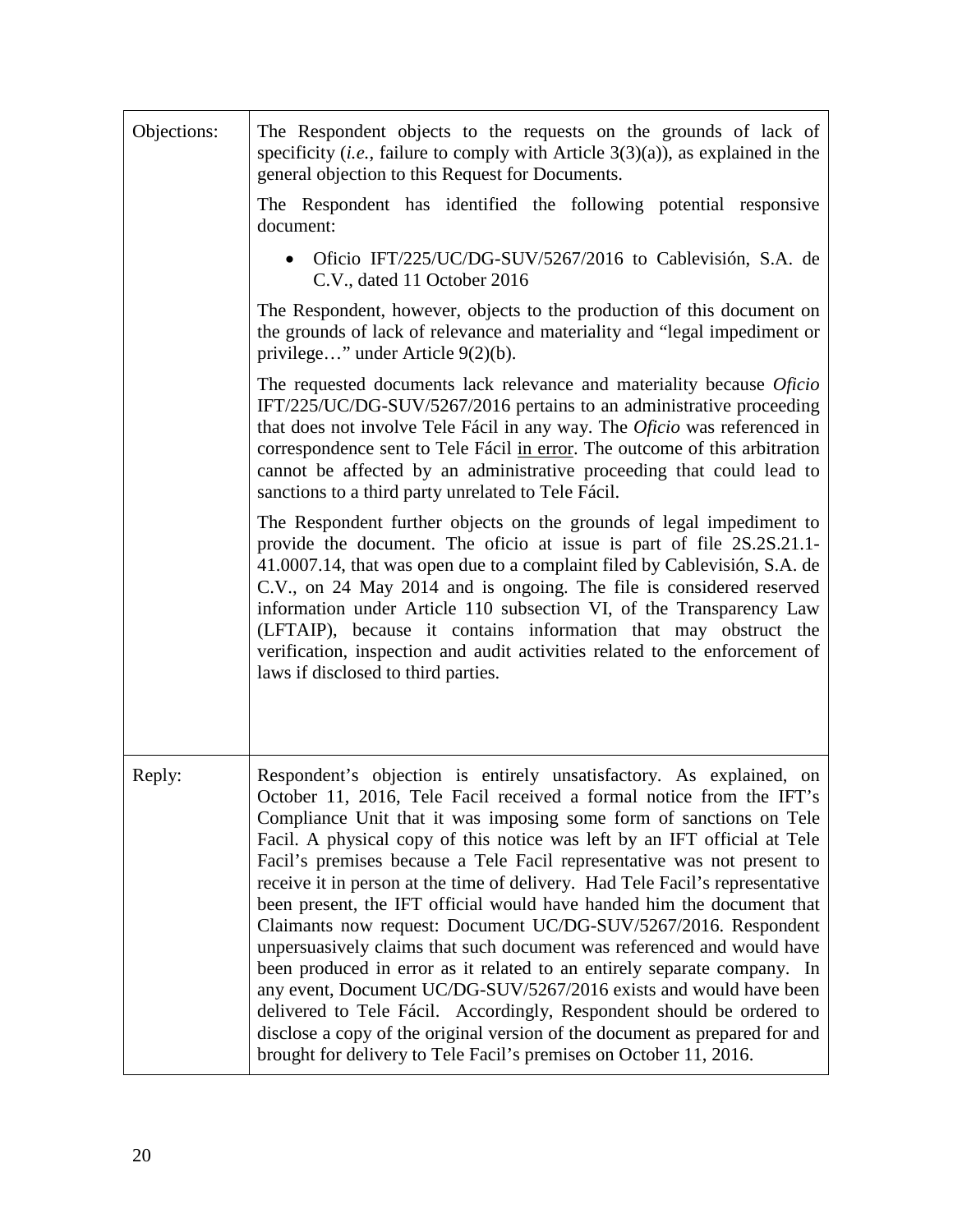| Objections: | The Respondent objects to the requests on the grounds of lack of<br>specificity ( <i>i.e.</i> , failure to comply with Article $3(3)(a)$ ), as explained in the<br>general objection to this Request for Documents.                                                                                                                                                                                                                                                                                                                                                                                                                                                                                                                                                                                                                                                                                                                                                                                                                                                |
|-------------|--------------------------------------------------------------------------------------------------------------------------------------------------------------------------------------------------------------------------------------------------------------------------------------------------------------------------------------------------------------------------------------------------------------------------------------------------------------------------------------------------------------------------------------------------------------------------------------------------------------------------------------------------------------------------------------------------------------------------------------------------------------------------------------------------------------------------------------------------------------------------------------------------------------------------------------------------------------------------------------------------------------------------------------------------------------------|
|             | The Respondent has identified the following potential responsive<br>document:                                                                                                                                                                                                                                                                                                                                                                                                                                                                                                                                                                                                                                                                                                                                                                                                                                                                                                                                                                                      |
|             | Oficio IFT/225/UC/DG-SUV/5267/2016 to Cablevisión, S.A. de<br>C.V., dated 11 October 2016                                                                                                                                                                                                                                                                                                                                                                                                                                                                                                                                                                                                                                                                                                                                                                                                                                                                                                                                                                          |
|             | The Respondent, however, objects to the production of this document on<br>the grounds of lack of relevance and materiality and "legal impediment or<br>privilege" under Article 9(2)(b).                                                                                                                                                                                                                                                                                                                                                                                                                                                                                                                                                                                                                                                                                                                                                                                                                                                                           |
|             | The requested documents lack relevance and materiality because Oficio<br>IFT/225/UC/DG-SUV/5267/2016 pertains to an administrative proceeding<br>that does not involve Tele Fácil in any way. The Oficio was referenced in<br>correspondence sent to Tele Fácil in error. The outcome of this arbitration<br>cannot be affected by an administrative proceeding that could lead to<br>sanctions to a third party unrelated to Tele Fácil.                                                                                                                                                                                                                                                                                                                                                                                                                                                                                                                                                                                                                          |
|             | The Respondent further objects on the grounds of legal impediment to<br>provide the document. The oficio at issue is part of file 2S.2S.21.1-<br>41.0007.14, that was open due to a complaint filed by Cablevisión, S.A. de<br>C.V., on 24 May 2014 and is ongoing. The file is considered reserved<br>information under Article 110 subsection VI, of the Transparency Law<br>(LFTAIP), because it contains information that may obstruct the<br>verification, inspection and audit activities related to the enforcement of<br>laws if disclosed to third parties.                                                                                                                                                                                                                                                                                                                                                                                                                                                                                               |
| Reply:      | Respondent's objection is entirely unsatisfactory. As explained, on<br>October 11, 2016, Tele Facil received a formal notice from the IFT's<br>Compliance Unit that it was imposing some form of sanctions on Tele<br>Facil. A physical copy of this notice was left by an IFT official at Tele<br>Facil's premises because a Tele Facil representative was not present to<br>receive it in person at the time of delivery. Had Tele Facil's representative<br>been present, the IFT official would have handed him the document that<br>Claimants now request: Document UC/DG-SUV/5267/2016. Respondent<br>unpersuasively claims that such document was referenced and would have<br>been produced in error as it related to an entirely separate company. In<br>any event, Document UC/DG-SUV/5267/2016 exists and would have been<br>delivered to Tele Fácil. Accordingly, Respondent should be ordered to<br>disclose a copy of the original version of the document as prepared for and<br>brought for delivery to Tele Facil's premises on October 11, 2016. |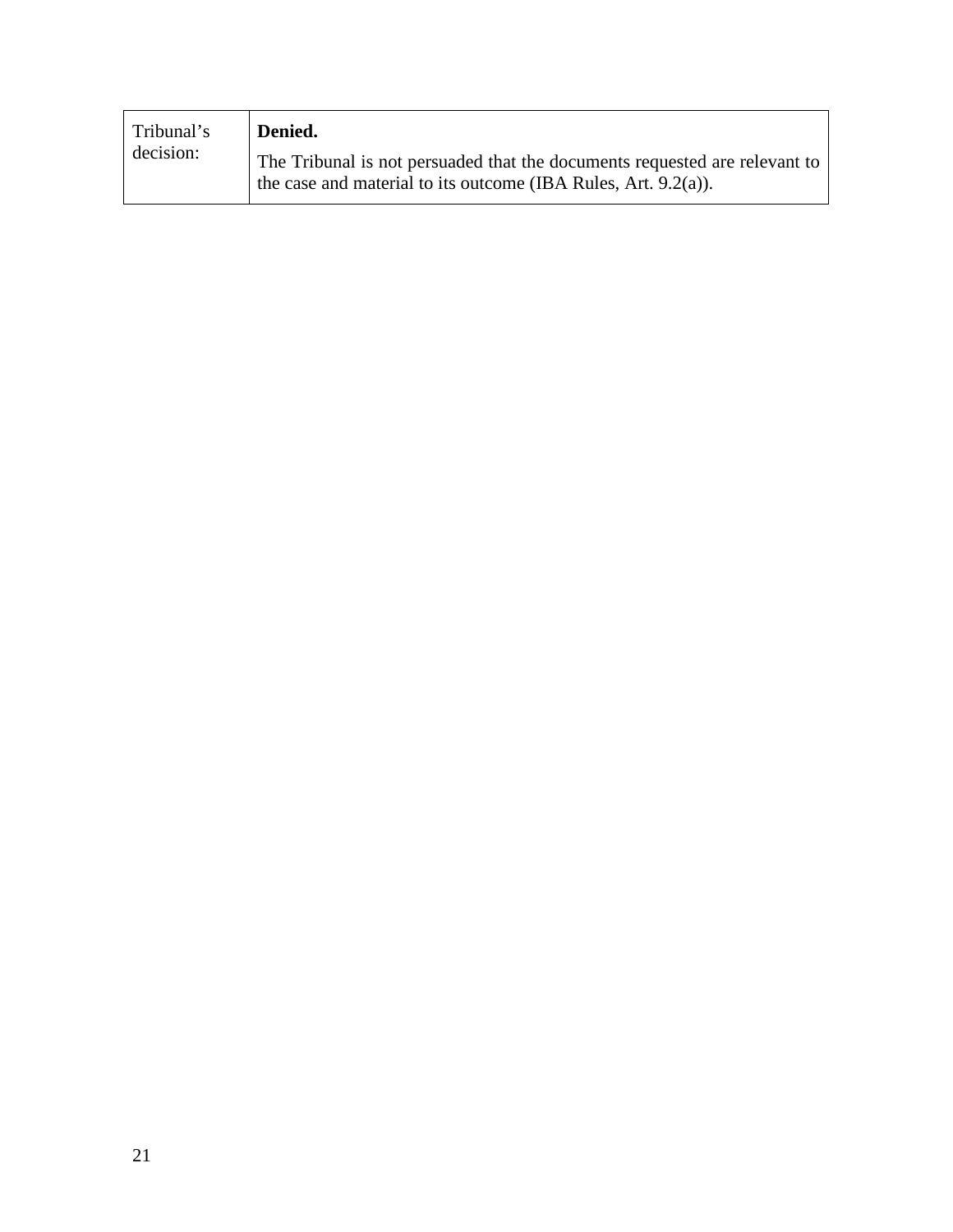| Tribunal's<br>decision: | Denied.                                                                                                                                         |
|-------------------------|-------------------------------------------------------------------------------------------------------------------------------------------------|
|                         | The Tribunal is not persuaded that the documents requested are relevant to<br>the case and material to its outcome (IBA Rules, Art. $9.2(a)$ ). |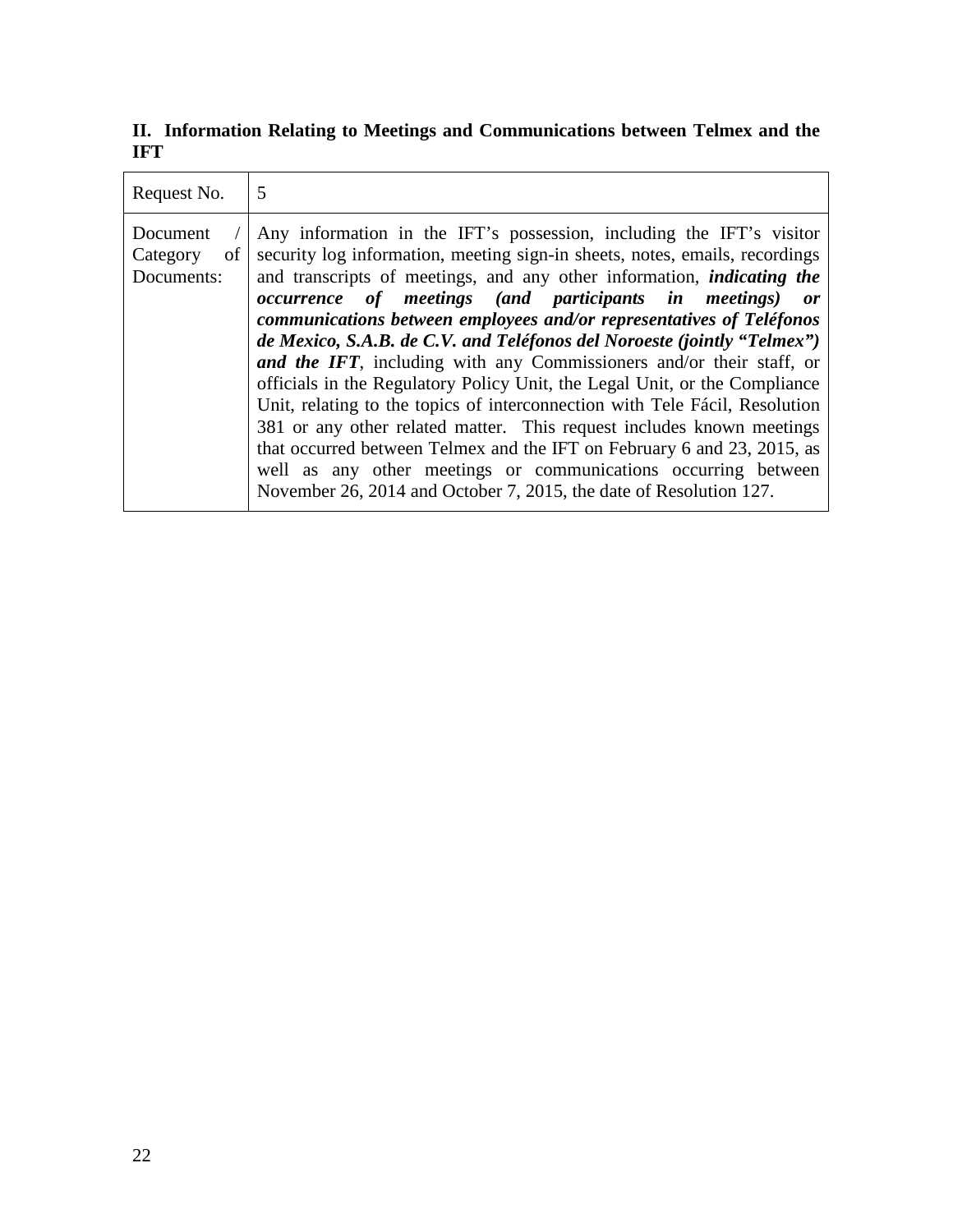**II. Information Relating to Meetings and Communications between Telmex and the IFT**

| Request No.                              | 5                                                                                                                                                                                                                                                                                                                                                                                                                                                                                                                                                                                                                                                                                                                                                                                                                                                                                                                                                                                              |
|------------------------------------------|------------------------------------------------------------------------------------------------------------------------------------------------------------------------------------------------------------------------------------------------------------------------------------------------------------------------------------------------------------------------------------------------------------------------------------------------------------------------------------------------------------------------------------------------------------------------------------------------------------------------------------------------------------------------------------------------------------------------------------------------------------------------------------------------------------------------------------------------------------------------------------------------------------------------------------------------------------------------------------------------|
| Document<br>Category<br>of<br>Documents: | Any information in the IFT's possession, including the IFT's visitor<br>security log information, meeting sign-in sheets, notes, emails, recordings<br>and transcripts of meetings, and any other information, <i>indicating the</i><br><i>occurrence of meetings (and participants in meetings)</i><br>or<br>communications between employees and/or representatives of Teléfonos<br>de Mexico, S.A.B. de C.V. and Teléfonos del Noroeste (jointly "Telmex")<br>and the IFT, including with any Commissioners and/or their staff, or<br>officials in the Regulatory Policy Unit, the Legal Unit, or the Compliance<br>Unit, relating to the topics of interconnection with Tele Fácil, Resolution<br>381 or any other related matter. This request includes known meetings<br>that occurred between Telmex and the IFT on February 6 and 23, 2015, as<br>well as any other meetings or communications occurring between<br>November 26, 2014 and October 7, 2015, the date of Resolution 127. |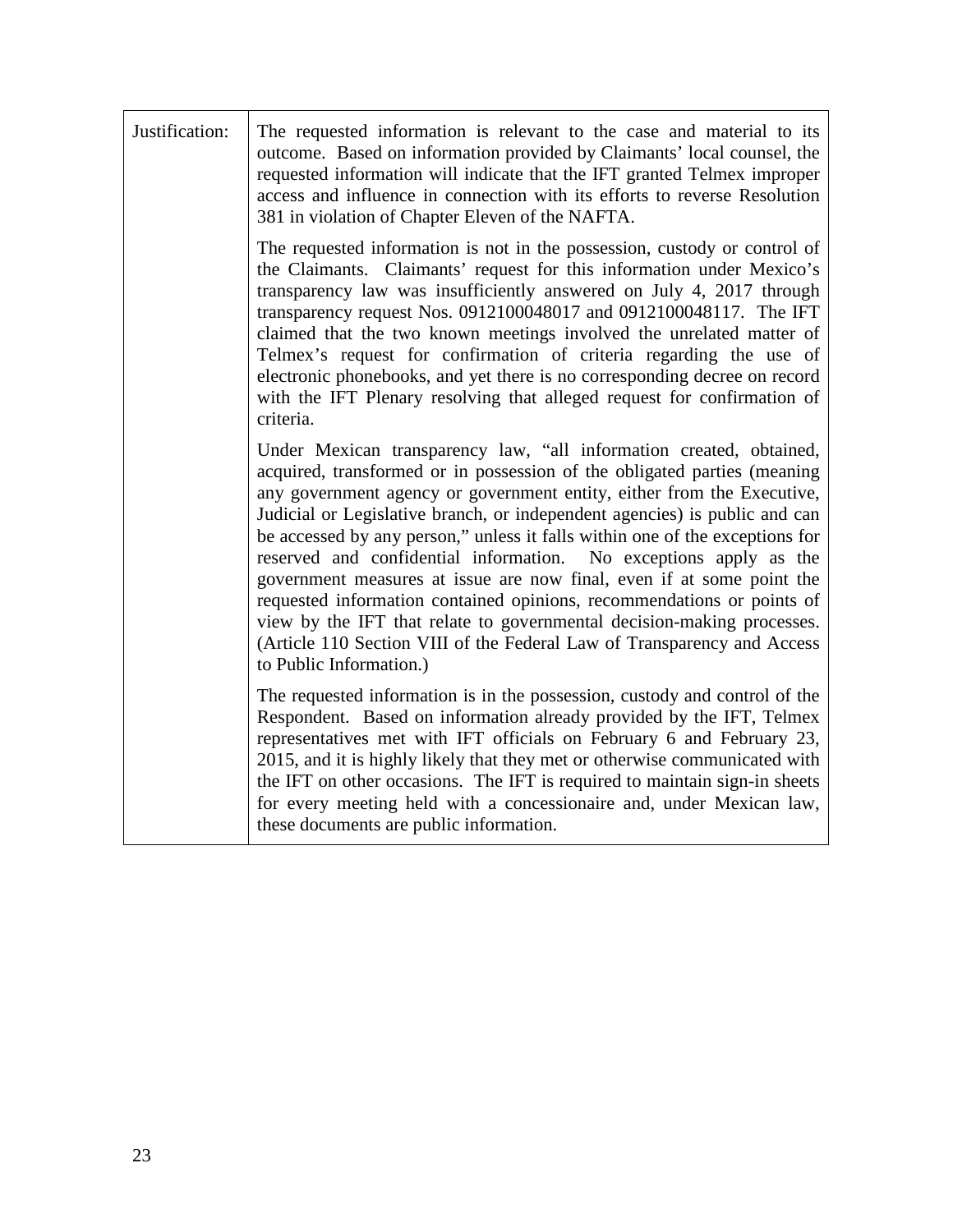| Justification: | The requested information is relevant to the case and material to its<br>outcome. Based on information provided by Claimants' local counsel, the<br>requested information will indicate that the IFT granted Telmex improper<br>access and influence in connection with its efforts to reverse Resolution<br>381 in violation of Chapter Eleven of the NAFTA.                                                                                                                                                                                                                                                                                                                                                                                                                                   |
|----------------|-------------------------------------------------------------------------------------------------------------------------------------------------------------------------------------------------------------------------------------------------------------------------------------------------------------------------------------------------------------------------------------------------------------------------------------------------------------------------------------------------------------------------------------------------------------------------------------------------------------------------------------------------------------------------------------------------------------------------------------------------------------------------------------------------|
|                | The requested information is not in the possession, custody or control of<br>the Claimants. Claimants' request for this information under Mexico's<br>transparency law was insufficiently answered on July 4, 2017 through<br>transparency request Nos. 0912100048017 and 0912100048117. The IFT<br>claimed that the two known meetings involved the unrelated matter of<br>Telmex's request for confirmation of criteria regarding the use of<br>electronic phonebooks, and yet there is no corresponding decree on record<br>with the IFT Plenary resolving that alleged request for confirmation of<br>criteria.                                                                                                                                                                             |
|                | Under Mexican transparency law, "all information created, obtained,<br>acquired, transformed or in possession of the obligated parties (meaning<br>any government agency or government entity, either from the Executive,<br>Judicial or Legislative branch, or independent agencies) is public and can<br>be accessed by any person," unless it falls within one of the exceptions for<br>reserved and confidential information. No exceptions apply as the<br>government measures at issue are now final, even if at some point the<br>requested information contained opinions, recommendations or points of<br>view by the IFT that relate to governmental decision-making processes.<br>(Article 110 Section VIII of the Federal Law of Transparency and Access<br>to Public Information.) |
|                | The requested information is in the possession, custody and control of the<br>Respondent. Based on information already provided by the IFT, Telmex<br>representatives met with IFT officials on February 6 and February 23,<br>2015, and it is highly likely that they met or otherwise communicated with<br>the IFT on other occasions. The IFT is required to maintain sign-in sheets<br>for every meeting held with a concessionaire and, under Mexican law,<br>these documents are public information.                                                                                                                                                                                                                                                                                      |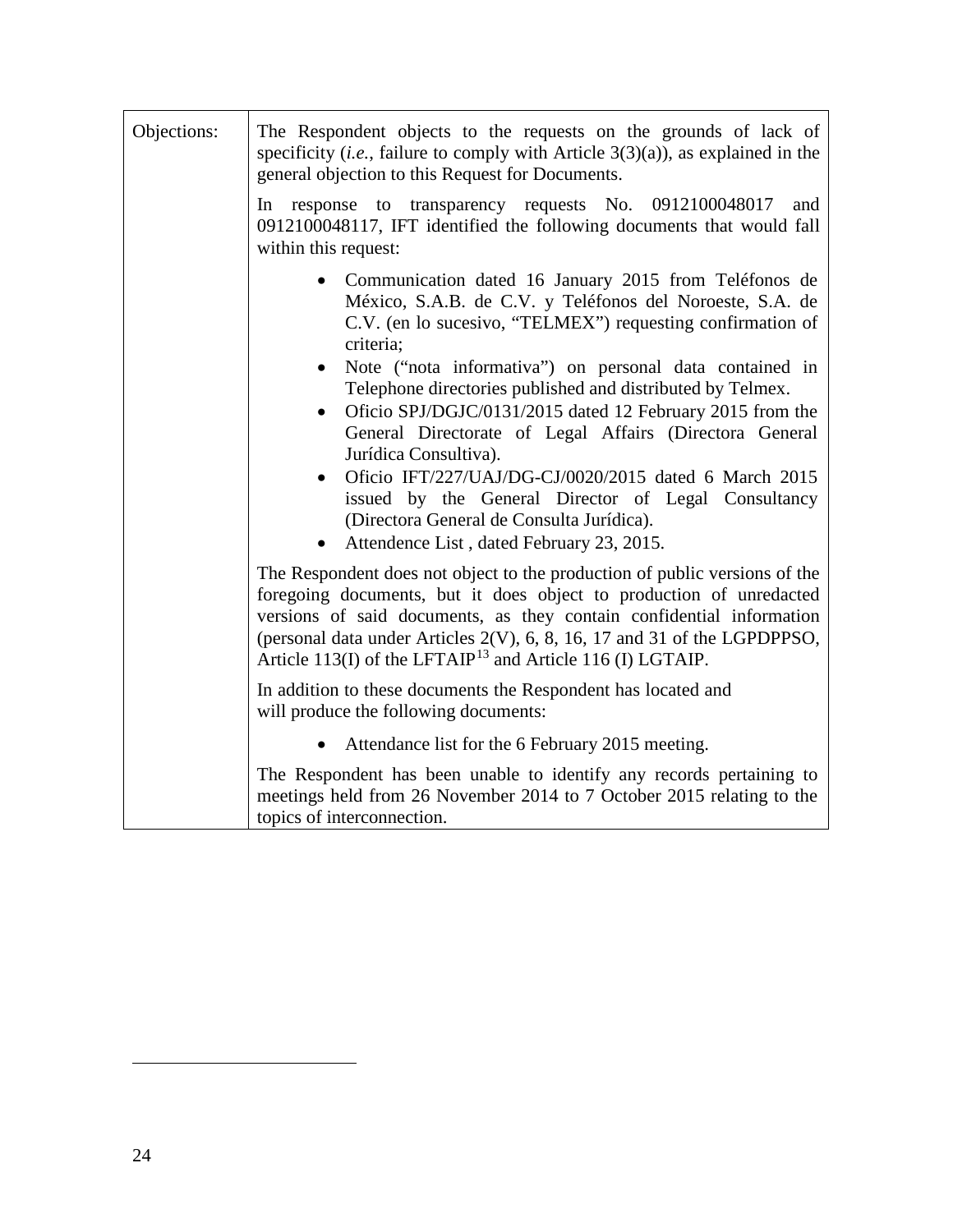<span id="page-23-0"></span>

| Objections: | The Respondent objects to the requests on the grounds of lack of<br>specificity ( <i>i.e.</i> , failure to comply with Article $3(3)(a)$ ), as explained in the<br>general objection to this Request for Documents.<br>In response to transparency requests No. 0912100048017<br>and<br>0912100048117, IFT identified the following documents that would fall<br>within this request:                                                                                                                                                                                                                                                                                                         |
|-------------|-----------------------------------------------------------------------------------------------------------------------------------------------------------------------------------------------------------------------------------------------------------------------------------------------------------------------------------------------------------------------------------------------------------------------------------------------------------------------------------------------------------------------------------------------------------------------------------------------------------------------------------------------------------------------------------------------|
|             | Communication dated 16 January 2015 from Teléfonos de<br>México, S.A.B. de C.V. y Teléfonos del Noroeste, S.A. de<br>C.V. (en lo sucesivo, "TELMEX") requesting confirmation of<br>criteria;<br>Note ("nota informativa") on personal data contained in<br>Telephone directories published and distributed by Telmex.<br>Oficio SPJ/DGJC/0131/2015 dated 12 February 2015 from the<br>$\bullet$<br>General Directorate of Legal Affairs (Directora General<br>Jurídica Consultiva).<br>Oficio IFT/227/UAJ/DG-CJ/0020/2015 dated 6 March 2015<br>issued by the General Director of Legal Consultancy<br>(Directora General de Consulta Jurídica).<br>Attendence List, dated February 23, 2015. |
|             | The Respondent does not object to the production of public versions of the<br>foregoing documents, but it does object to production of unredacted<br>versions of said documents, as they contain confidential information<br>(personal data under Articles 2(V), 6, 8, 16, 17 and 31 of the LGPDPPSO,<br>Article 113(I) of the LFTAIP <sup>13</sup> and Article 116 (I) LGTAIP.                                                                                                                                                                                                                                                                                                               |
|             | In addition to these documents the Respondent has located and<br>will produce the following documents:                                                                                                                                                                                                                                                                                                                                                                                                                                                                                                                                                                                        |
|             | Attendance list for the 6 February 2015 meeting.                                                                                                                                                                                                                                                                                                                                                                                                                                                                                                                                                                                                                                              |
|             | The Respondent has been unable to identify any records pertaining to<br>meetings held from 26 November 2014 to 7 October 2015 relating to the<br>topics of interconnection.                                                                                                                                                                                                                                                                                                                                                                                                                                                                                                                   |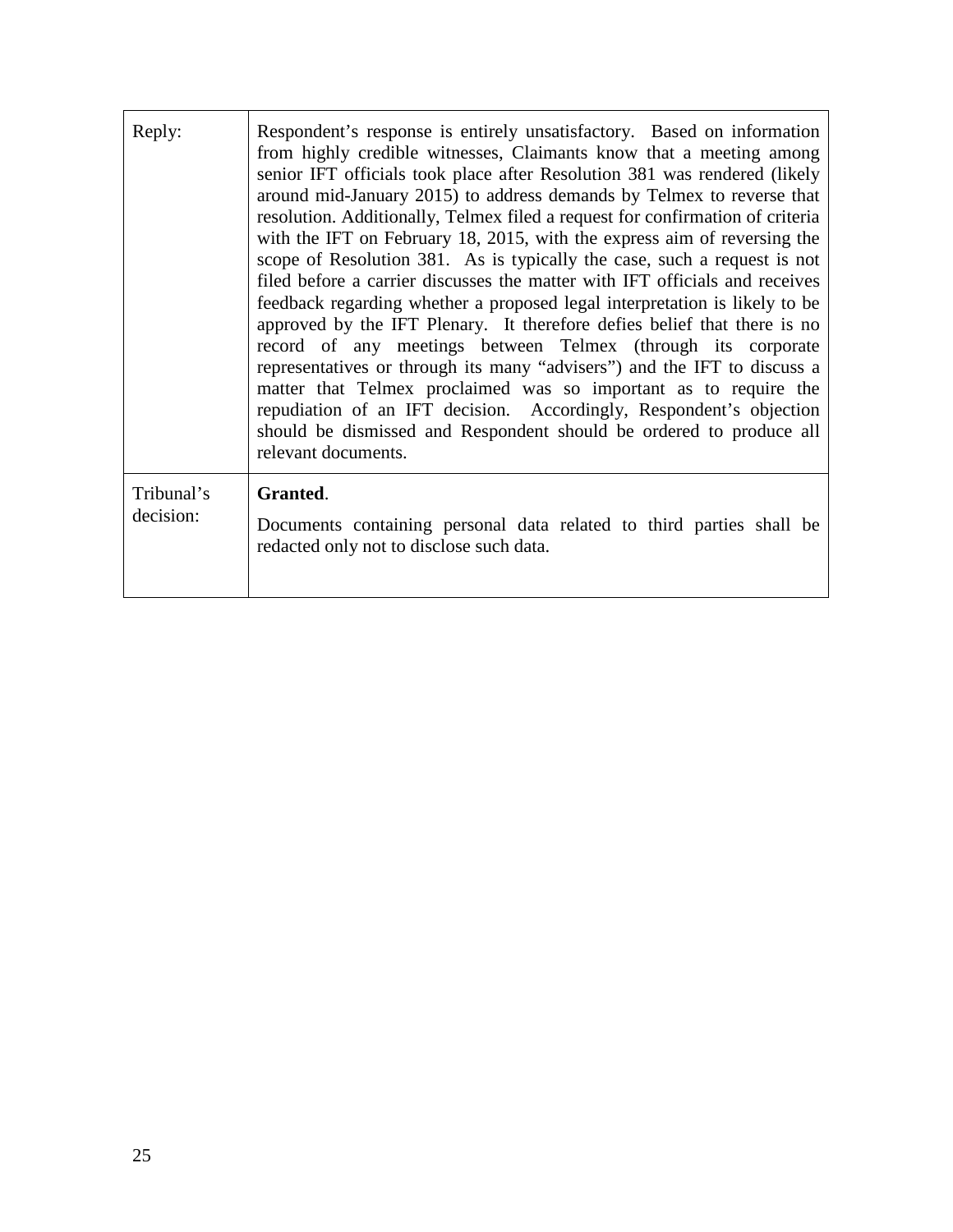| Reply:                  | Respondent's response is entirely unsatisfactory. Based on information<br>from highly credible witnesses, Claimants know that a meeting among<br>senior IFT officials took place after Resolution 381 was rendered (likely<br>around mid-January 2015) to address demands by Telmex to reverse that<br>resolution. Additionally, Telmex filed a request for confirmation of criteria<br>with the IFT on February 18, 2015, with the express aim of reversing the<br>scope of Resolution 381. As is typically the case, such a request is not<br>filed before a carrier discusses the matter with IFT officials and receives<br>feedback regarding whether a proposed legal interpretation is likely to be<br>approved by the IFT Plenary. It therefore defies belief that there is no<br>record of any meetings between Telmex (through its corporate<br>representatives or through its many "advisers") and the IFT to discuss a<br>matter that Telmex proclaimed was so important as to require the<br>repudiation of an IFT decision. Accordingly, Respondent's objection<br>should be dismissed and Respondent should be ordered to produce all<br>relevant documents. |
|-------------------------|----------------------------------------------------------------------------------------------------------------------------------------------------------------------------------------------------------------------------------------------------------------------------------------------------------------------------------------------------------------------------------------------------------------------------------------------------------------------------------------------------------------------------------------------------------------------------------------------------------------------------------------------------------------------------------------------------------------------------------------------------------------------------------------------------------------------------------------------------------------------------------------------------------------------------------------------------------------------------------------------------------------------------------------------------------------------------------------------------------------------------------------------------------------------------|
| Tribunal's<br>decision: | Granted.<br>Documents containing personal data related to third parties shall be<br>redacted only not to disclose such data.                                                                                                                                                                                                                                                                                                                                                                                                                                                                                                                                                                                                                                                                                                                                                                                                                                                                                                                                                                                                                                               |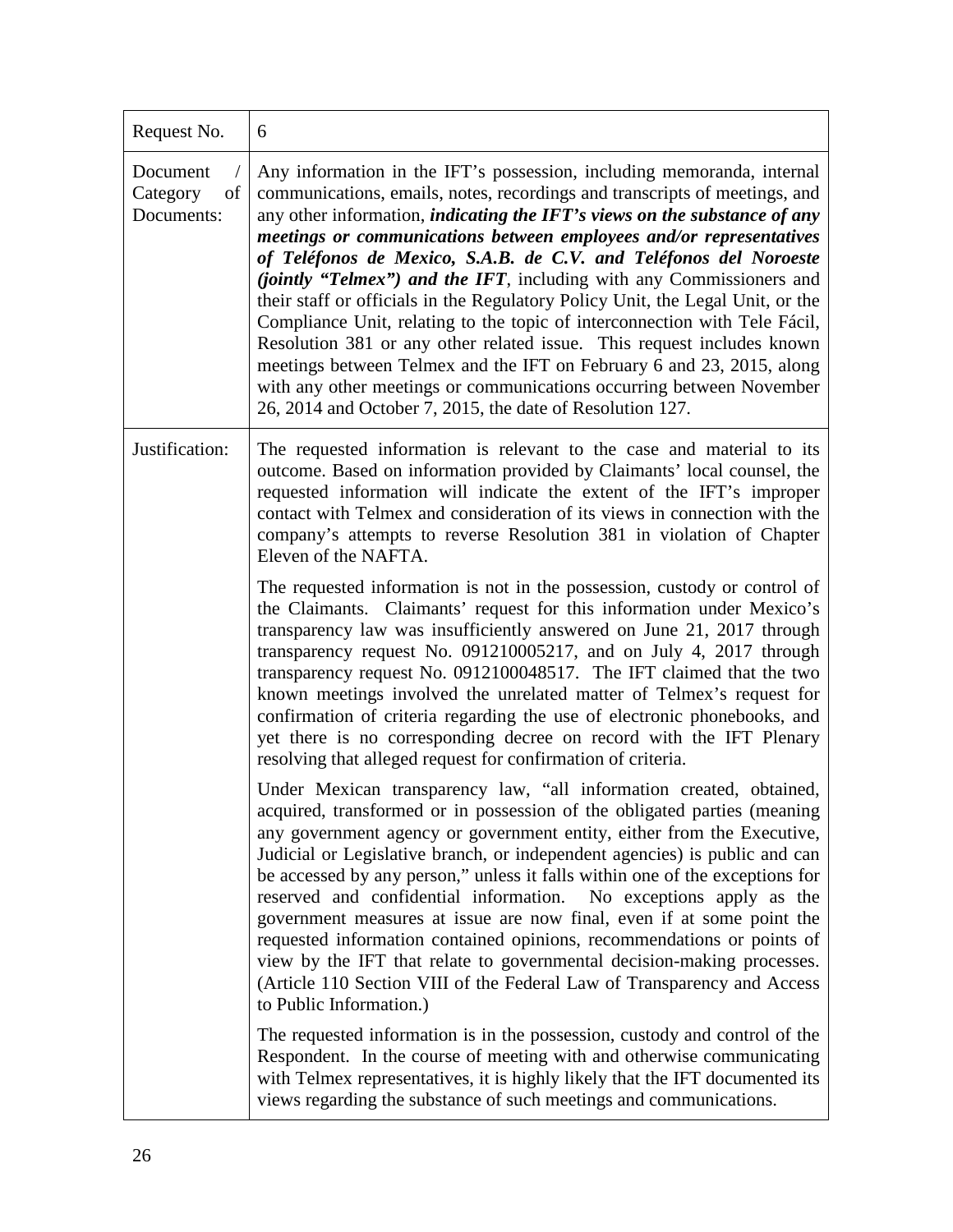| Request No.                              | 6                                                                                                                                                                                                                                                                                                                                                                                                                                                                                                                                                                                                                                                                                                                                                                                                                                                                                                                            |
|------------------------------------------|------------------------------------------------------------------------------------------------------------------------------------------------------------------------------------------------------------------------------------------------------------------------------------------------------------------------------------------------------------------------------------------------------------------------------------------------------------------------------------------------------------------------------------------------------------------------------------------------------------------------------------------------------------------------------------------------------------------------------------------------------------------------------------------------------------------------------------------------------------------------------------------------------------------------------|
| Document<br>Category<br>of<br>Documents: | Any information in the IFT's possession, including memoranda, internal<br>communications, emails, notes, recordings and transcripts of meetings, and<br>any other information, <i>indicating the IFT's views on the substance of any</i><br>meetings or communications between employees and/or representatives<br>of Teléfonos de Mexico, S.A.B. de C.V. and Teléfonos del Noroeste<br><i>(jointly "Telmex") and the IFT</i> , including with any Commissioners and<br>their staff or officials in the Regulatory Policy Unit, the Legal Unit, or the<br>Compliance Unit, relating to the topic of interconnection with Tele Fácil,<br>Resolution 381 or any other related issue. This request includes known<br>meetings between Telmex and the IFT on February 6 and 23, 2015, along<br>with any other meetings or communications occurring between November<br>26, 2014 and October 7, 2015, the date of Resolution 127. |
| Justification:                           | The requested information is relevant to the case and material to its<br>outcome. Based on information provided by Claimants' local counsel, the<br>requested information will indicate the extent of the IFT's improper<br>contact with Telmex and consideration of its views in connection with the<br>company's attempts to reverse Resolution 381 in violation of Chapter<br>Eleven of the NAFTA.                                                                                                                                                                                                                                                                                                                                                                                                                                                                                                                        |
|                                          | The requested information is not in the possession, custody or control of<br>the Claimants. Claimants' request for this information under Mexico's<br>transparency law was insufficiently answered on June 21, 2017 through<br>transparency request No. 091210005217, and on July 4, 2017 through<br>transparency request No. 0912100048517. The IFT claimed that the two<br>known meetings involved the unrelated matter of Telmex's request for<br>confirmation of criteria regarding the use of electronic phonebooks, and<br>yet there is no corresponding decree on record with the IFT Plenary<br>resolving that alleged request for confirmation of criteria.                                                                                                                                                                                                                                                         |
|                                          | Under Mexican transparency law, "all information created, obtained,<br>acquired, transformed or in possession of the obligated parties (meaning<br>any government agency or government entity, either from the Executive,<br>Judicial or Legislative branch, or independent agencies) is public and can<br>be accessed by any person," unless it falls within one of the exceptions for<br>reserved and confidential information.<br>No exceptions apply as the<br>government measures at issue are now final, even if at some point the<br>requested information contained opinions, recommendations or points of<br>view by the IFT that relate to governmental decision-making processes.<br>(Article 110 Section VIII of the Federal Law of Transparency and Access<br>to Public Information.)                                                                                                                           |
|                                          | The requested information is in the possession, custody and control of the<br>Respondent. In the course of meeting with and otherwise communicating<br>with Telmex representatives, it is highly likely that the IFT documented its<br>views regarding the substance of such meetings and communications.                                                                                                                                                                                                                                                                                                                                                                                                                                                                                                                                                                                                                    |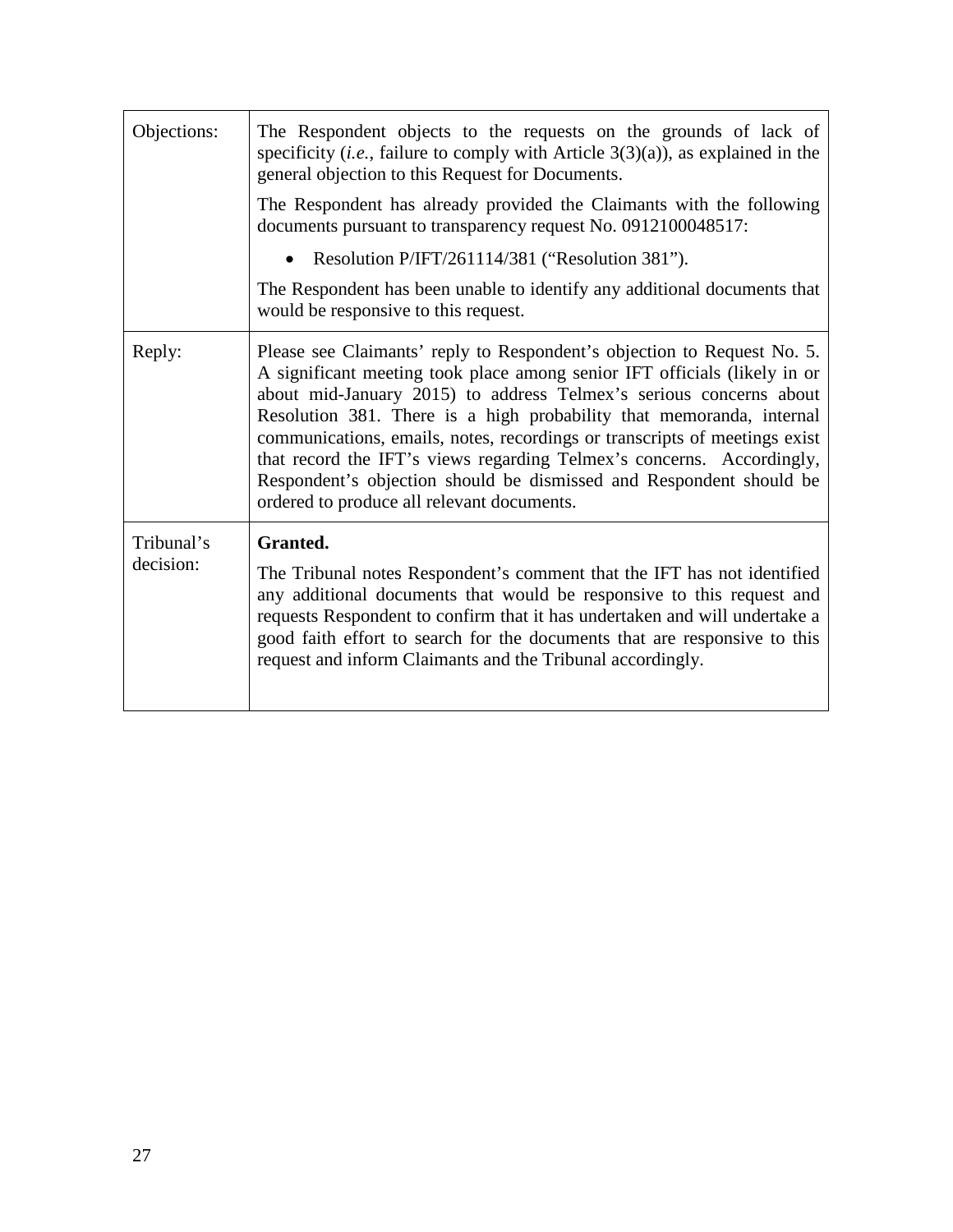| Objections:             | The Respondent objects to the requests on the grounds of lack of<br>specificity ( <i>i.e.</i> , failure to comply with Article $3(3)(a)$ ), as explained in the<br>general objection to this Request for Documents.                                                                                                                                                                                                                                                                                                                                                            |
|-------------------------|--------------------------------------------------------------------------------------------------------------------------------------------------------------------------------------------------------------------------------------------------------------------------------------------------------------------------------------------------------------------------------------------------------------------------------------------------------------------------------------------------------------------------------------------------------------------------------|
|                         | The Respondent has already provided the Claimants with the following<br>documents pursuant to transparency request No. 0912100048517:                                                                                                                                                                                                                                                                                                                                                                                                                                          |
|                         | Resolution P/IFT/261114/381 ("Resolution 381").<br>$\bullet$                                                                                                                                                                                                                                                                                                                                                                                                                                                                                                                   |
|                         | The Respondent has been unable to identify any additional documents that<br>would be responsive to this request.                                                                                                                                                                                                                                                                                                                                                                                                                                                               |
| Reply:                  | Please see Claimants' reply to Respondent's objection to Request No. 5.<br>A significant meeting took place among senior IFT officials (likely in or<br>about mid-January 2015) to address Telmex's serious concerns about<br>Resolution 381. There is a high probability that memoranda, internal<br>communications, emails, notes, recordings or transcripts of meetings exist<br>that record the IFT's views regarding Telmex's concerns. Accordingly,<br>Respondent's objection should be dismissed and Respondent should be<br>ordered to produce all relevant documents. |
| Tribunal's<br>decision: | Granted.<br>The Tribunal notes Respondent's comment that the IFT has not identified<br>any additional documents that would be responsive to this request and<br>requests Respondent to confirm that it has undertaken and will undertake a<br>good faith effort to search for the documents that are responsive to this<br>request and inform Claimants and the Tribunal accordingly.                                                                                                                                                                                          |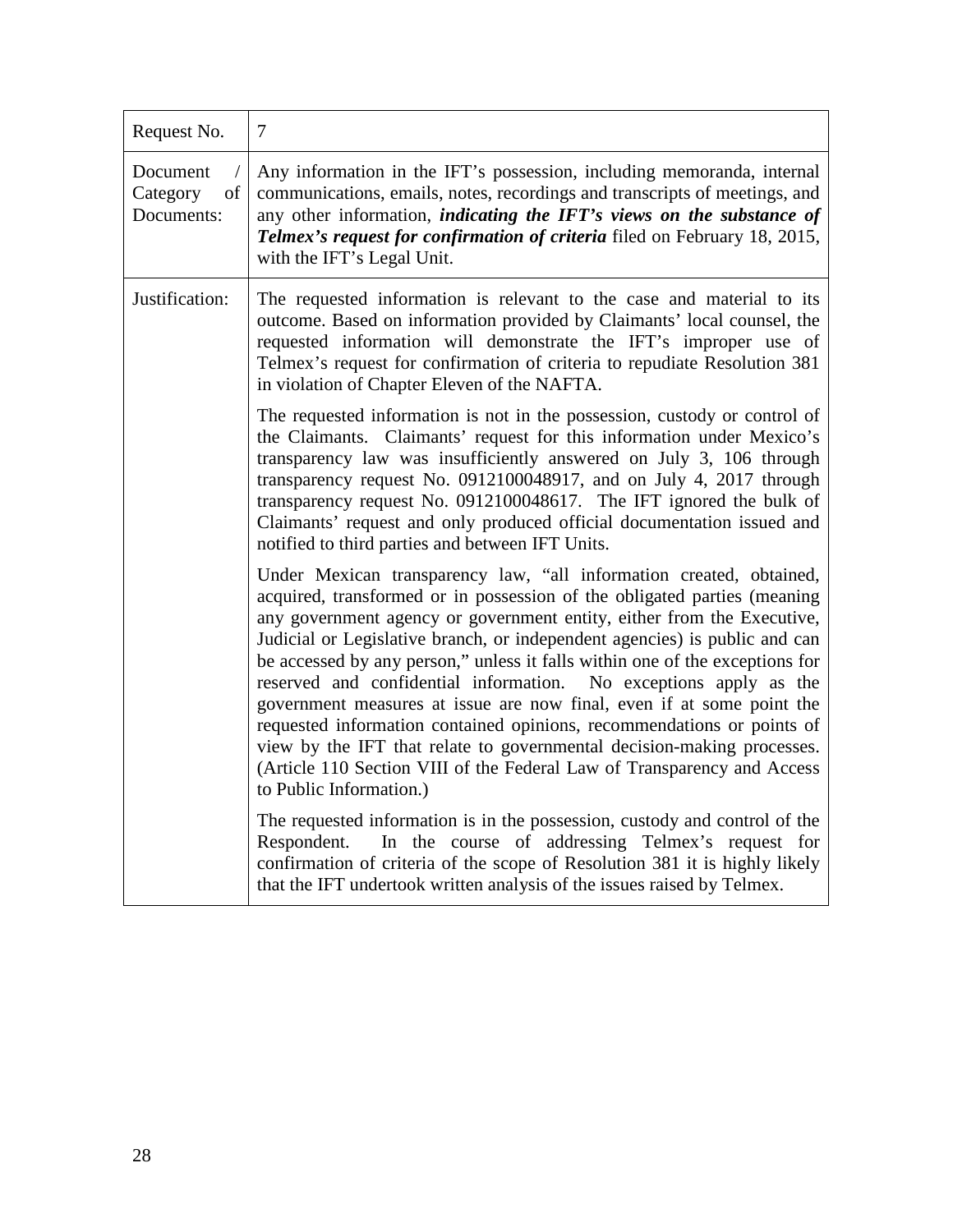| Request No.                              | $\overline{7}$                                                                                                                                                                                                                                                                                                                                                                                                                                                                                                                                                                                                                                                                                                                                                                                                                                                                                                                                                                                                                  |
|------------------------------------------|---------------------------------------------------------------------------------------------------------------------------------------------------------------------------------------------------------------------------------------------------------------------------------------------------------------------------------------------------------------------------------------------------------------------------------------------------------------------------------------------------------------------------------------------------------------------------------------------------------------------------------------------------------------------------------------------------------------------------------------------------------------------------------------------------------------------------------------------------------------------------------------------------------------------------------------------------------------------------------------------------------------------------------|
| Document<br>Category<br>of<br>Documents: | Any information in the IFT's possession, including memoranda, internal<br>communications, emails, notes, recordings and transcripts of meetings, and<br>any other information, <i>indicating the IFT's views on the substance of</i><br>Telmex's request for confirmation of criteria filed on February 18, 2015,<br>with the IFT's Legal Unit.                                                                                                                                                                                                                                                                                                                                                                                                                                                                                                                                                                                                                                                                                 |
| Justification:                           | The requested information is relevant to the case and material to its<br>outcome. Based on information provided by Claimants' local counsel, the<br>requested information will demonstrate the IFT's improper use of<br>Telmex's request for confirmation of criteria to repudiate Resolution 381<br>in violation of Chapter Eleven of the NAFTA.                                                                                                                                                                                                                                                                                                                                                                                                                                                                                                                                                                                                                                                                               |
|                                          | The requested information is not in the possession, custody or control of<br>the Claimants. Claimants' request for this information under Mexico's<br>transparency law was insufficiently answered on July 3, 106 through<br>transparency request No. 0912100048917, and on July 4, 2017 through<br>transparency request No. 0912100048617. The IFT ignored the bulk of<br>Claimants' request and only produced official documentation issued and<br>notified to third parties and between IFT Units.                                                                                                                                                                                                                                                                                                                                                                                                                                                                                                                           |
|                                          | Under Mexican transparency law, "all information created, obtained,<br>acquired, transformed or in possession of the obligated parties (meaning<br>any government agency or government entity, either from the Executive,<br>Judicial or Legislative branch, or independent agencies) is public and can<br>be accessed by any person," unless it falls within one of the exceptions for<br>reserved and confidential information. No exceptions apply as the<br>government measures at issue are now final, even if at some point the<br>requested information contained opinions, recommendations or points of<br>view by the IFT that relate to governmental decision-making processes.<br>(Article 110 Section VIII of the Federal Law of Transparency and Access<br>to Public Information.)<br>The requested information is in the possession, custody and control of the<br>In the course of addressing Telmex's request for<br>Respondent.<br>confirmation of criteria of the scope of Resolution 381 it is highly likely |
|                                          | that the IFT undertook written analysis of the issues raised by Telmex.                                                                                                                                                                                                                                                                                                                                                                                                                                                                                                                                                                                                                                                                                                                                                                                                                                                                                                                                                         |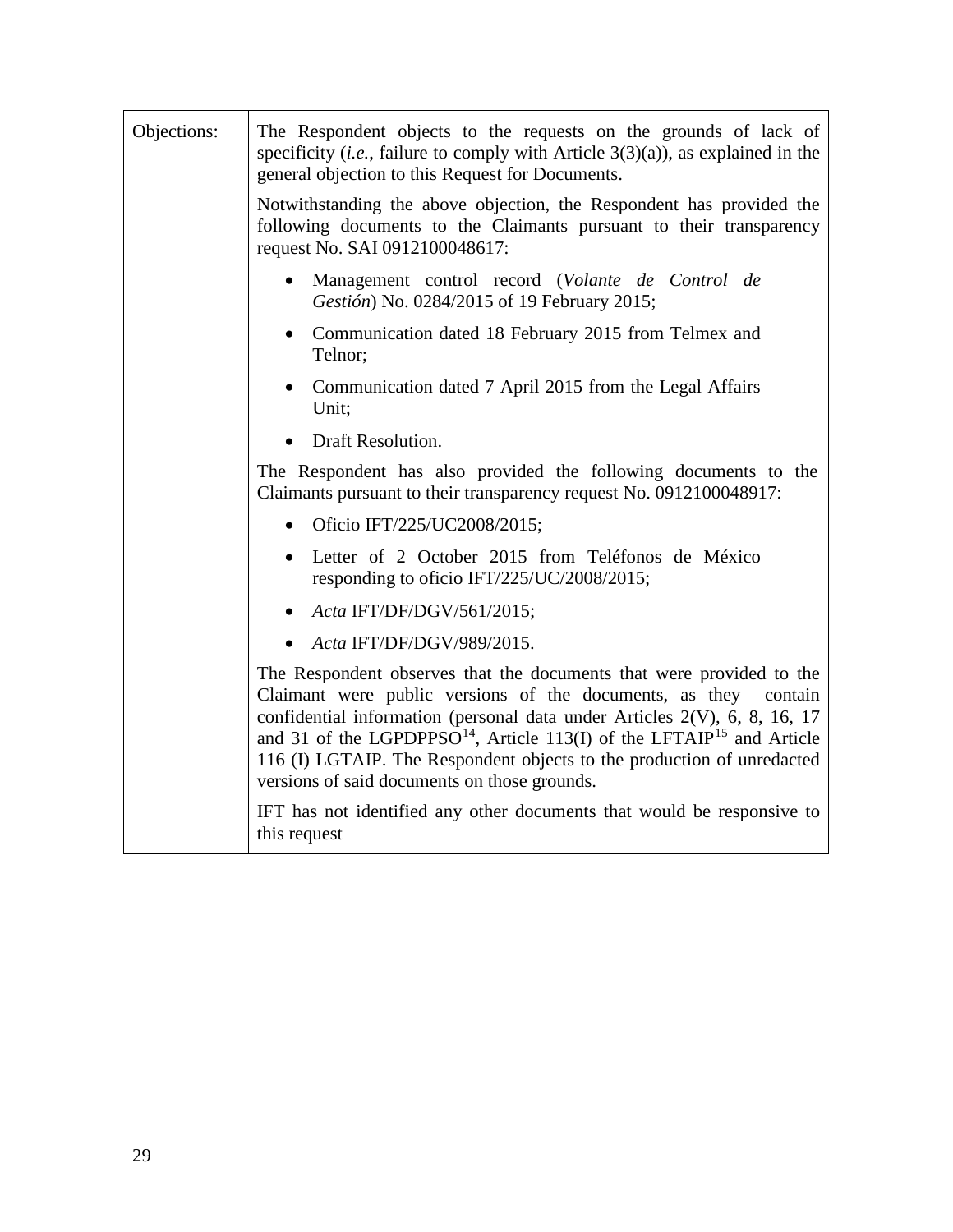<span id="page-28-1"></span><span id="page-28-0"></span>

| Objections: | The Respondent objects to the requests on the grounds of lack of<br>specificity ( <i>i.e.</i> , failure to comply with Article $3(3)(a)$ ), as explained in the<br>general objection to this Request for Documents.                                                                                                                                                                                                                             |
|-------------|-------------------------------------------------------------------------------------------------------------------------------------------------------------------------------------------------------------------------------------------------------------------------------------------------------------------------------------------------------------------------------------------------------------------------------------------------|
|             | Notwithstanding the above objection, the Respondent has provided the<br>following documents to the Claimants pursuant to their transparency<br>request No. SAI 0912100048617:                                                                                                                                                                                                                                                                   |
|             | Management control record (Volante de Control de<br>Gestión) No. 0284/2015 of 19 February 2015;                                                                                                                                                                                                                                                                                                                                                 |
|             | • Communication dated 18 February 2015 from Telmex and<br>Telnor;                                                                                                                                                                                                                                                                                                                                                                               |
|             | • Communication dated 7 April 2015 from the Legal Affairs<br>Unit:                                                                                                                                                                                                                                                                                                                                                                              |
|             | <b>Draft Resolution.</b>                                                                                                                                                                                                                                                                                                                                                                                                                        |
|             | The Respondent has also provided the following documents to the<br>Claimants pursuant to their transparency request No. 0912100048917:                                                                                                                                                                                                                                                                                                          |
|             | • Oficio IFT/225/UC2008/2015;                                                                                                                                                                                                                                                                                                                                                                                                                   |
|             | · Letter of 2 October 2015 from Teléfonos de México<br>responding to oficio IFT/225/UC/2008/2015;                                                                                                                                                                                                                                                                                                                                               |
|             | • Acta IFT/DF/DGV/561/2015;                                                                                                                                                                                                                                                                                                                                                                                                                     |
|             | Acta IFT/DF/DGV/989/2015.                                                                                                                                                                                                                                                                                                                                                                                                                       |
|             | The Respondent observes that the documents that were provided to the<br>Claimant were public versions of the documents, as they contain<br>confidential information (personal data under Articles 2(V), 6, 8, 16, 17<br>and 31 of the LGPDPPSO <sup>14</sup> , Article 113(I) of the LFTAIP <sup>15</sup> and Article<br>116 (I) LGTAIP. The Respondent objects to the production of unredacted<br>versions of said documents on those grounds. |
|             | IFT has not identified any other documents that would be responsive to<br>this request                                                                                                                                                                                                                                                                                                                                                          |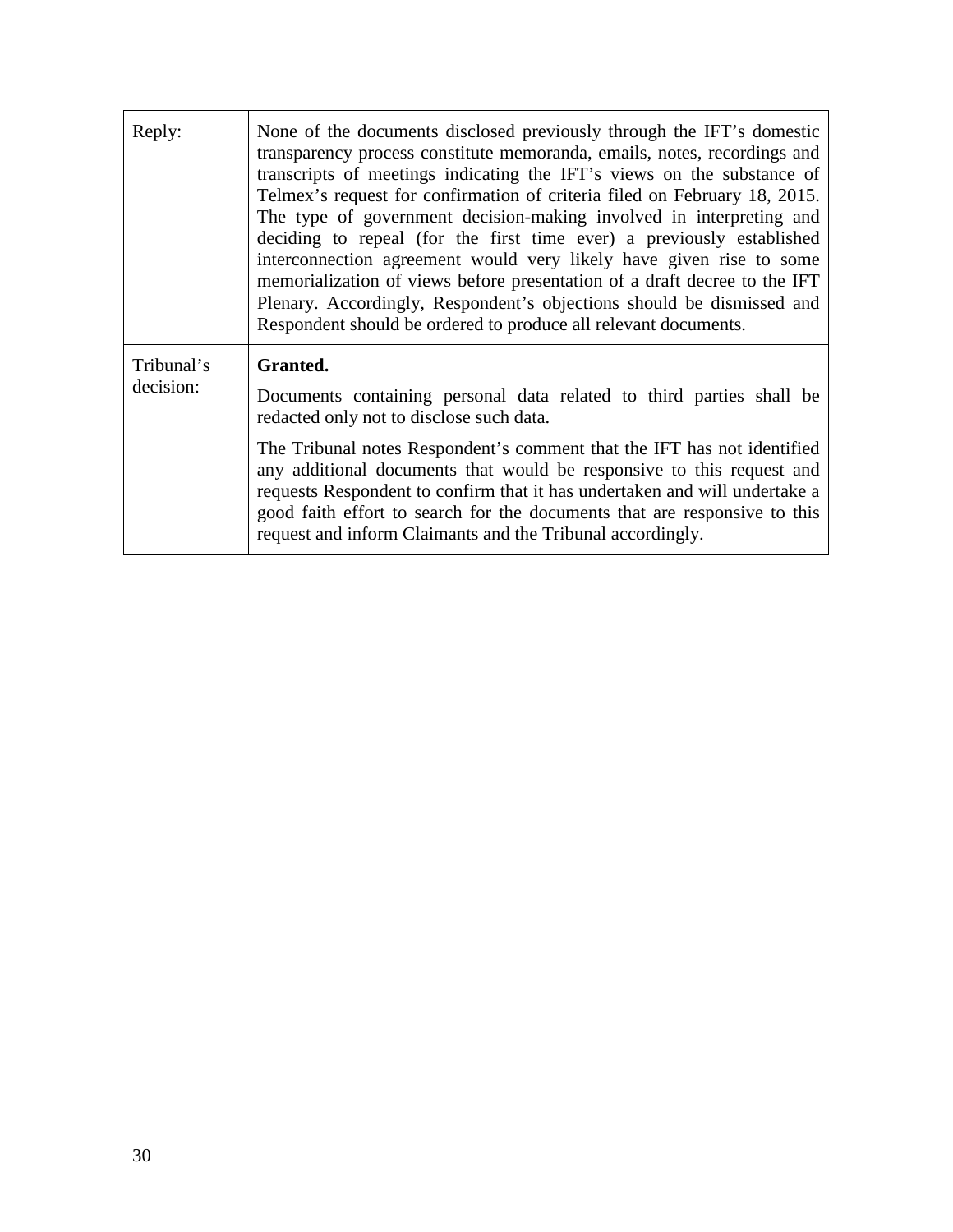| Reply:                  | None of the documents disclosed previously through the IFT's domestic<br>transparency process constitute memoranda, emails, notes, recordings and<br>transcripts of meetings indicating the IFT's views on the substance of<br>Telmex's request for confirmation of criteria filed on February 18, 2015.<br>The type of government decision-making involved in interpreting and<br>deciding to repeal (for the first time ever) a previously established<br>interconnection agreement would very likely have given rise to some<br>memorialization of views before presentation of a draft decree to the IFT<br>Plenary. Accordingly, Respondent's objections should be dismissed and<br>Respondent should be ordered to produce all relevant documents. |
|-------------------------|----------------------------------------------------------------------------------------------------------------------------------------------------------------------------------------------------------------------------------------------------------------------------------------------------------------------------------------------------------------------------------------------------------------------------------------------------------------------------------------------------------------------------------------------------------------------------------------------------------------------------------------------------------------------------------------------------------------------------------------------------------|
| Tribunal's<br>decision: | Granted.<br>Documents containing personal data related to third parties shall be<br>redacted only not to disclose such data.                                                                                                                                                                                                                                                                                                                                                                                                                                                                                                                                                                                                                             |
|                         | The Tribunal notes Respondent's comment that the IFT has not identified<br>any additional documents that would be responsive to this request and<br>requests Respondent to confirm that it has undertaken and will undertake a<br>good faith effort to search for the documents that are responsive to this<br>request and inform Claimants and the Tribunal accordingly.                                                                                                                                                                                                                                                                                                                                                                                |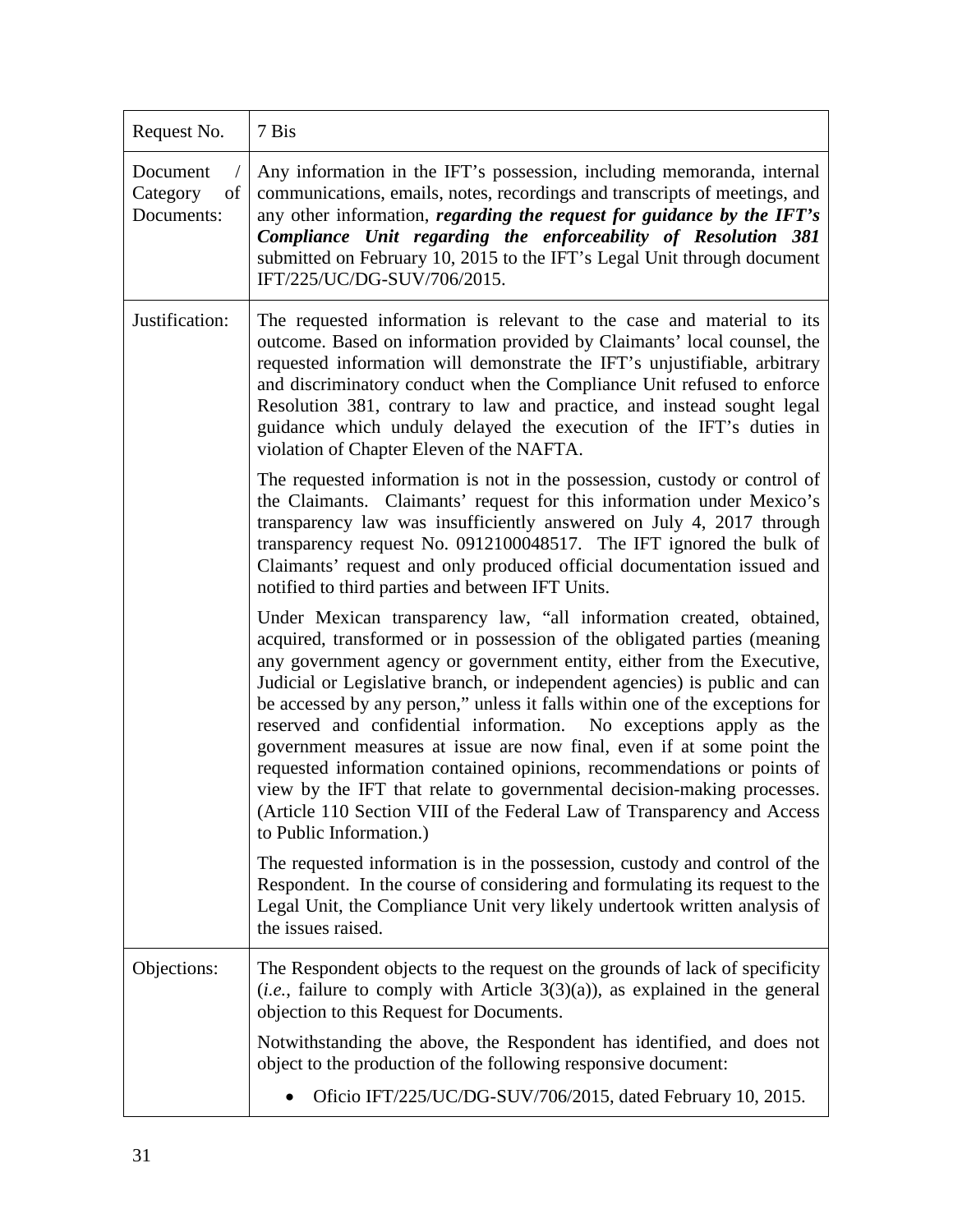| Request No.                              | 7 Bis                                                                                                                                                                                                                                                                                                                                                                                                                                                                                                                                                                                                                                                                                                                                                                                           |
|------------------------------------------|-------------------------------------------------------------------------------------------------------------------------------------------------------------------------------------------------------------------------------------------------------------------------------------------------------------------------------------------------------------------------------------------------------------------------------------------------------------------------------------------------------------------------------------------------------------------------------------------------------------------------------------------------------------------------------------------------------------------------------------------------------------------------------------------------|
| Document<br>Category<br>of<br>Documents: | Any information in the IFT's possession, including memoranda, internal<br>communications, emails, notes, recordings and transcripts of meetings, and<br>any other information, regarding the request for guidance by the IFT's<br>Compliance Unit regarding the enforceability of Resolution 381<br>submitted on February 10, 2015 to the IFT's Legal Unit through document<br>IFT/225/UC/DG-SUV/706/2015.                                                                                                                                                                                                                                                                                                                                                                                      |
| Justification:                           | The requested information is relevant to the case and material to its<br>outcome. Based on information provided by Claimants' local counsel, the<br>requested information will demonstrate the IFT's unjustifiable, arbitrary<br>and discriminatory conduct when the Compliance Unit refused to enforce<br>Resolution 381, contrary to law and practice, and instead sought legal<br>guidance which unduly delayed the execution of the IFT's duties in<br>violation of Chapter Eleven of the NAFTA.                                                                                                                                                                                                                                                                                            |
|                                          | The requested information is not in the possession, custody or control of<br>the Claimants. Claimants' request for this information under Mexico's<br>transparency law was insufficiently answered on July 4, 2017 through<br>transparency request No. 0912100048517. The IFT ignored the bulk of<br>Claimants' request and only produced official documentation issued and<br>notified to third parties and between IFT Units.                                                                                                                                                                                                                                                                                                                                                                 |
|                                          | Under Mexican transparency law, "all information created, obtained,<br>acquired, transformed or in possession of the obligated parties (meaning<br>any government agency or government entity, either from the Executive,<br>Judicial or Legislative branch, or independent agencies) is public and can<br>be accessed by any person," unless it falls within one of the exceptions for<br>reserved and confidential information. No exceptions apply as the<br>government measures at issue are now final, even if at some point the<br>requested information contained opinions, recommendations or points of<br>view by the IFT that relate to governmental decision-making processes.<br>(Article 110 Section VIII of the Federal Law of Transparency and Access<br>to Public Information.) |
|                                          | The requested information is in the possession, custody and control of the<br>Respondent. In the course of considering and formulating its request to the<br>Legal Unit, the Compliance Unit very likely undertook written analysis of<br>the issues raised.                                                                                                                                                                                                                                                                                                                                                                                                                                                                                                                                    |
| Objections:                              | The Respondent objects to the request on the grounds of lack of specificity<br>$(i.e., failure to comply with Article 3(3)(a)), as explained in the general$<br>objection to this Request for Documents.                                                                                                                                                                                                                                                                                                                                                                                                                                                                                                                                                                                        |
|                                          | Notwithstanding the above, the Respondent has identified, and does not<br>object to the production of the following responsive document:                                                                                                                                                                                                                                                                                                                                                                                                                                                                                                                                                                                                                                                        |
|                                          | Oficio IFT/225/UC/DG-SUV/706/2015, dated February 10, 2015.                                                                                                                                                                                                                                                                                                                                                                                                                                                                                                                                                                                                                                                                                                                                     |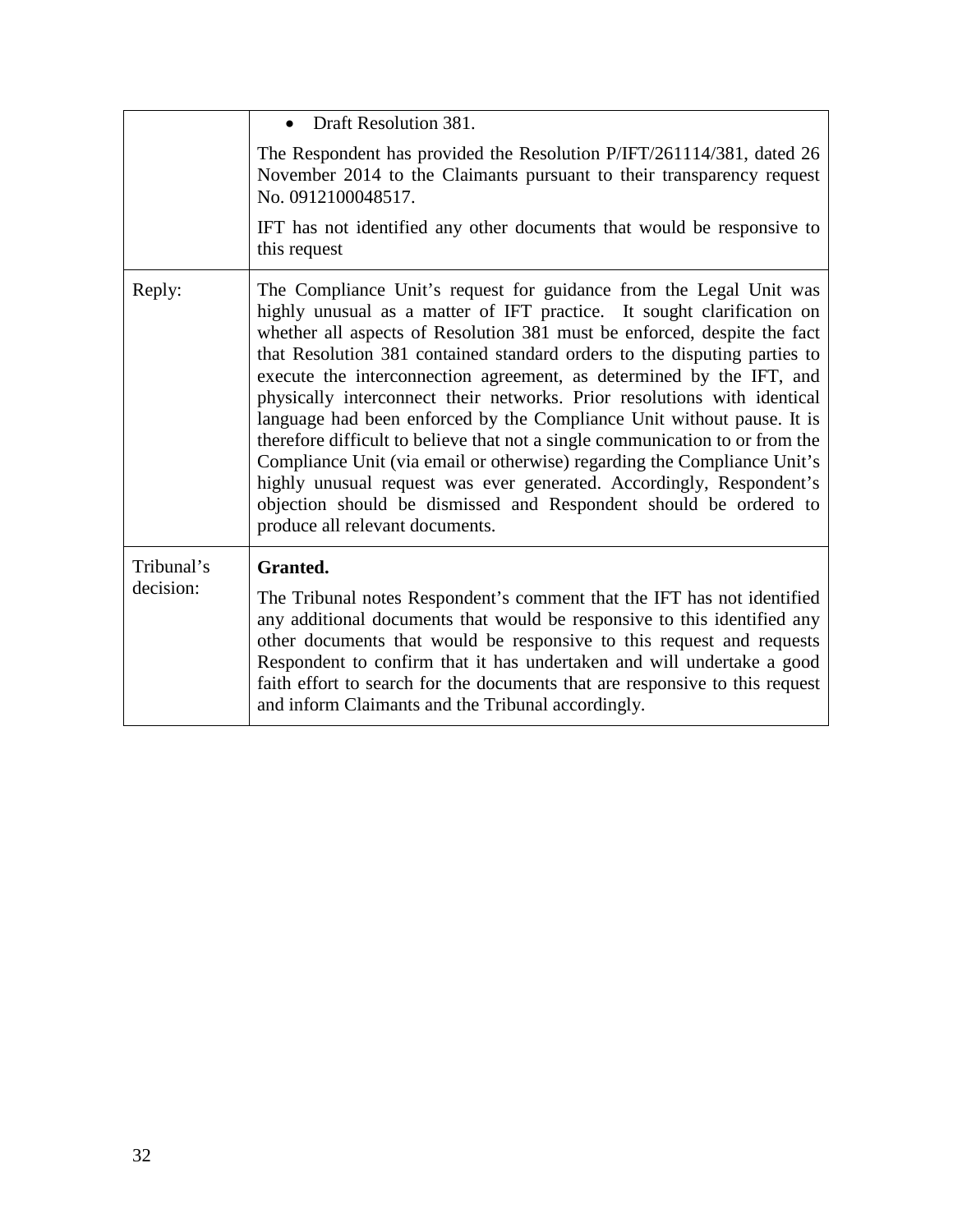|                         | • Draft Resolution 381.                                                                                                                                                                                                                                                                                                                                                                                                                                                                                                                                                                                                                                                                                                                                                                                                                                                          |
|-------------------------|----------------------------------------------------------------------------------------------------------------------------------------------------------------------------------------------------------------------------------------------------------------------------------------------------------------------------------------------------------------------------------------------------------------------------------------------------------------------------------------------------------------------------------------------------------------------------------------------------------------------------------------------------------------------------------------------------------------------------------------------------------------------------------------------------------------------------------------------------------------------------------|
|                         | The Respondent has provided the Resolution P/IFT/261114/381, dated 26<br>November 2014 to the Claimants pursuant to their transparency request<br>No. 0912100048517.                                                                                                                                                                                                                                                                                                                                                                                                                                                                                                                                                                                                                                                                                                             |
|                         | IFT has not identified any other documents that would be responsive to<br>this request                                                                                                                                                                                                                                                                                                                                                                                                                                                                                                                                                                                                                                                                                                                                                                                           |
| Reply:                  | The Compliance Unit's request for guidance from the Legal Unit was<br>highly unusual as a matter of IFT practice. It sought clarification on<br>whether all aspects of Resolution 381 must be enforced, despite the fact<br>that Resolution 381 contained standard orders to the disputing parties to<br>execute the interconnection agreement, as determined by the IFT, and<br>physically interconnect their networks. Prior resolutions with identical<br>language had been enforced by the Compliance Unit without pause. It is<br>therefore difficult to believe that not a single communication to or from the<br>Compliance Unit (via email or otherwise) regarding the Compliance Unit's<br>highly unusual request was ever generated. Accordingly, Respondent's<br>objection should be dismissed and Respondent should be ordered to<br>produce all relevant documents. |
| Tribunal's<br>decision: | Granted.<br>The Tribunal notes Respondent's comment that the IFT has not identified<br>any additional documents that would be responsive to this identified any<br>other documents that would be responsive to this request and requests<br>Respondent to confirm that it has undertaken and will undertake a good<br>faith effort to search for the documents that are responsive to this request<br>and inform Claimants and the Tribunal accordingly.                                                                                                                                                                                                                                                                                                                                                                                                                         |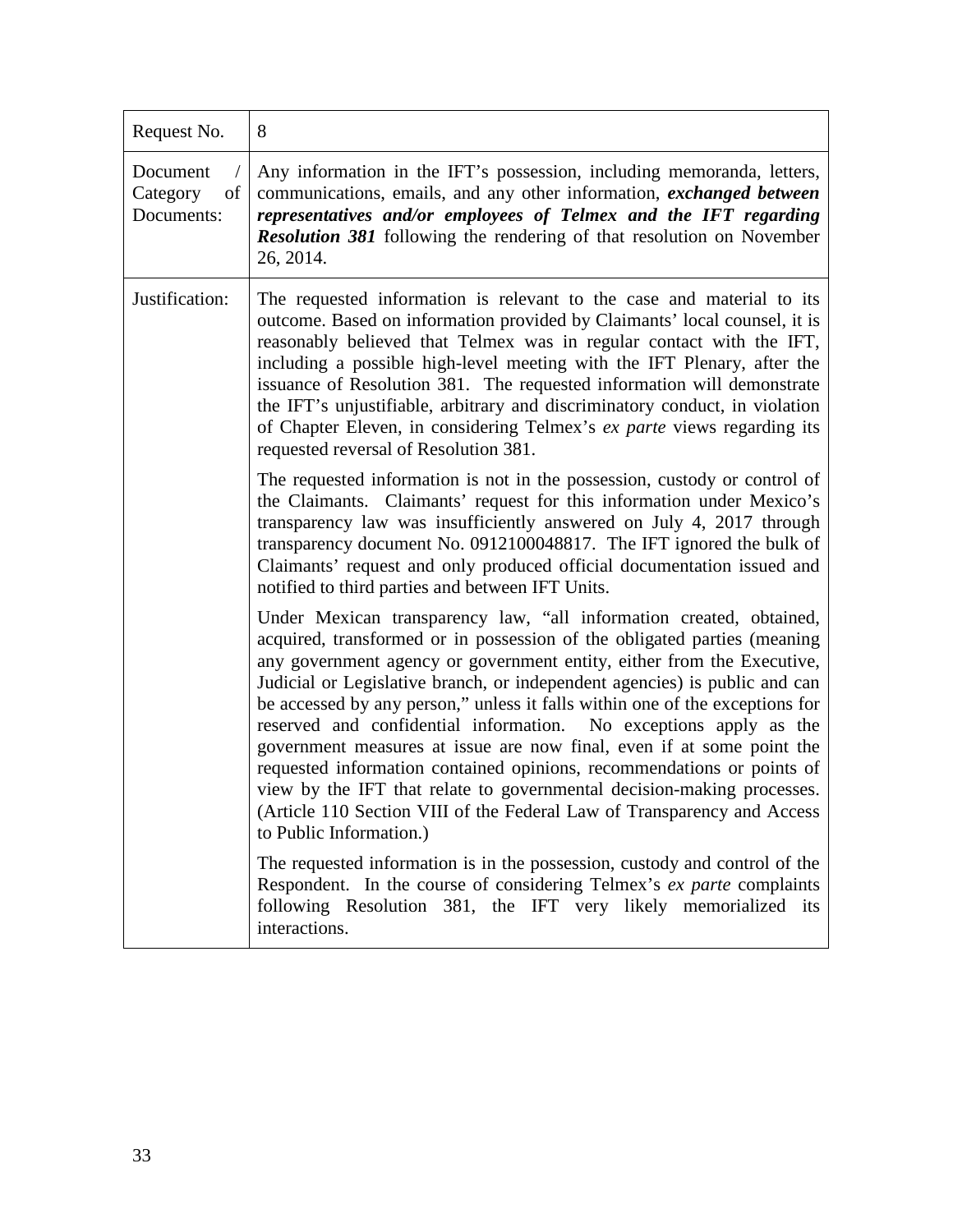| Request No.                              | 8                                                                                                                                                                                                                                                                                                                                                                                                                                                                                                                                                                                                                                                                                                                                                                                               |
|------------------------------------------|-------------------------------------------------------------------------------------------------------------------------------------------------------------------------------------------------------------------------------------------------------------------------------------------------------------------------------------------------------------------------------------------------------------------------------------------------------------------------------------------------------------------------------------------------------------------------------------------------------------------------------------------------------------------------------------------------------------------------------------------------------------------------------------------------|
| Document<br>Category<br>of<br>Documents: | Any information in the IFT's possession, including memoranda, letters,<br>communications, emails, and any other information, exchanged between<br>representatives and/or employees of Telmex and the IFT regarding<br>Resolution 381 following the rendering of that resolution on November<br>26, 2014.                                                                                                                                                                                                                                                                                                                                                                                                                                                                                        |
| Justification:                           | The requested information is relevant to the case and material to its<br>outcome. Based on information provided by Claimants' local counsel, it is<br>reasonably believed that Telmex was in regular contact with the IFT,<br>including a possible high-level meeting with the IFT Plenary, after the<br>issuance of Resolution 381. The requested information will demonstrate<br>the IFT's unjustifiable, arbitrary and discriminatory conduct, in violation<br>of Chapter Eleven, in considering Telmex's ex parte views regarding its<br>requested reversal of Resolution 381.                                                                                                                                                                                                              |
|                                          | The requested information is not in the possession, custody or control of<br>the Claimants. Claimants' request for this information under Mexico's<br>transparency law was insufficiently answered on July 4, 2017 through<br>transparency document No. 0912100048817. The IFT ignored the bulk of<br>Claimants' request and only produced official documentation issued and<br>notified to third parties and between IFT Units.                                                                                                                                                                                                                                                                                                                                                                |
|                                          | Under Mexican transparency law, "all information created, obtained,<br>acquired, transformed or in possession of the obligated parties (meaning<br>any government agency or government entity, either from the Executive,<br>Judicial or Legislative branch, or independent agencies) is public and can<br>be accessed by any person," unless it falls within one of the exceptions for<br>reserved and confidential information. No exceptions apply as the<br>government measures at issue are now final, even if at some point the<br>requested information contained opinions, recommendations or points of<br>view by the IFT that relate to governmental decision-making processes.<br>(Article 110 Section VIII of the Federal Law of Transparency and Access<br>to Public Information.) |
|                                          | The requested information is in the possession, custody and control of the<br>Respondent. In the course of considering Telmex's ex parte complaints<br>following Resolution 381, the IFT very likely memorialized its<br>interactions.                                                                                                                                                                                                                                                                                                                                                                                                                                                                                                                                                          |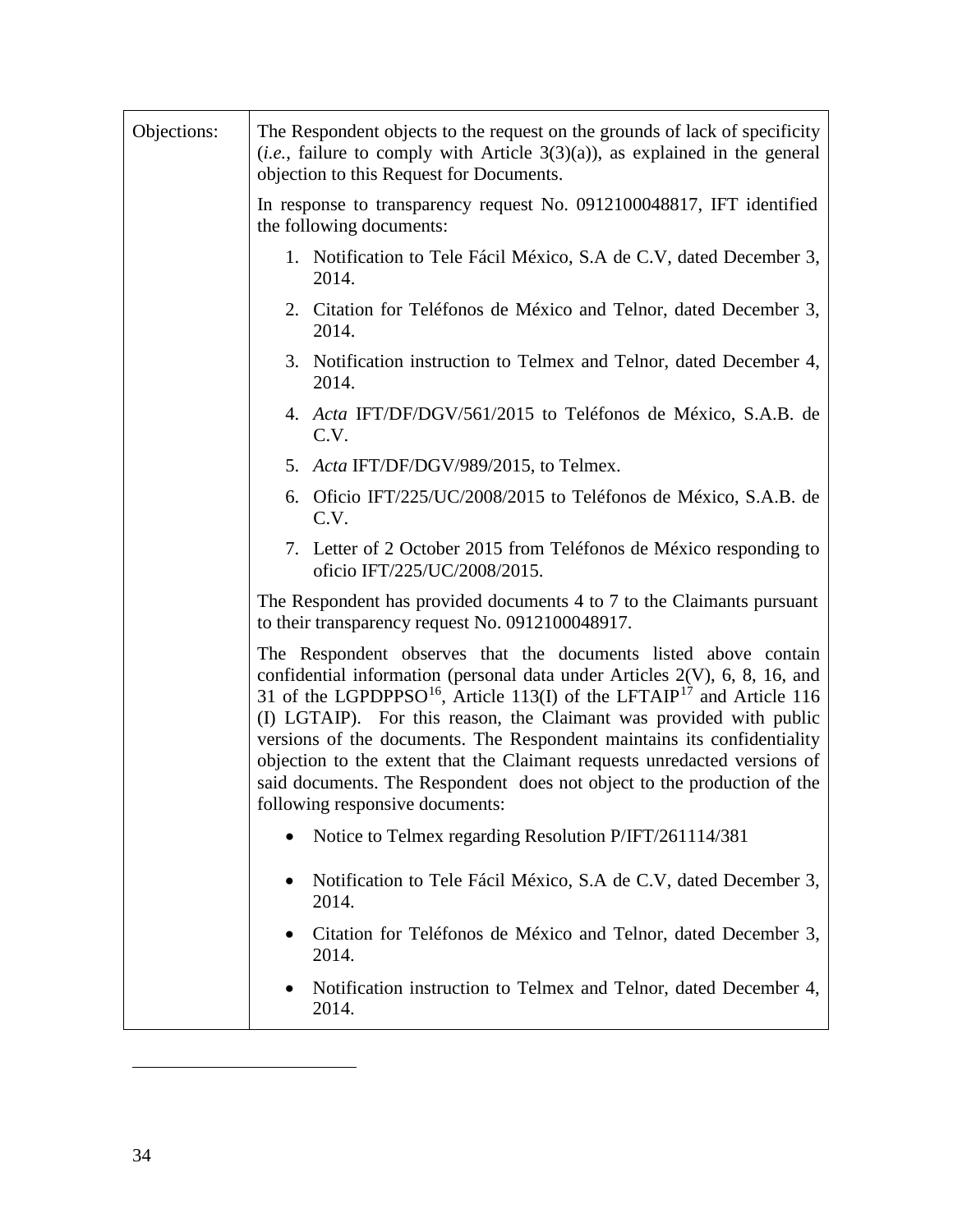<span id="page-33-1"></span><span id="page-33-0"></span>

| Objections: | The Respondent objects to the request on the grounds of lack of specificity<br>$(i.e.,$ failure to comply with Article 3(3)(a)), as explained in the general<br>objection to this Request for Documents.                                                                                                                                                                                                                                                                                                                                                                                    |
|-------------|---------------------------------------------------------------------------------------------------------------------------------------------------------------------------------------------------------------------------------------------------------------------------------------------------------------------------------------------------------------------------------------------------------------------------------------------------------------------------------------------------------------------------------------------------------------------------------------------|
|             | In response to transparency request No. 0912100048817, IFT identified<br>the following documents:                                                                                                                                                                                                                                                                                                                                                                                                                                                                                           |
|             | 1. Notification to Tele Fácil México, S.A de C.V, dated December 3,<br>2014.                                                                                                                                                                                                                                                                                                                                                                                                                                                                                                                |
|             | 2. Citation for Teléfonos de México and Telnor, dated December 3,<br>2014.                                                                                                                                                                                                                                                                                                                                                                                                                                                                                                                  |
|             | 3. Notification instruction to Telmex and Telnor, dated December 4,<br>2014.                                                                                                                                                                                                                                                                                                                                                                                                                                                                                                                |
|             | 4. Acta IFT/DF/DGV/561/2015 to Teléfonos de México, S.A.B. de<br>C.V.                                                                                                                                                                                                                                                                                                                                                                                                                                                                                                                       |
|             | 5. Acta IFT/DF/DGV/989/2015, to Telmex.                                                                                                                                                                                                                                                                                                                                                                                                                                                                                                                                                     |
|             | 6. Oficio IFT/225/UC/2008/2015 to Teléfonos de México, S.A.B. de<br>C.V.                                                                                                                                                                                                                                                                                                                                                                                                                                                                                                                    |
|             | 7. Letter of 2 October 2015 from Teléfonos de México responding to<br>oficio IFT/225/UC/2008/2015.                                                                                                                                                                                                                                                                                                                                                                                                                                                                                          |
|             | The Respondent has provided documents 4 to 7 to the Claimants pursuant<br>to their transparency request No. 0912100048917.                                                                                                                                                                                                                                                                                                                                                                                                                                                                  |
|             | The Respondent observes that the documents listed above contain<br>confidential information (personal data under Articles 2(V), 6, 8, 16, and<br>31 of the LGPDPPSO <sup>16</sup> , Article 113(I) of the LFTAIP <sup>17</sup> and Article 116<br>(I) LGTAIP). For this reason, the Claimant was provided with public<br>versions of the documents. The Respondent maintains its confidentiality<br>objection to the extent that the Claimant requests unredacted versions of<br>said documents. The Respondent does not object to the production of the<br>following responsive documents: |
|             | Notice to Telmex regarding Resolution P/IFT/261114/381                                                                                                                                                                                                                                                                                                                                                                                                                                                                                                                                      |
|             | Notification to Tele Fácil México, S.A de C.V, dated December 3,<br>2014.                                                                                                                                                                                                                                                                                                                                                                                                                                                                                                                   |
|             | Citation for Teléfonos de México and Telnor, dated December 3,<br>2014.                                                                                                                                                                                                                                                                                                                                                                                                                                                                                                                     |
|             | Notification instruction to Telmex and Telnor, dated December 4,<br>2014.                                                                                                                                                                                                                                                                                                                                                                                                                                                                                                                   |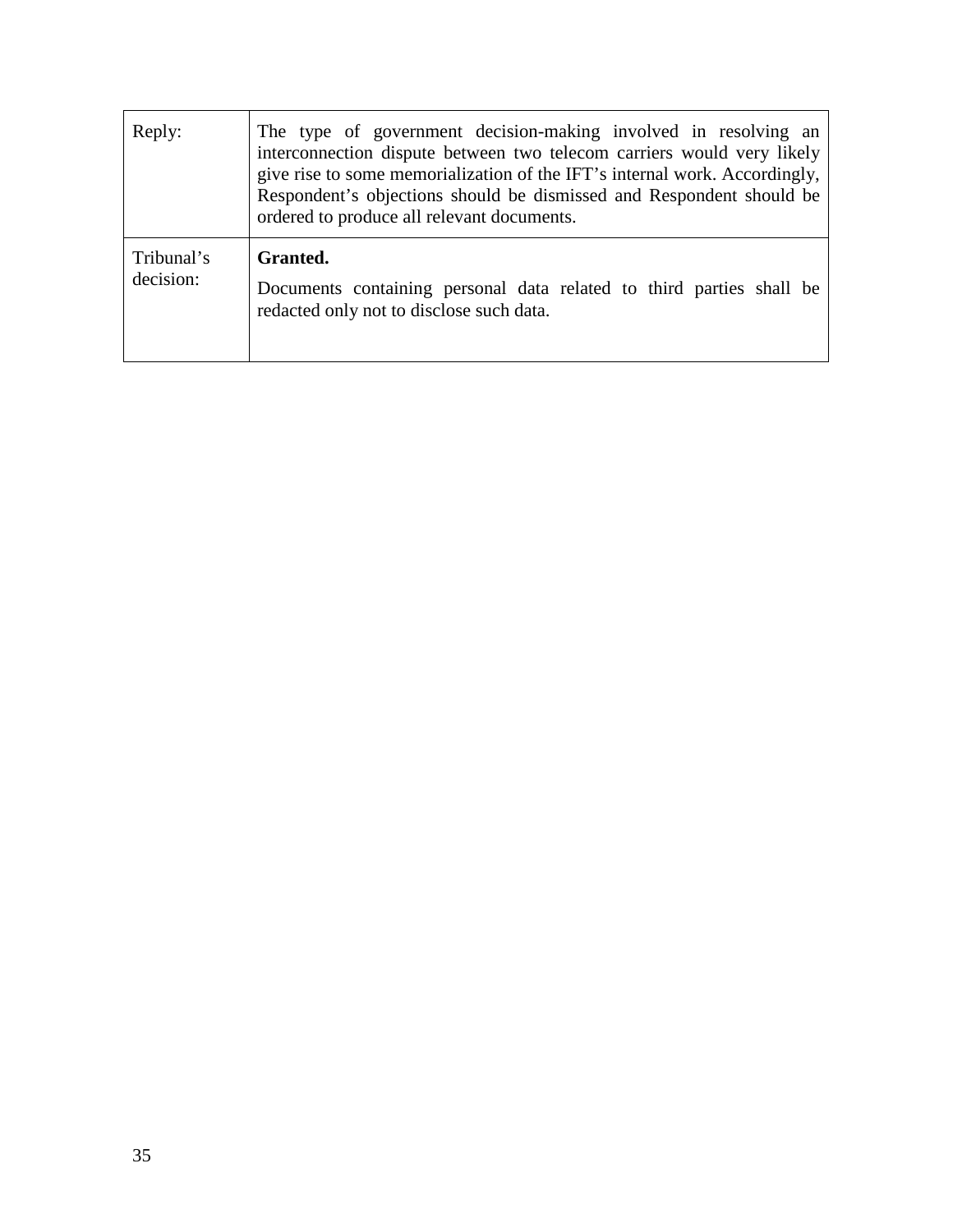| Reply:                  | The type of government decision-making involved in resolving an<br>interconnection dispute between two telecom carriers would very likely<br>give rise to some memorialization of the IFT's internal work. Accordingly,<br>Respondent's objections should be dismissed and Respondent should be<br>ordered to produce all relevant documents. |
|-------------------------|-----------------------------------------------------------------------------------------------------------------------------------------------------------------------------------------------------------------------------------------------------------------------------------------------------------------------------------------------|
| Tribunal's<br>decision: | Granted.<br>Documents containing personal data related to third parties shall be<br>redacted only not to disclose such data.                                                                                                                                                                                                                  |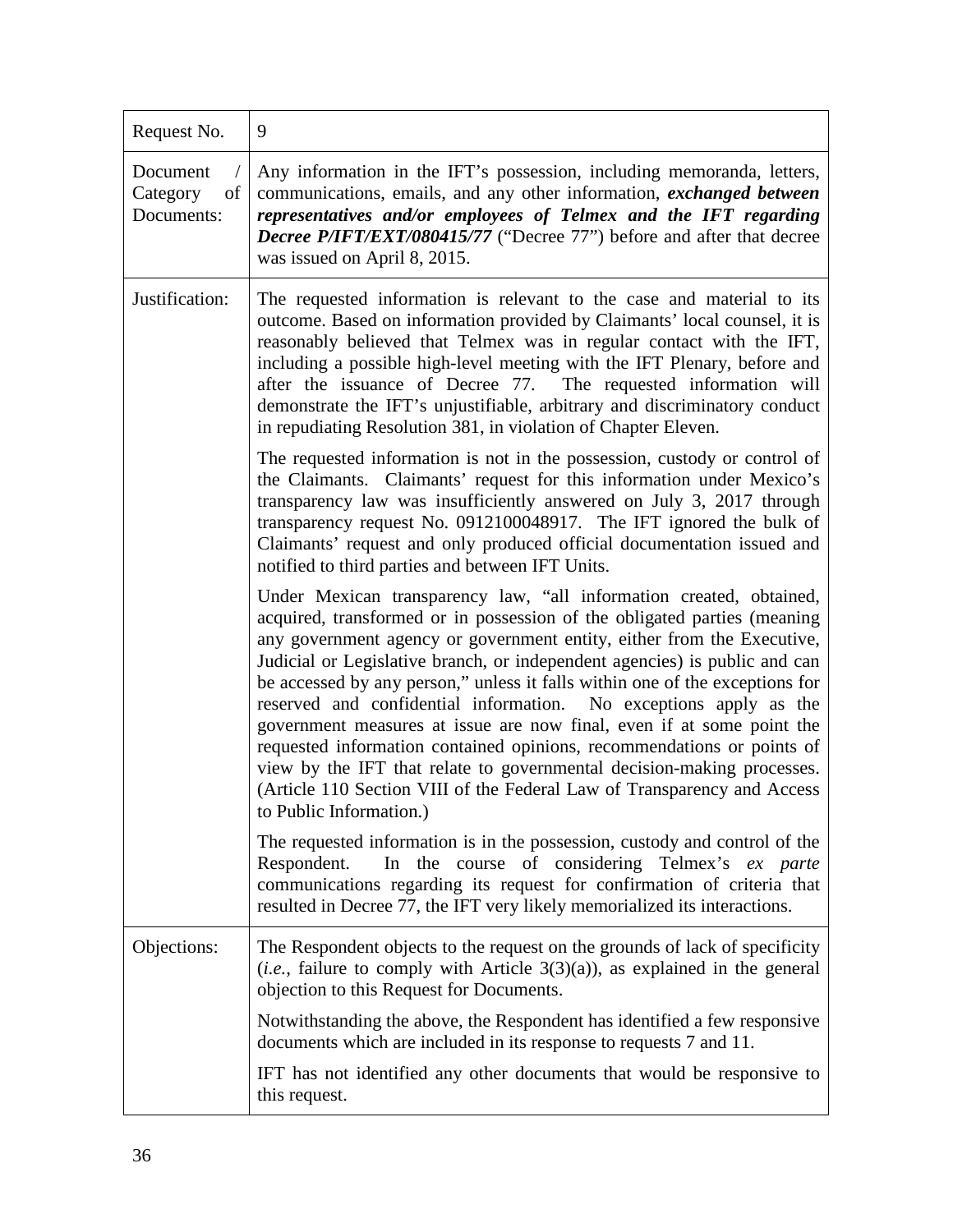| Request No.                              | 9                                                                                                                                                                                                                                                                                                                                                                                                                                                                                                                                                                                                                                                                                                                                                                                               |
|------------------------------------------|-------------------------------------------------------------------------------------------------------------------------------------------------------------------------------------------------------------------------------------------------------------------------------------------------------------------------------------------------------------------------------------------------------------------------------------------------------------------------------------------------------------------------------------------------------------------------------------------------------------------------------------------------------------------------------------------------------------------------------------------------------------------------------------------------|
| Document<br>Category<br>of<br>Documents: | Any information in the IFT's possession, including memoranda, letters,<br>communications, emails, and any other information, exchanged between<br>representatives and/or employees of Telmex and the IFT regarding<br>Decree P/IFT/EXT/080415/77 ("Decree 77") before and after that decree<br>was issued on April 8, 2015.                                                                                                                                                                                                                                                                                                                                                                                                                                                                     |
| Justification:                           | The requested information is relevant to the case and material to its<br>outcome. Based on information provided by Claimants' local counsel, it is<br>reasonably believed that Telmex was in regular contact with the IFT,<br>including a possible high-level meeting with the IFT Plenary, before and<br>after the issuance of Decree 77. The requested information will<br>demonstrate the IFT's unjustifiable, arbitrary and discriminatory conduct<br>in repudiating Resolution 381, in violation of Chapter Eleven.                                                                                                                                                                                                                                                                        |
|                                          | The requested information is not in the possession, custody or control of<br>the Claimants. Claimants' request for this information under Mexico's<br>transparency law was insufficiently answered on July 3, 2017 through<br>transparency request No. 0912100048917. The IFT ignored the bulk of<br>Claimants' request and only produced official documentation issued and<br>notified to third parties and between IFT Units.                                                                                                                                                                                                                                                                                                                                                                 |
|                                          | Under Mexican transparency law, "all information created, obtained,<br>acquired, transformed or in possession of the obligated parties (meaning<br>any government agency or government entity, either from the Executive,<br>Judicial or Legislative branch, or independent agencies) is public and can<br>be accessed by any person," unless it falls within one of the exceptions for<br>reserved and confidential information. No exceptions apply as the<br>government measures at issue are now final, even if at some point the<br>requested information contained opinions, recommendations or points of<br>view by the IFT that relate to governmental decision-making processes.<br>(Article 110 Section VIII of the Federal Law of Transparency and Access<br>to Public Information.) |
|                                          | The requested information is in the possession, custody and control of the<br>In the course of considering Telmex's ex parte<br>Respondent.<br>communications regarding its request for confirmation of criteria that<br>resulted in Decree 77, the IFT very likely memorialized its interactions.                                                                                                                                                                                                                                                                                                                                                                                                                                                                                              |
| Objections:                              | The Respondent objects to the request on the grounds of lack of specificity<br>$(i.e., failure to comply with Article 3(3)(a)), as explained in the general$<br>objection to this Request for Documents.                                                                                                                                                                                                                                                                                                                                                                                                                                                                                                                                                                                        |
|                                          | Notwithstanding the above, the Respondent has identified a few responsive<br>documents which are included in its response to requests 7 and 11.                                                                                                                                                                                                                                                                                                                                                                                                                                                                                                                                                                                                                                                 |
|                                          | IFT has not identified any other documents that would be responsive to<br>this request.                                                                                                                                                                                                                                                                                                                                                                                                                                                                                                                                                                                                                                                                                                         |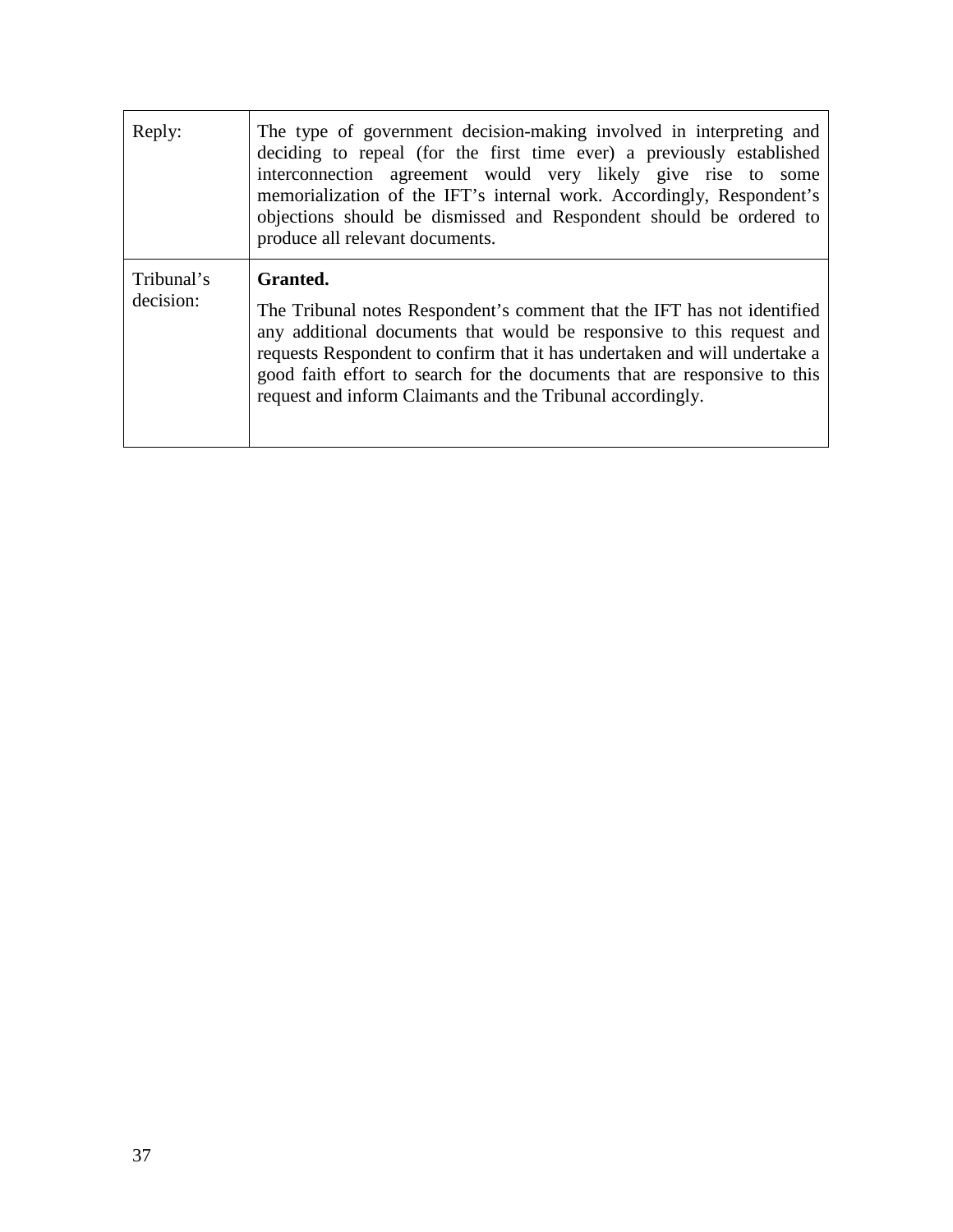| Reply:                  | The type of government decision-making involved in interpreting and<br>deciding to repeal (for the first time ever) a previously established<br>interconnection agreement would very likely give rise to some<br>memorialization of the IFT's internal work. Accordingly, Respondent's<br>objections should be dismissed and Respondent should be ordered to<br>produce all relevant documents. |
|-------------------------|-------------------------------------------------------------------------------------------------------------------------------------------------------------------------------------------------------------------------------------------------------------------------------------------------------------------------------------------------------------------------------------------------|
| Tribunal's<br>decision: | Granted.<br>The Tribunal notes Respondent's comment that the IFT has not identified<br>any additional documents that would be responsive to this request and<br>requests Respondent to confirm that it has undertaken and will undertake a<br>good faith effort to search for the documents that are responsive to this<br>request and inform Claimants and the Tribunal accordingly.           |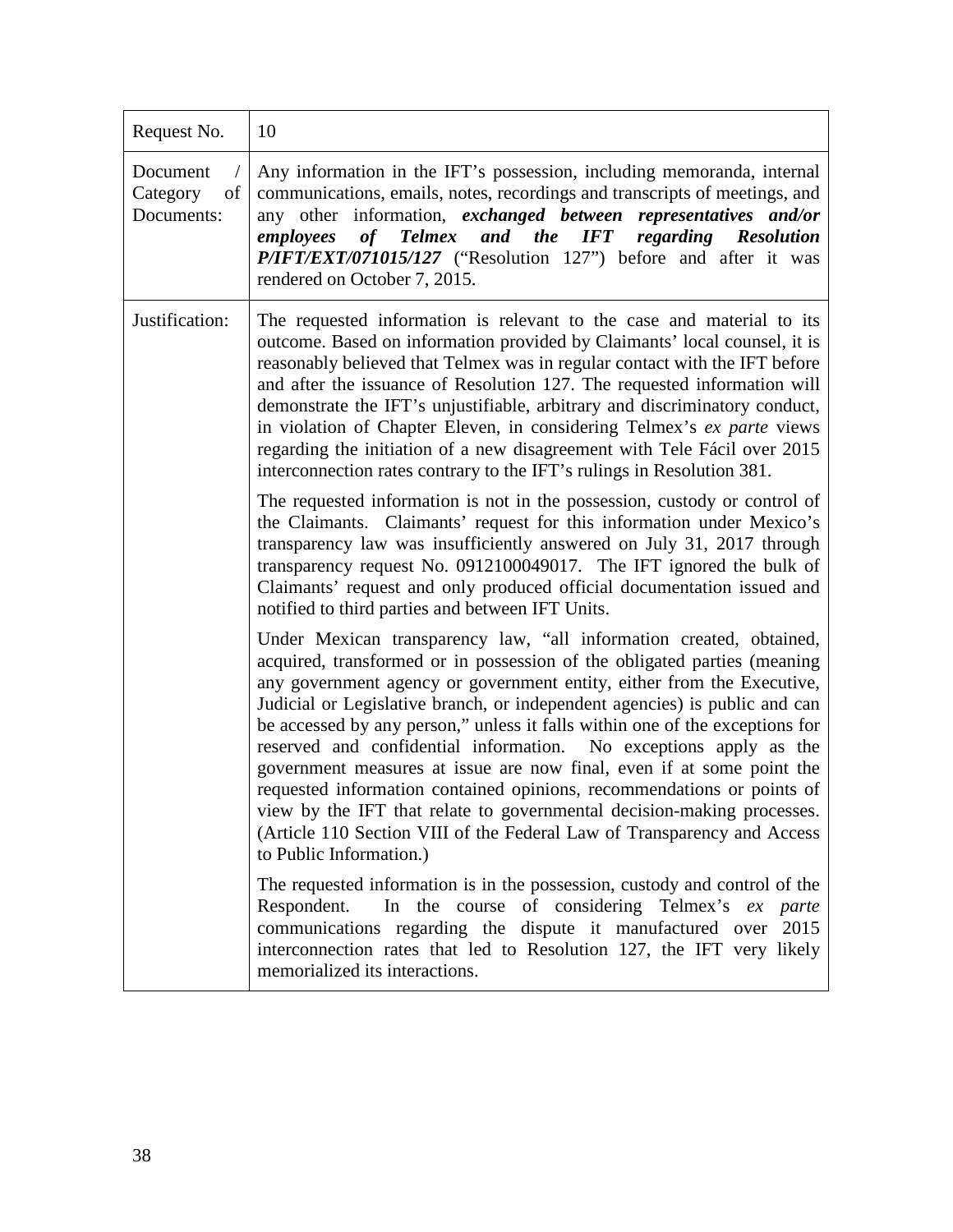| Request No.                              | 10                                                                                                                                                                                                                                                                                                                                                                                                                                                                                                                                                                                                                                                                                                                                                                                              |
|------------------------------------------|-------------------------------------------------------------------------------------------------------------------------------------------------------------------------------------------------------------------------------------------------------------------------------------------------------------------------------------------------------------------------------------------------------------------------------------------------------------------------------------------------------------------------------------------------------------------------------------------------------------------------------------------------------------------------------------------------------------------------------------------------------------------------------------------------|
| Document<br>Category<br>of<br>Documents: | Any information in the IFT's possession, including memoranda, internal<br>communications, emails, notes, recordings and transcripts of meetings, and<br>any other information, exchanged between representatives and/or<br>of Telmex and the IFT regarding Resolution<br>employees<br>P/IFT/EXT/071015/127 ("Resolution 127") before and after it was<br>rendered on October 7, 2015.                                                                                                                                                                                                                                                                                                                                                                                                           |
| Justification:                           | The requested information is relevant to the case and material to its<br>outcome. Based on information provided by Claimants' local counsel, it is<br>reasonably believed that Telmex was in regular contact with the IFT before<br>and after the issuance of Resolution 127. The requested information will<br>demonstrate the IFT's unjustifiable, arbitrary and discriminatory conduct,<br>in violation of Chapter Eleven, in considering Telmex's ex parte views<br>regarding the initiation of a new disagreement with Tele Fácil over 2015<br>interconnection rates contrary to the IFT's rulings in Resolution 381.                                                                                                                                                                      |
|                                          | The requested information is not in the possession, custody or control of<br>the Claimants. Claimants' request for this information under Mexico's<br>transparency law was insufficiently answered on July 31, 2017 through<br>transparency request No. 0912100049017. The IFT ignored the bulk of<br>Claimants' request and only produced official documentation issued and<br>notified to third parties and between IFT Units.                                                                                                                                                                                                                                                                                                                                                                |
|                                          | Under Mexican transparency law, "all information created, obtained,<br>acquired, transformed or in possession of the obligated parties (meaning<br>any government agency or government entity, either from the Executive,<br>Judicial or Legislative branch, or independent agencies) is public and can<br>be accessed by any person," unless it falls within one of the exceptions for<br>reserved and confidential information. No exceptions apply as the<br>government measures at issue are now final, even if at some point the<br>requested information contained opinions, recommendations or points of<br>view by the IFT that relate to governmental decision-making processes.<br>(Article 110 Section VIII of the Federal Law of Transparency and Access<br>to Public Information.) |
|                                          | The requested information is in the possession, custody and control of the<br>In the course of considering Telmex's ex parte<br>Respondent.<br>communications regarding the dispute it manufactured over 2015<br>interconnection rates that led to Resolution 127, the IFT very likely<br>memorialized its interactions.                                                                                                                                                                                                                                                                                                                                                                                                                                                                        |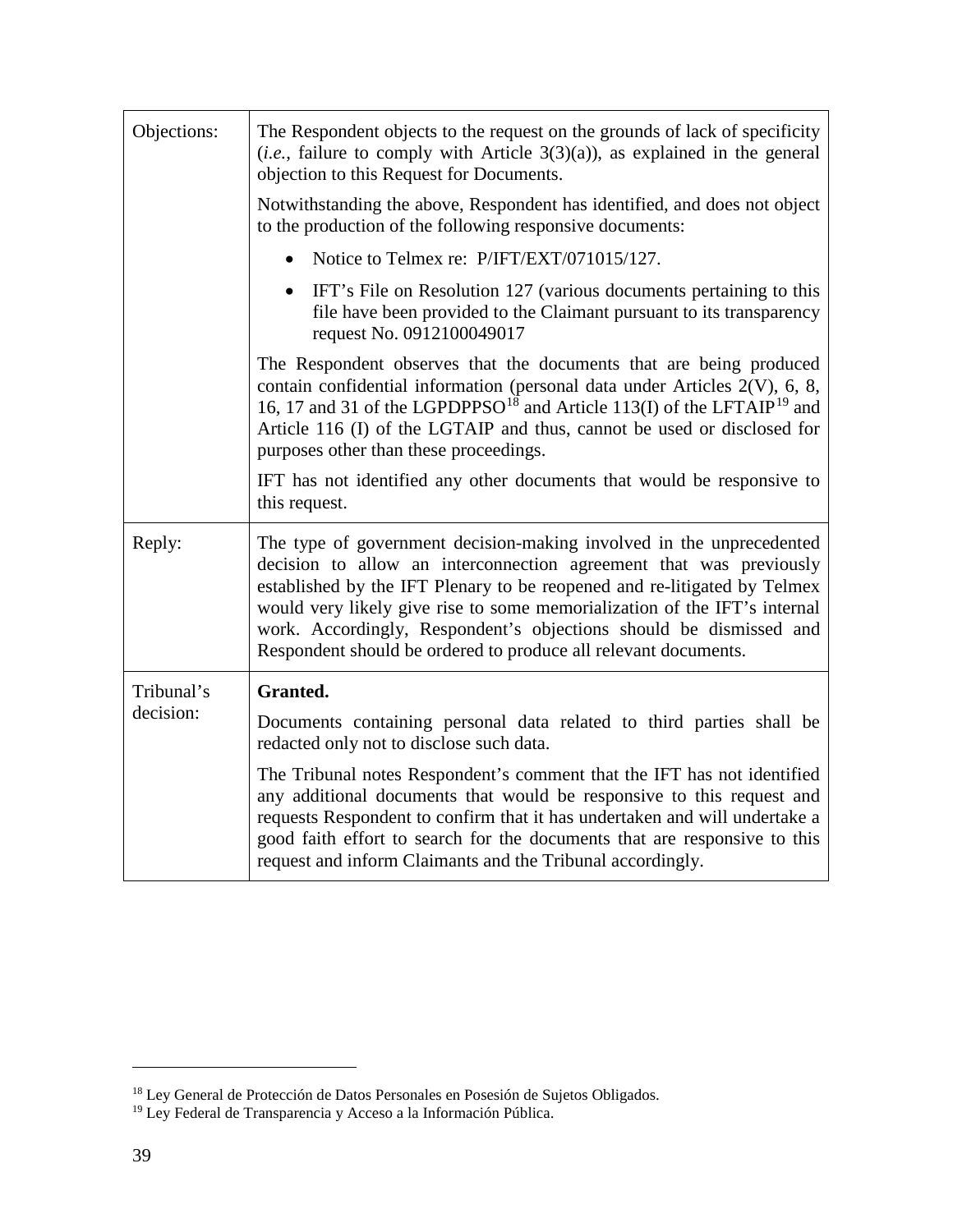| Objections:             | The Respondent objects to the request on the grounds of lack of specificity<br>$(i.e.,$ failure to comply with Article 3(3)(a)), as explained in the general<br>objection to this Request for Documents.                                                                                                                                                                                                                                     |
|-------------------------|----------------------------------------------------------------------------------------------------------------------------------------------------------------------------------------------------------------------------------------------------------------------------------------------------------------------------------------------------------------------------------------------------------------------------------------------|
|                         | Notwithstanding the above, Respondent has identified, and does not object<br>to the production of the following responsive documents:                                                                                                                                                                                                                                                                                                        |
|                         | Notice to Telmex re: P/IFT/EXT/071015/127.                                                                                                                                                                                                                                                                                                                                                                                                   |
|                         | IFT's File on Resolution 127 (various documents pertaining to this<br>file have been provided to the Claimant pursuant to its transparency<br>request No. 0912100049017                                                                                                                                                                                                                                                                      |
|                         | The Respondent observes that the documents that are being produced<br>contain confidential information (personal data under Articles 2(V), 6, 8,<br>16, 17 and 31 of the LGPDPPSO <sup>18</sup> and Article 113(I) of the LFTAIP <sup>19</sup> and<br>Article 116 (I) of the LGTAIP and thus, cannot be used or disclosed for<br>purposes other than these proceedings.                                                                      |
|                         | IFT has not identified any other documents that would be responsive to<br>this request.                                                                                                                                                                                                                                                                                                                                                      |
| Reply:                  | The type of government decision-making involved in the unprecedented<br>decision to allow an interconnection agreement that was previously<br>established by the IFT Plenary to be reopened and re-litigated by Telmex<br>would very likely give rise to some memorialization of the IFT's internal<br>work. Accordingly, Respondent's objections should be dismissed and<br>Respondent should be ordered to produce all relevant documents. |
| Tribunal's<br>decision: | Granted.                                                                                                                                                                                                                                                                                                                                                                                                                                     |
|                         | Documents containing personal data related to third parties shall be<br>redacted only not to disclose such data.                                                                                                                                                                                                                                                                                                                             |
|                         | The Tribunal notes Respondent's comment that the IFT has not identified<br>any additional documents that would be responsive to this request and<br>requests Respondent to confirm that it has undertaken and will undertake a<br>good faith effort to search for the documents that are responsive to this<br>request and inform Claimants and the Tribunal accordingly.                                                                    |

<span id="page-38-1"></span><span id="page-38-0"></span><sup>&</sup>lt;sup>18</sup> Ley General de Protección de Datos Personales en Posesión de Sujetos Obligados.

<sup>&</sup>lt;sup>19</sup> Ley Federal de Transparencia y Acceso a la Información Pública.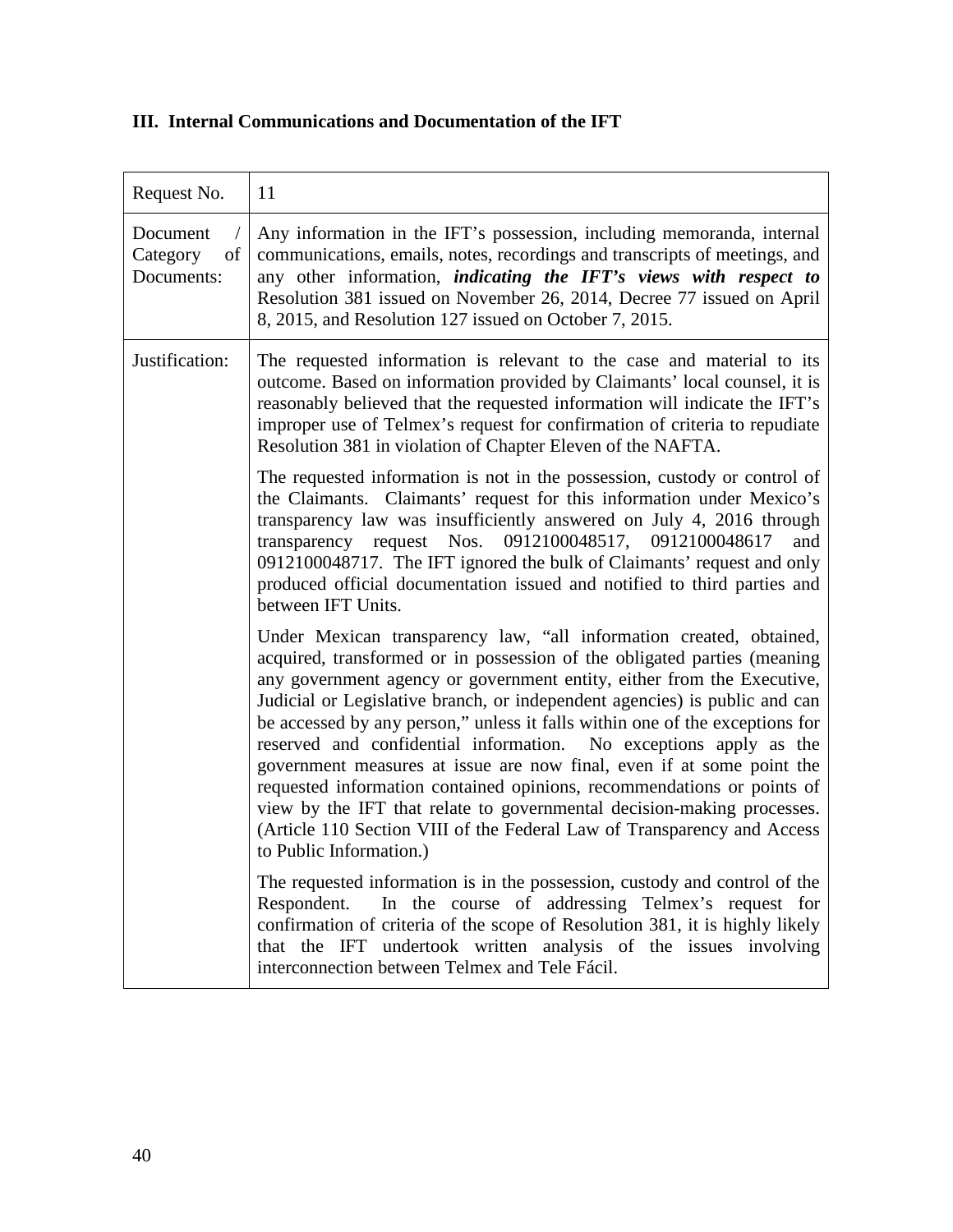# **III. Internal Communications and Documentation of the IFT**

| Request No.                              | 11                                                                                                                                                                                                                                                                                                                                                                                                                                                                                                                                                                                                                                                                                                                                                                                              |
|------------------------------------------|-------------------------------------------------------------------------------------------------------------------------------------------------------------------------------------------------------------------------------------------------------------------------------------------------------------------------------------------------------------------------------------------------------------------------------------------------------------------------------------------------------------------------------------------------------------------------------------------------------------------------------------------------------------------------------------------------------------------------------------------------------------------------------------------------|
| Document<br>of<br>Category<br>Documents: | Any information in the IFT's possession, including memoranda, internal<br>communications, emails, notes, recordings and transcripts of meetings, and<br>any other information, <i>indicating the IFT's views with respect to</i><br>Resolution 381 issued on November 26, 2014, Decree 77 issued on April<br>8, 2015, and Resolution 127 issued on October 7, 2015.                                                                                                                                                                                                                                                                                                                                                                                                                             |
| Justification:                           | The requested information is relevant to the case and material to its<br>outcome. Based on information provided by Claimants' local counsel, it is<br>reasonably believed that the requested information will indicate the IFT's<br>improper use of Telmex's request for confirmation of criteria to repudiate<br>Resolution 381 in violation of Chapter Eleven of the NAFTA.                                                                                                                                                                                                                                                                                                                                                                                                                   |
|                                          | The requested information is not in the possession, custody or control of<br>the Claimants. Claimants' request for this information under Mexico's<br>transparency law was insufficiently answered on July 4, 2016 through<br>transparency request Nos. 0912100048517, 0912100048617<br>and<br>0912100048717. The IFT ignored the bulk of Claimants' request and only<br>produced official documentation issued and notified to third parties and<br>between IFT Units.                                                                                                                                                                                                                                                                                                                         |
|                                          | Under Mexican transparency law, "all information created, obtained,<br>acquired, transformed or in possession of the obligated parties (meaning<br>any government agency or government entity, either from the Executive,<br>Judicial or Legislative branch, or independent agencies) is public and can<br>be accessed by any person," unless it falls within one of the exceptions for<br>reserved and confidential information. No exceptions apply as the<br>government measures at issue are now final, even if at some point the<br>requested information contained opinions, recommendations or points of<br>view by the IFT that relate to governmental decision-making processes.<br>(Article 110 Section VIII of the Federal Law of Transparency and Access<br>to Public Information.) |
|                                          | The requested information is in the possession, custody and control of the<br>In the course of addressing Telmex's request for<br>Respondent.<br>confirmation of criteria of the scope of Resolution 381, it is highly likely<br>that the IFT undertook written analysis of the issues involving<br>interconnection between Telmex and Tele Fácil.                                                                                                                                                                                                                                                                                                                                                                                                                                              |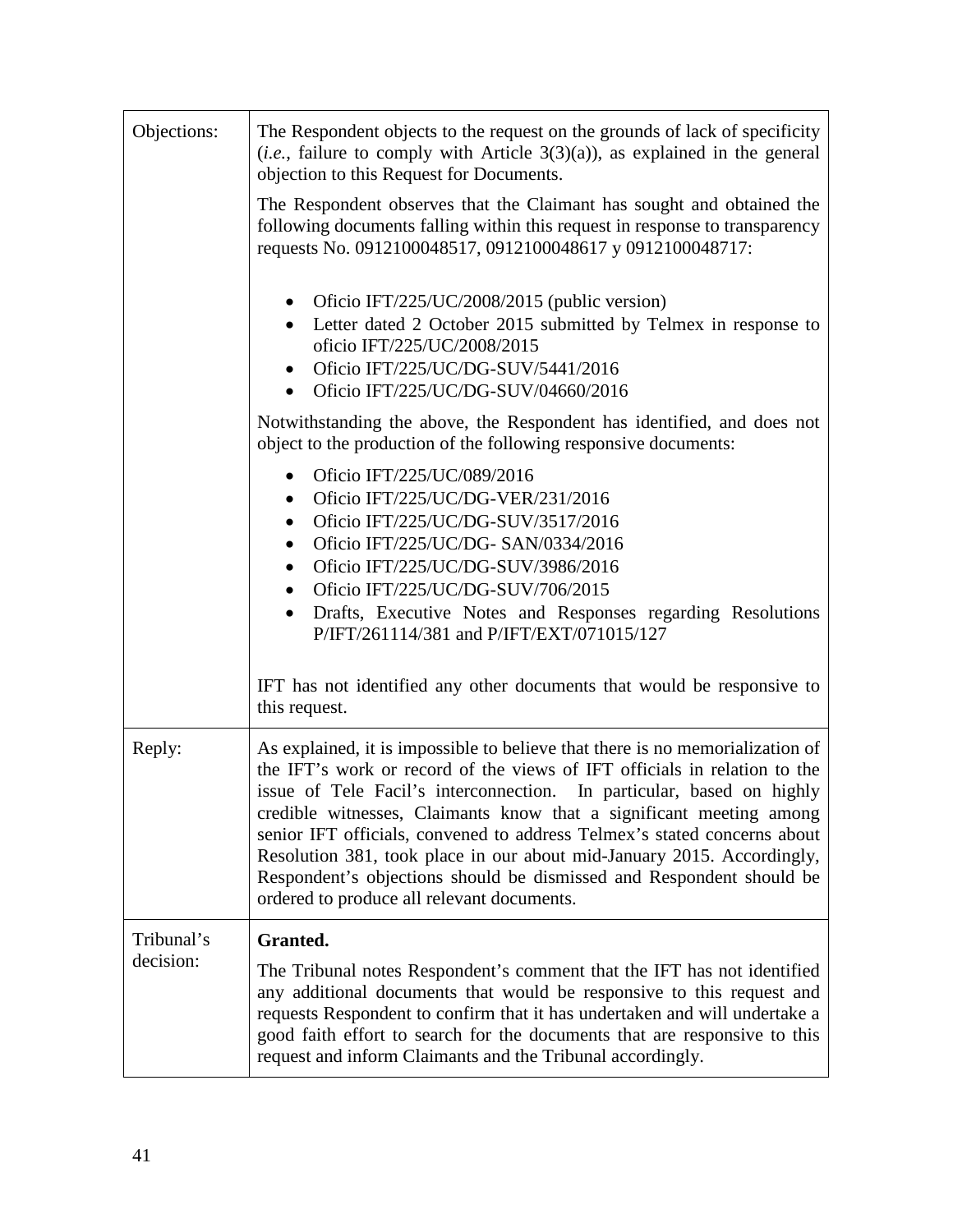| Objections: | The Respondent objects to the request on the grounds of lack of specificity<br>( <i>i.e.</i> , failure to comply with Article $3(3)(a)$ ), as explained in the general<br>objection to this Request for Documents.                                                                                                                                                                                                                                                                                                                                                                     |
|-------------|----------------------------------------------------------------------------------------------------------------------------------------------------------------------------------------------------------------------------------------------------------------------------------------------------------------------------------------------------------------------------------------------------------------------------------------------------------------------------------------------------------------------------------------------------------------------------------------|
|             | The Respondent observes that the Claimant has sought and obtained the<br>following documents falling within this request in response to transparency<br>requests No. 0912100048517, 0912100048617 y 0912100048717:                                                                                                                                                                                                                                                                                                                                                                     |
|             | Oficio IFT/225/UC/2008/2015 (public version)<br>Letter dated 2 October 2015 submitted by Telmex in response to<br>oficio IFT/225/UC/2008/2015<br>Oficio IFT/225/UC/DG-SUV/5441/2016<br>Oficio IFT/225/UC/DG-SUV/04660/2016                                                                                                                                                                                                                                                                                                                                                             |
|             | Notwithstanding the above, the Respondent has identified, and does not<br>object to the production of the following responsive documents:                                                                                                                                                                                                                                                                                                                                                                                                                                              |
|             | Oficio IFT/225/UC/089/2016<br>Oficio IFT/225/UC/DG-VER/231/2016<br>$\bullet$<br>Oficio IFT/225/UC/DG-SUV/3517/2016<br>$\bullet$<br>Oficio IFT/225/UC/DG- SAN/0334/2016<br>$\bullet$<br>Oficio IFT/225/UC/DG-SUV/3986/2016<br>$\bullet$<br>Oficio IFT/225/UC/DG-SUV/706/2015<br>Drafts, Executive Notes and Responses regarding Resolutions<br>$\bullet$<br>P/IFT/261114/381 and P/IFT/EXT/071015/127                                                                                                                                                                                   |
|             | IFT has not identified any other documents that would be responsive to<br>this request.                                                                                                                                                                                                                                                                                                                                                                                                                                                                                                |
| Reply:      | As explained, it is impossible to believe that there is no memorialization of<br>the IFT's work or record of the views of IFT officials in relation to the<br>issue of Tele Facil's interconnection. In particular, based on highly<br>credible witnesses, Claimants know that a significant meeting among<br>senior IFT officials, convened to address Telmex's stated concerns about<br>Resolution 381, took place in our about mid-January 2015. Accordingly,<br>Respondent's objections should be dismissed and Respondent should be<br>ordered to produce all relevant documents. |
| Tribunal's  | Granted.                                                                                                                                                                                                                                                                                                                                                                                                                                                                                                                                                                               |
| decision:   | The Tribunal notes Respondent's comment that the IFT has not identified<br>any additional documents that would be responsive to this request and<br>requests Respondent to confirm that it has undertaken and will undertake a<br>good faith effort to search for the documents that are responsive to this<br>request and inform Claimants and the Tribunal accordingly.                                                                                                                                                                                                              |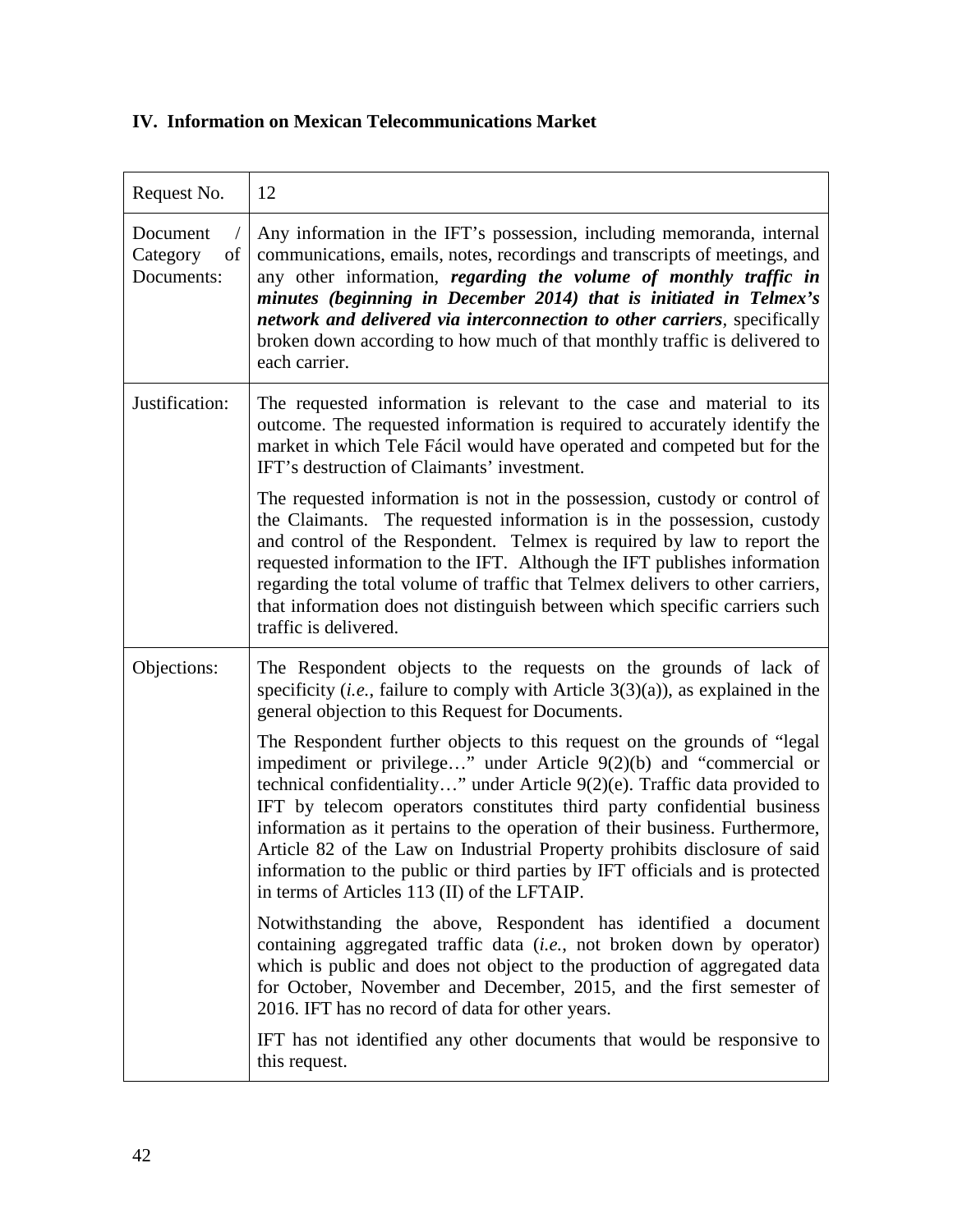# **IV. Information on Mexican Telecommunications Market**

| Request No.                              | 12                                                                                                                                                                                                                                                                                                                                                                                                                                                                                                                                                                                                |
|------------------------------------------|---------------------------------------------------------------------------------------------------------------------------------------------------------------------------------------------------------------------------------------------------------------------------------------------------------------------------------------------------------------------------------------------------------------------------------------------------------------------------------------------------------------------------------------------------------------------------------------------------|
| Document<br>Category<br>of<br>Documents: | Any information in the IFT's possession, including memoranda, internal<br>communications, emails, notes, recordings and transcripts of meetings, and<br>any other information, regarding the volume of monthly traffic in<br>minutes (beginning in December 2014) that is initiated in Telmex's<br>network and delivered via interconnection to other carriers, specifically<br>broken down according to how much of that monthly traffic is delivered to<br>each carrier.                                                                                                                        |
| Justification:                           | The requested information is relevant to the case and material to its<br>outcome. The requested information is required to accurately identify the<br>market in which Tele Fácil would have operated and competed but for the<br>IFT's destruction of Claimants' investment.                                                                                                                                                                                                                                                                                                                      |
|                                          | The requested information is not in the possession, custody or control of<br>the Claimants. The requested information is in the possession, custody<br>and control of the Respondent. Telmex is required by law to report the<br>requested information to the IFT. Although the IFT publishes information<br>regarding the total volume of traffic that Telmex delivers to other carriers,<br>that information does not distinguish between which specific carriers such<br>traffic is delivered.                                                                                                 |
| Objections:                              | The Respondent objects to the requests on the grounds of lack of<br>specificity ( <i>i.e.</i> , failure to comply with Article $3(3)(a)$ ), as explained in the<br>general objection to this Request for Documents.                                                                                                                                                                                                                                                                                                                                                                               |
|                                          | The Respondent further objects to this request on the grounds of "legal"<br>impediment or privilege" under Article 9(2)(b) and "commercial or<br>technical confidentiality" under Article 9(2)(e). Traffic data provided to<br>IFT by telecom operators constitutes third party confidential business<br>information as it pertains to the operation of their business. Furthermore,<br>Article 82 of the Law on Industrial Property prohibits disclosure of said<br>information to the public or third parties by IFT officials and is protected<br>in terms of Articles 113 (II) of the LFTAIP. |
|                                          | Notwithstanding the above, Respondent has identified a document<br>containing aggregated traffic data (i.e., not broken down by operator)<br>which is public and does not object to the production of aggregated data<br>for October, November and December, 2015, and the first semester of<br>2016. IFT has no record of data for other years.                                                                                                                                                                                                                                                  |
|                                          | IFT has not identified any other documents that would be responsive to<br>this request.                                                                                                                                                                                                                                                                                                                                                                                                                                                                                                           |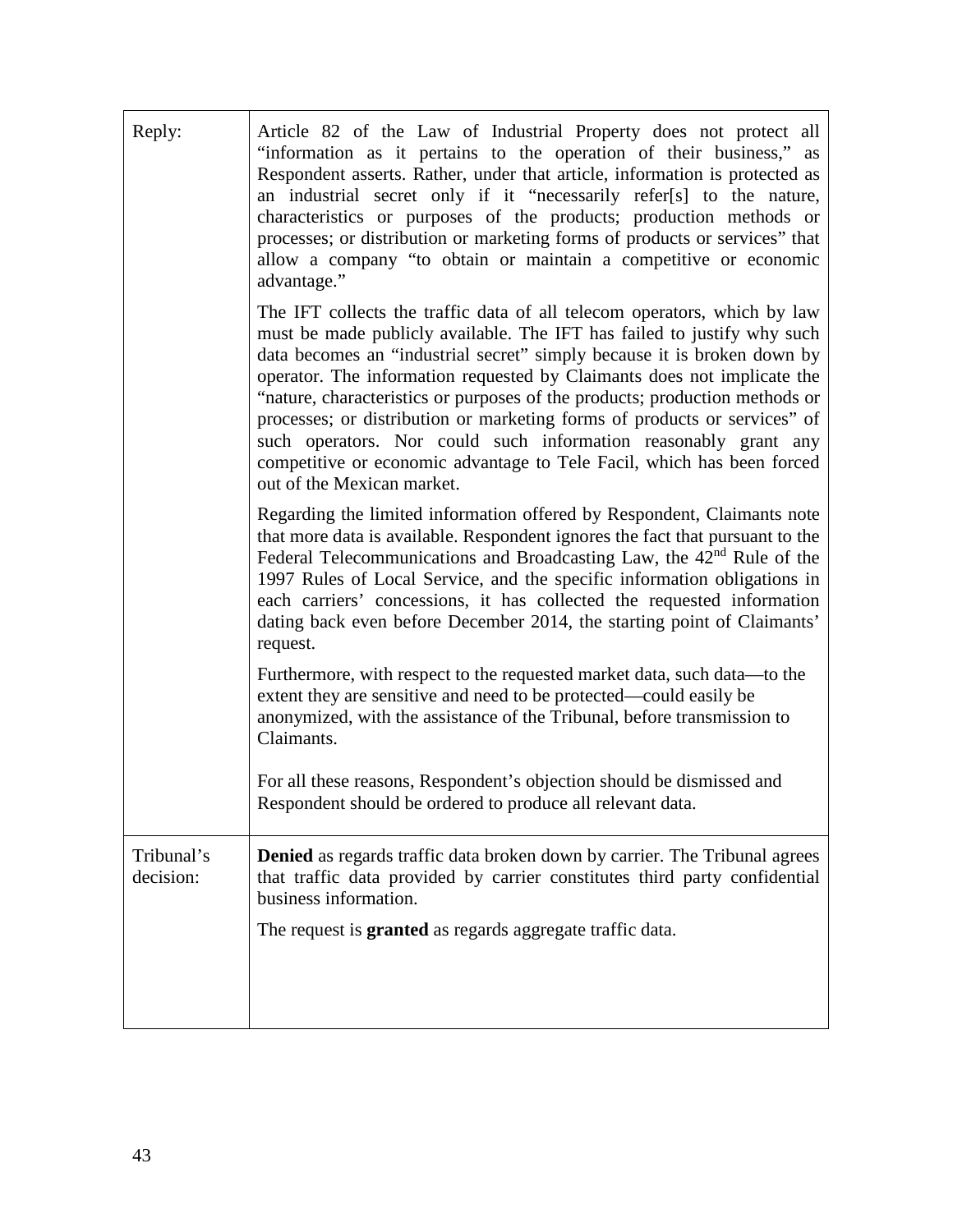| Reply:                  | Article 82 of the Law of Industrial Property does not protect all<br>"information as it pertains to the operation of their business," as<br>Respondent asserts. Rather, under that article, information is protected as<br>an industrial secret only if it "necessarily refer[s] to the nature,<br>characteristics or purposes of the products; production methods or<br>processes; or distribution or marketing forms of products or services" that<br>allow a company "to obtain or maintain a competitive or economic<br>advantage."                                                                                                          |
|-------------------------|--------------------------------------------------------------------------------------------------------------------------------------------------------------------------------------------------------------------------------------------------------------------------------------------------------------------------------------------------------------------------------------------------------------------------------------------------------------------------------------------------------------------------------------------------------------------------------------------------------------------------------------------------|
|                         | The IFT collects the traffic data of all telecom operators, which by law<br>must be made publicly available. The IFT has failed to justify why such<br>data becomes an "industrial secret" simply because it is broken down by<br>operator. The information requested by Claimants does not implicate the<br>"nature, characteristics or purposes of the products; production methods or<br>processes; or distribution or marketing forms of products or services" of<br>such operators. Nor could such information reasonably grant any<br>competitive or economic advantage to Tele Facil, which has been forced<br>out of the Mexican market. |
|                         | Regarding the limited information offered by Respondent, Claimants note<br>that more data is available. Respondent ignores the fact that pursuant to the<br>Federal Telecommunications and Broadcasting Law, the 42 <sup>nd</sup> Rule of the<br>1997 Rules of Local Service, and the specific information obligations in<br>each carriers' concessions, it has collected the requested information<br>dating back even before December 2014, the starting point of Claimants'<br>request.                                                                                                                                                       |
|                         | Furthermore, with respect to the requested market data, such data—to the<br>extent they are sensitive and need to be protected—could easily be<br>anonymized, with the assistance of the Tribunal, before transmission to<br>Claimants.                                                                                                                                                                                                                                                                                                                                                                                                          |
|                         | For all these reasons, Respondent's objection should be dismissed and<br>Respondent should be ordered to produce all relevant data.                                                                                                                                                                                                                                                                                                                                                                                                                                                                                                              |
| Tribunal's<br>decision: | <b>Denied</b> as regards traffic data broken down by carrier. The Tribunal agrees<br>that traffic data provided by carrier constitutes third party confidential<br>business information.                                                                                                                                                                                                                                                                                                                                                                                                                                                         |
|                         | The request is <b>granted</b> as regards aggregate traffic data.                                                                                                                                                                                                                                                                                                                                                                                                                                                                                                                                                                                 |
|                         |                                                                                                                                                                                                                                                                                                                                                                                                                                                                                                                                                                                                                                                  |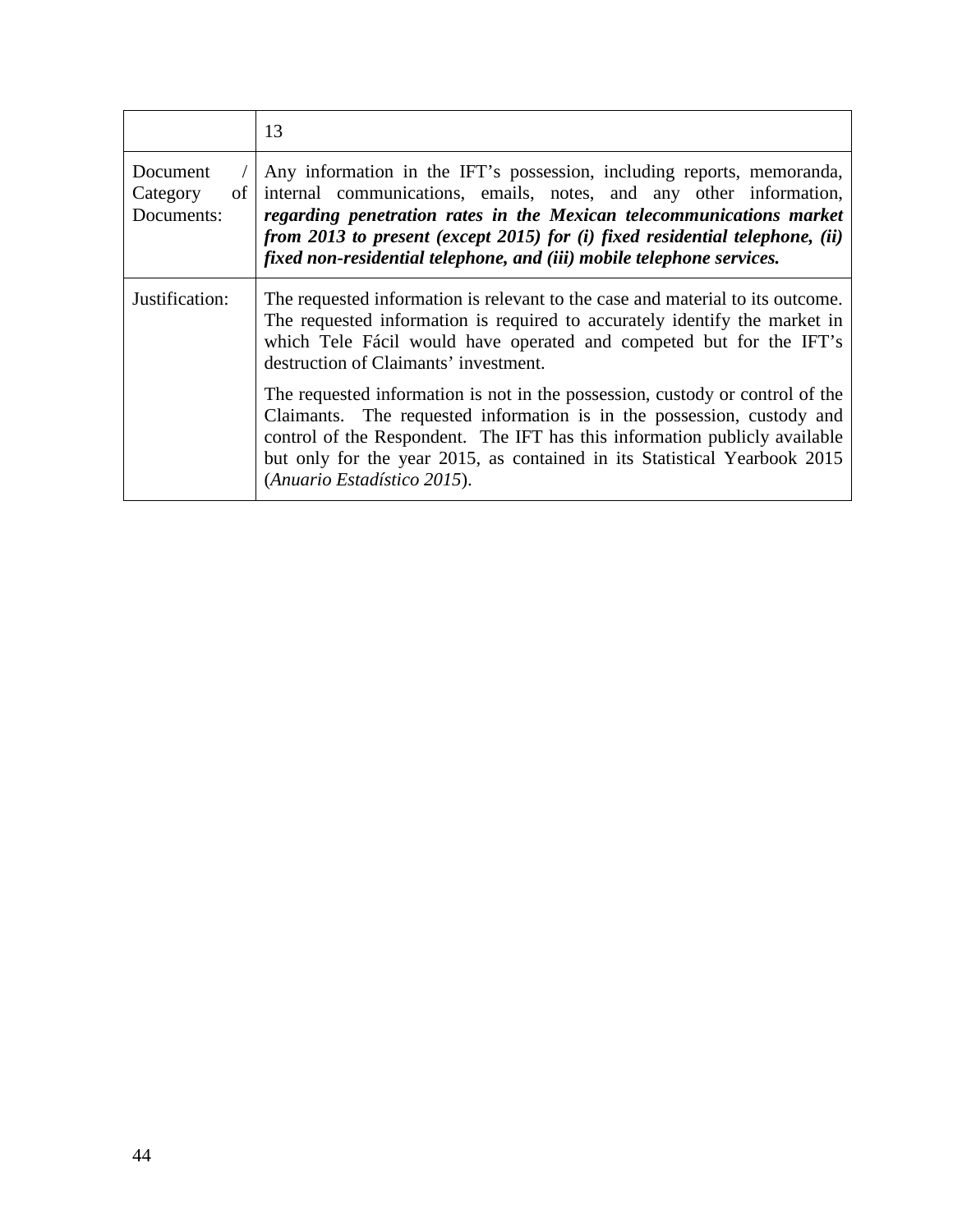|                                          | 13                                                                                                                                                                                                                                                                                                                                                                            |
|------------------------------------------|-------------------------------------------------------------------------------------------------------------------------------------------------------------------------------------------------------------------------------------------------------------------------------------------------------------------------------------------------------------------------------|
| Document<br>of<br>Category<br>Documents: | Any information in the IFT's possession, including reports, memoranda,<br>internal communications, emails, notes, and any other information,<br>regarding penetration rates in the Mexican telecommunications market<br>from 2013 to present (except 2015) for (i) fixed residential telephone, (ii)<br>fixed non-residential telephone, and (iii) mobile telephone services. |
| Justification:                           | The requested information is relevant to the case and material to its outcome.<br>The requested information is required to accurately identify the market in<br>which Tele Fácil would have operated and competed but for the IFT's<br>destruction of Claimants' investment.                                                                                                  |
|                                          | The requested information is not in the possession, custody or control of the<br>Claimants. The requested information is in the possession, custody and<br>control of the Respondent. The IFT has this information publicly available<br>but only for the year 2015, as contained in its Statistical Yearbook 2015<br>(Anuario Estadístico 2015).                             |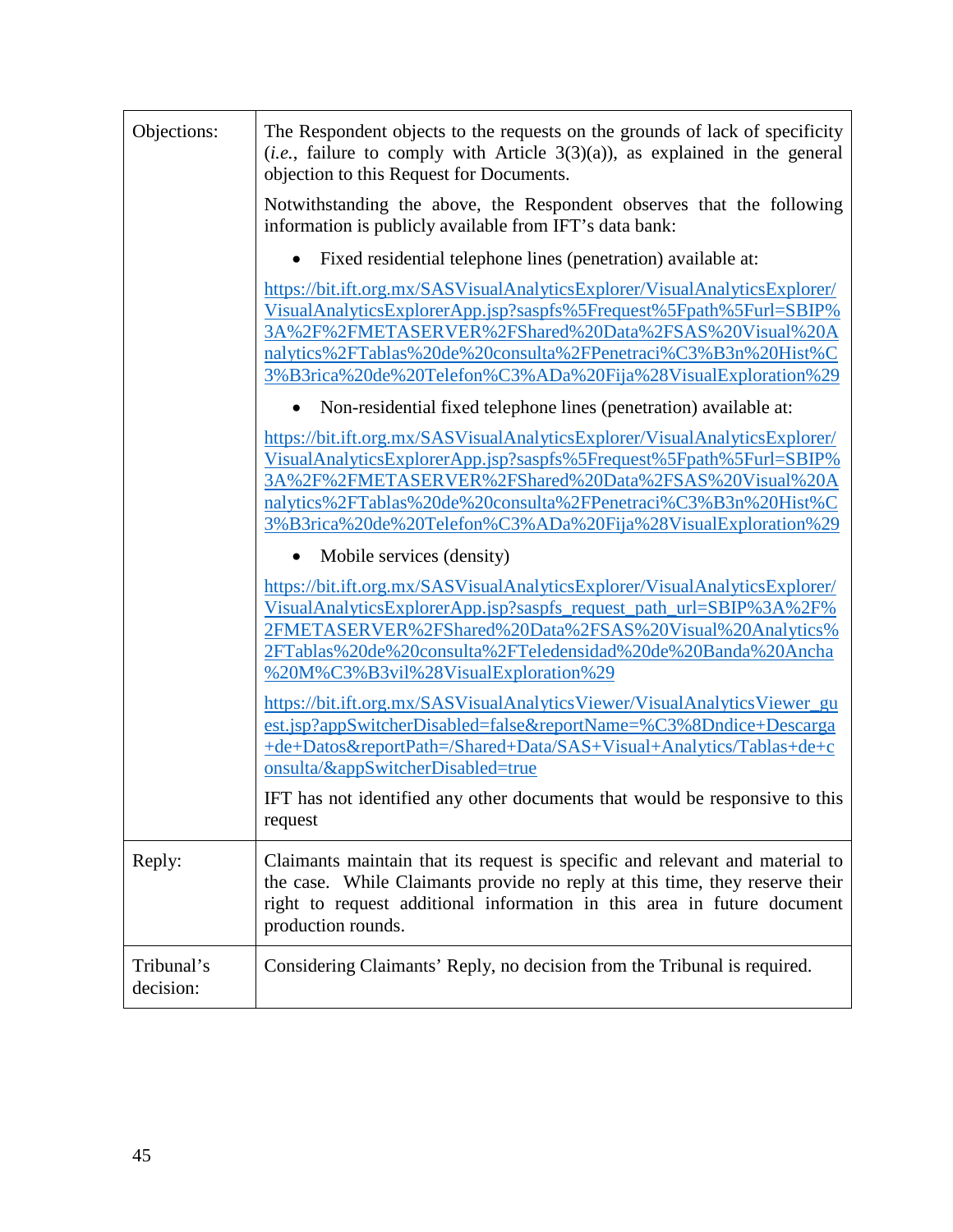| Objections:             | The Respondent objects to the requests on the grounds of lack of specificity<br>$(i.e.,$ failure to comply with Article 3(3)(a)), as explained in the general<br>objection to this Request for Documents.                                                                                                                                  |
|-------------------------|--------------------------------------------------------------------------------------------------------------------------------------------------------------------------------------------------------------------------------------------------------------------------------------------------------------------------------------------|
|                         | Notwithstanding the above, the Respondent observes that the following<br>information is publicly available from IFT's data bank:                                                                                                                                                                                                           |
|                         | Fixed residential telephone lines (penetration) available at:                                                                                                                                                                                                                                                                              |
|                         | https://bit.ift.org.mx/SASVisualAnalyticsExplorer/VisualAnalyticsExplorer/<br>VisualAnalyticsExplorerApp.jsp?saspfs%5Frequest%5Fpath%5Furl=SBIP%<br>3A%2F%2FMETASERVER%2FShared%20Data%2FSAS%20Visual%20A<br>nalytics%2FTablas%20de%20consulta%2FPenetraci%C3%B3n%20Hist%C<br>3%B3rica%20de%20Telefon%C3%ADa%20Fija%28VisualExploration%29 |
|                         | Non-residential fixed telephone lines (penetration) available at:                                                                                                                                                                                                                                                                          |
|                         | https://bit.ift.org.mx/SASVisualAnalyticsExplorer/VisualAnalyticsExplorer/<br>VisualAnalyticsExplorerApp.jsp?saspfs%5Frequest%5Fpath%5Furl=SBIP%<br>3A%2F%2FMETASERVER%2FShared%20Data%2FSAS%20Visual%20A<br>nalytics%2FTablas%20de%20consulta%2FPenetraci%C3%B3n%20Hist%C<br>3%B3rica%20de%20Telefon%C3%ADa%20Fija%28VisualExploration%29 |
|                         | Mobile services (density)                                                                                                                                                                                                                                                                                                                  |
|                         | https://bit.ift.org.mx/SASVisualAnalyticsExplorer/VisualAnalyticsExplorer/<br>VisualAnalyticsExplorerApp.jsp?saspfs_request_path_url=SBIP%3A%2F%<br>2FMETASERVER%2FShared%20Data%2FSAS%20Visual%20Analytics%<br>2FTablas%20de%20consulta%2FTeledensidad%20de%20Banda%20Ancha<br>%20M%C3%B3vil%28VisualExploration%29                       |
|                         | https://bit.ift.org.mx/SASVisualAnalyticsViewer/VisualAnalyticsViewer_gu<br>est.jsp?appSwitcherDisabled=false&reportName=%C3%8Dndice+Descarga<br>+de+Datos&reportPath=/Shared+Data/SAS+Visual+Analytics/Tablas+de+c<br>onsulta/&appSwitcherDisabled=true                                                                                   |
|                         | IFT has not identified any other documents that would be responsive to this<br>request                                                                                                                                                                                                                                                     |
| Reply:                  | Claimants maintain that its request is specific and relevant and material to<br>the case. While Claimants provide no reply at this time, they reserve their<br>right to request additional information in this area in future document<br>production rounds.                                                                               |
| Tribunal's<br>decision: | Considering Claimants' Reply, no decision from the Tribunal is required.                                                                                                                                                                                                                                                                   |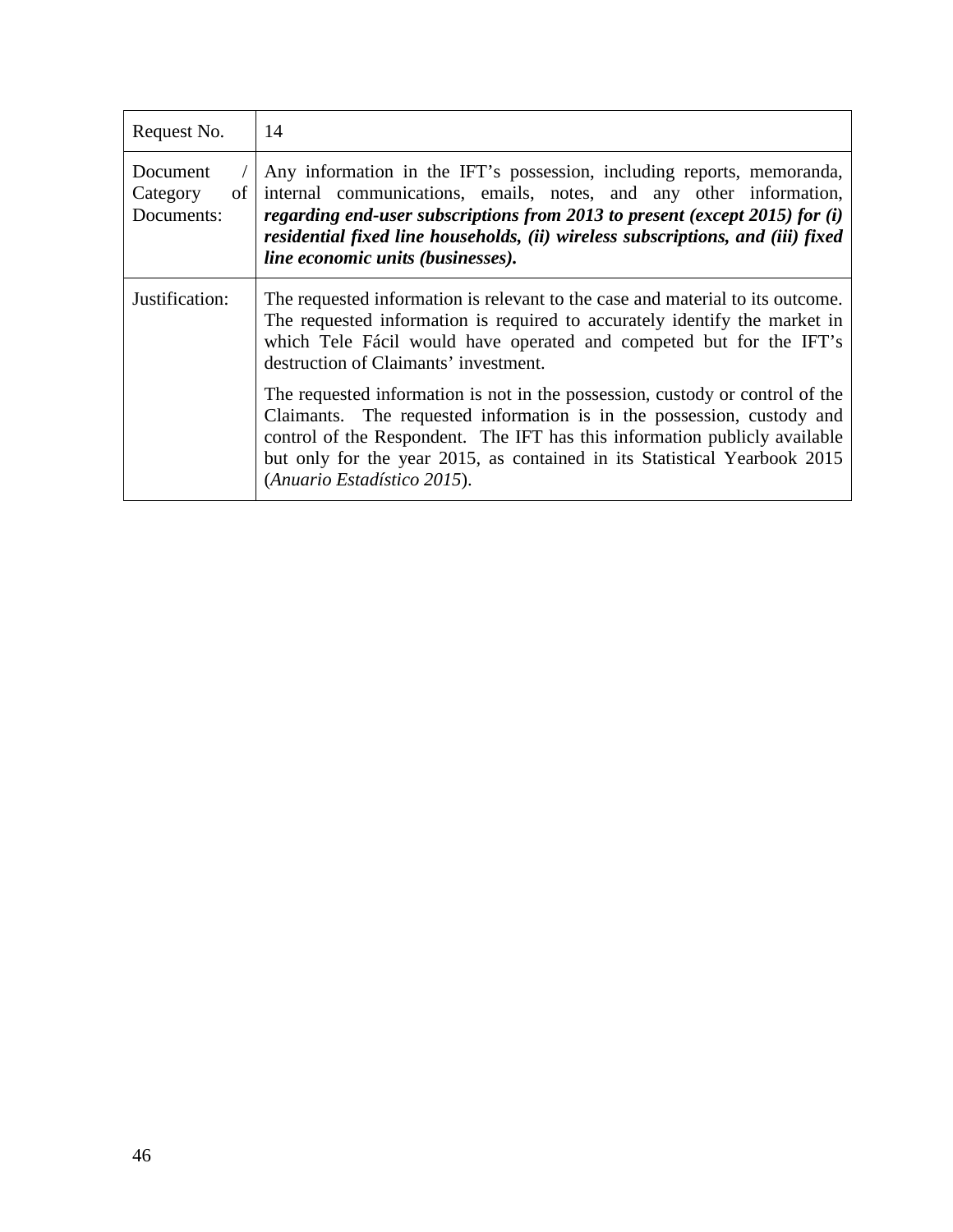| Request No.                              | 14                                                                                                                                                                                                                                                                                                                                                    |
|------------------------------------------|-------------------------------------------------------------------------------------------------------------------------------------------------------------------------------------------------------------------------------------------------------------------------------------------------------------------------------------------------------|
| Document<br>οf<br>Category<br>Documents: | Any information in the IFT's possession, including reports, memoranda,<br>internal communications, emails, notes, and any other information,<br>regarding end-user subscriptions from 2013 to present (except 2015) for $(i)$<br>residential fixed line households, (ii) wireless subscriptions, and (iii) fixed<br>line economic units (businesses). |
| Justification:                           | The requested information is relevant to the case and material to its outcome.<br>The requested information is required to accurately identify the market in<br>which Tele Fácil would have operated and competed but for the IFT's<br>destruction of Claimants' investment.                                                                          |
|                                          | The requested information is not in the possession, custody or control of the<br>Claimants. The requested information is in the possession, custody and<br>control of the Respondent. The IFT has this information publicly available<br>but only for the year 2015, as contained in its Statistical Yearbook 2015<br>(Anuario Estadístico 2015).     |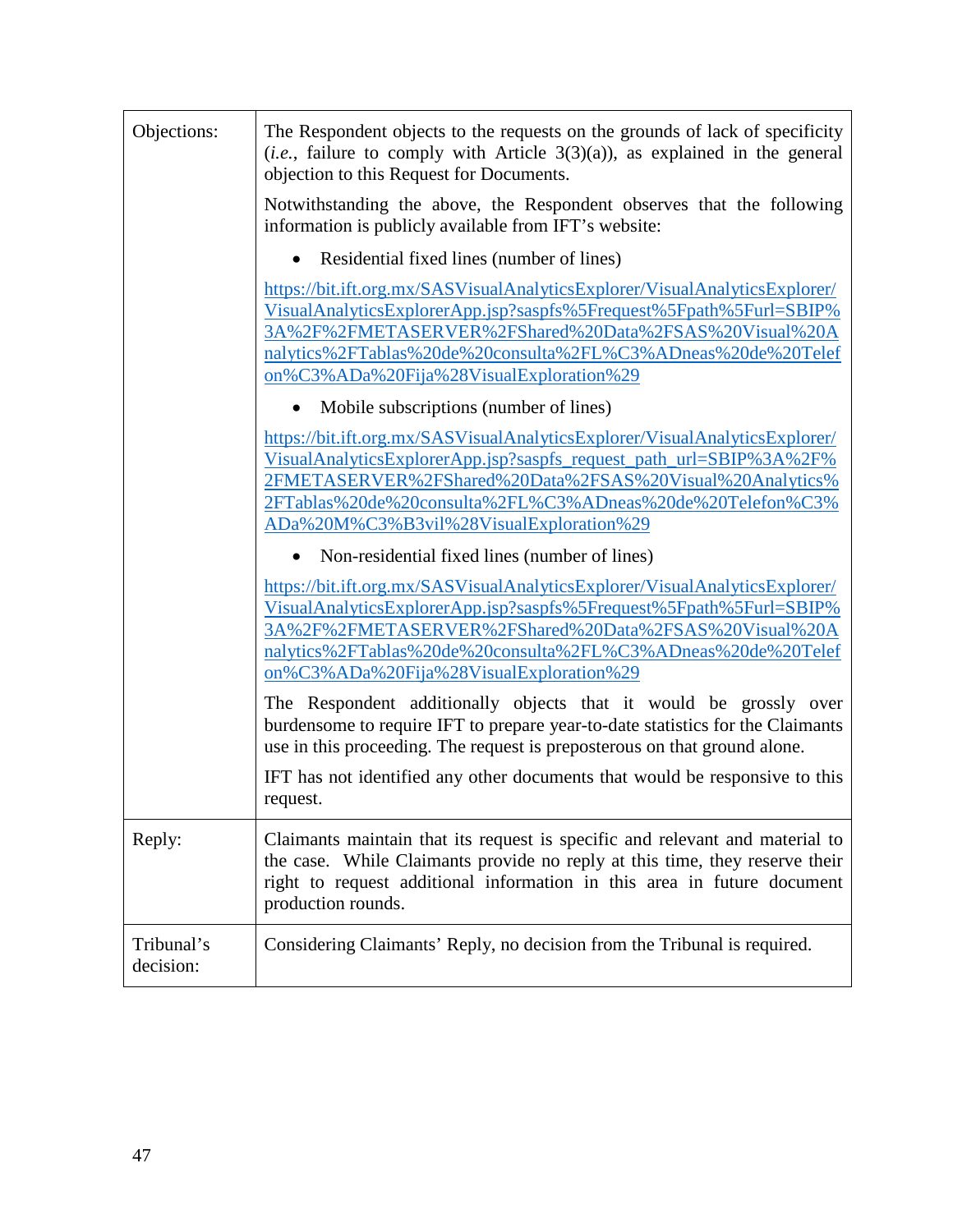| Objections:             | The Respondent objects to the requests on the grounds of lack of specificity<br>$(i.e.,$ failure to comply with Article 3(3)(a)), as explained in the general<br>objection to this Request for Documents.                                                                                                            |
|-------------------------|----------------------------------------------------------------------------------------------------------------------------------------------------------------------------------------------------------------------------------------------------------------------------------------------------------------------|
|                         | Notwithstanding the above, the Respondent observes that the following<br>information is publicly available from IFT's website:                                                                                                                                                                                       |
|                         | Residential fixed lines (number of lines)                                                                                                                                                                                                                                                                            |
|                         | https://bit.ift.org.mx/SASVisualAnalyticsExplorer/VisualAnalyticsExplorer/<br>VisualAnalyticsExplorerApp.jsp?saspfs%5Frequest%5Fpath%5Furl=SBIP%<br>3A%2F%2FMETASERVER%2FShared%20Data%2FSAS%20Visual%20A<br>nalytics%2FTablas%20de%20consulta%2FL%C3%ADneas%20de%20Telef<br>on%C3%ADa%20Fija%28VisualExploration%29 |
|                         | Mobile subscriptions (number of lines)                                                                                                                                                                                                                                                                               |
|                         | https://bit.ift.org.mx/SASVisualAnalyticsExplorer/VisualAnalyticsExplorer/<br>VisualAnalyticsExplorerApp.jsp?saspfs_request_path_url=SBIP%3A%2F%<br>2FMETASERVER%2FShared%20Data%2FSAS%20Visual%20Analytics%<br>2FTablas%20de%20consulta%2FL%C3%ADneas%20de%20Telefon%C3%<br>ADa%20M%C3%B3vil%28VisualExploration%29 |
|                         | Non-residential fixed lines (number of lines)                                                                                                                                                                                                                                                                        |
|                         | https://bit.ift.org.mx/SASVisualAnalyticsExplorer/VisualAnalyticsExplorer/<br>VisualAnalyticsExplorerApp.jsp?saspfs%5Frequest%5Fpath%5Furl=SBIP%<br>3A%2F%2FMETASERVER%2FShared%20Data%2FSAS%20Visual%20A<br>nalytics%2FTablas%20de%20consulta%2FL%C3%ADneas%20de%20Telef<br>on%C3%ADa%20Fija%28VisualExploration%29 |
|                         | The Respondent additionally objects that it would be grossly over<br>burdensome to require IFT to prepare year-to-date statistics for the Claimants<br>use in this proceeding. The request is preposterous on that ground alone.                                                                                     |
|                         | IFT has not identified any other documents that would be responsive to this<br>request.                                                                                                                                                                                                                              |
| Reply:                  | Claimants maintain that its request is specific and relevant and material to<br>the case. While Claimants provide no reply at this time, they reserve their<br>right to request additional information in this area in future document<br>production rounds.                                                         |
| Tribunal's<br>decision: | Considering Claimants' Reply, no decision from the Tribunal is required.                                                                                                                                                                                                                                             |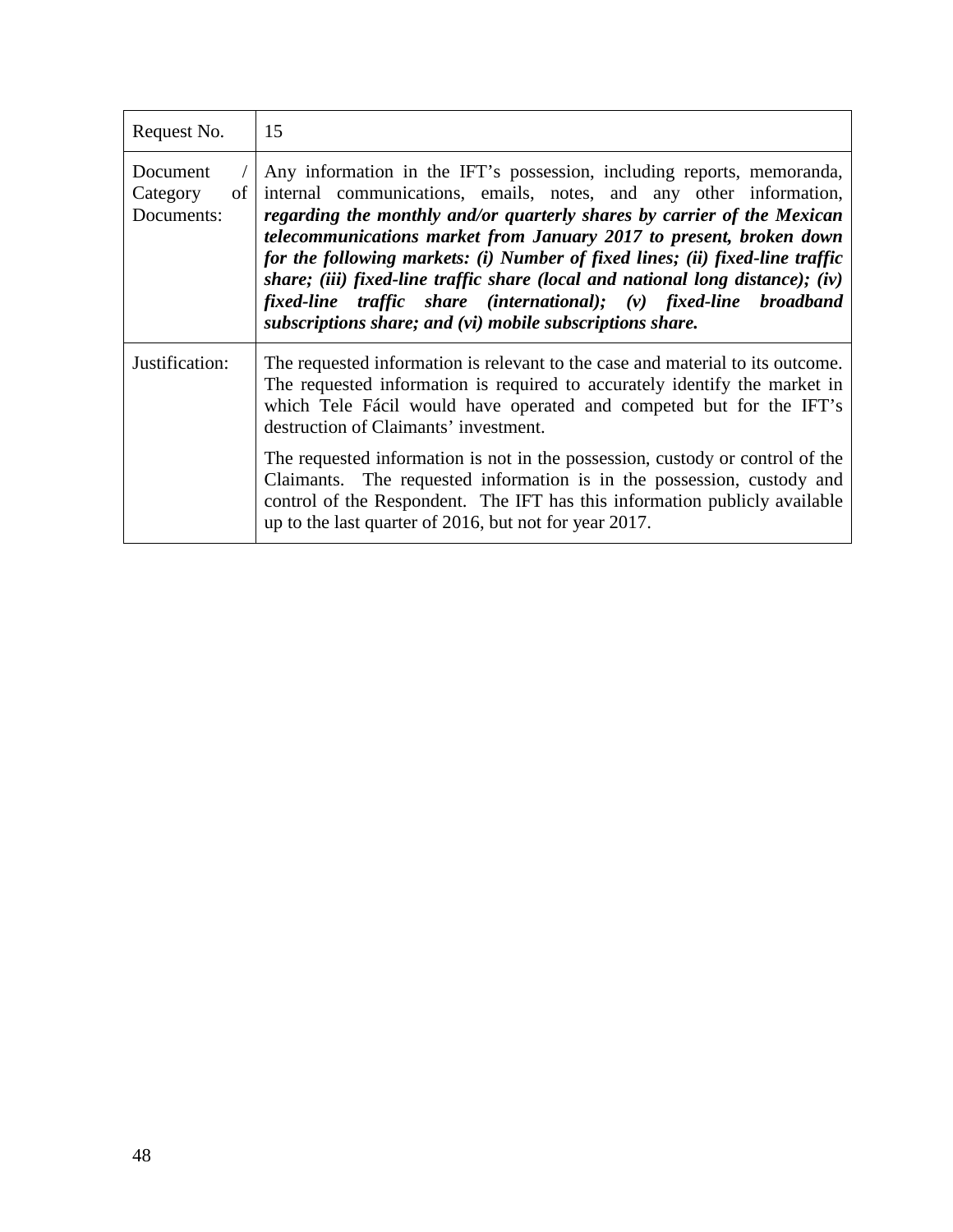| Request No.                              | 15                                                                                                                                                                                                                                                                                                                                                                                                                                                                                                                                                                                                   |
|------------------------------------------|------------------------------------------------------------------------------------------------------------------------------------------------------------------------------------------------------------------------------------------------------------------------------------------------------------------------------------------------------------------------------------------------------------------------------------------------------------------------------------------------------------------------------------------------------------------------------------------------------|
| Document<br>Category<br>of<br>Documents: | Any information in the IFT's possession, including reports, memoranda,<br>internal communications, emails, notes, and any other information,<br>regarding the monthly and/or quarterly shares by carrier of the Mexican<br>telecommunications market from January 2017 to present, broken down<br>for the following markets: (i) Number of fixed lines; (ii) fixed-line traffic<br>share; (iii) fixed-line traffic share (local and national long distance); (iv)<br>fixed-line traffic share (international); (v) fixed-line broadband<br>subscriptions share; and (vi) mobile subscriptions share. |
| Justification:                           | The requested information is relevant to the case and material to its outcome.<br>The requested information is required to accurately identify the market in<br>which Tele Fácil would have operated and competed but for the IFT's<br>destruction of Claimants' investment.<br>The requested information is not in the possession, custody or control of the<br>Claimants. The requested information is in the possession, custody and<br>control of the Respondent. The IFT has this information publicly available<br>up to the last quarter of 2016, but not for year 2017.                      |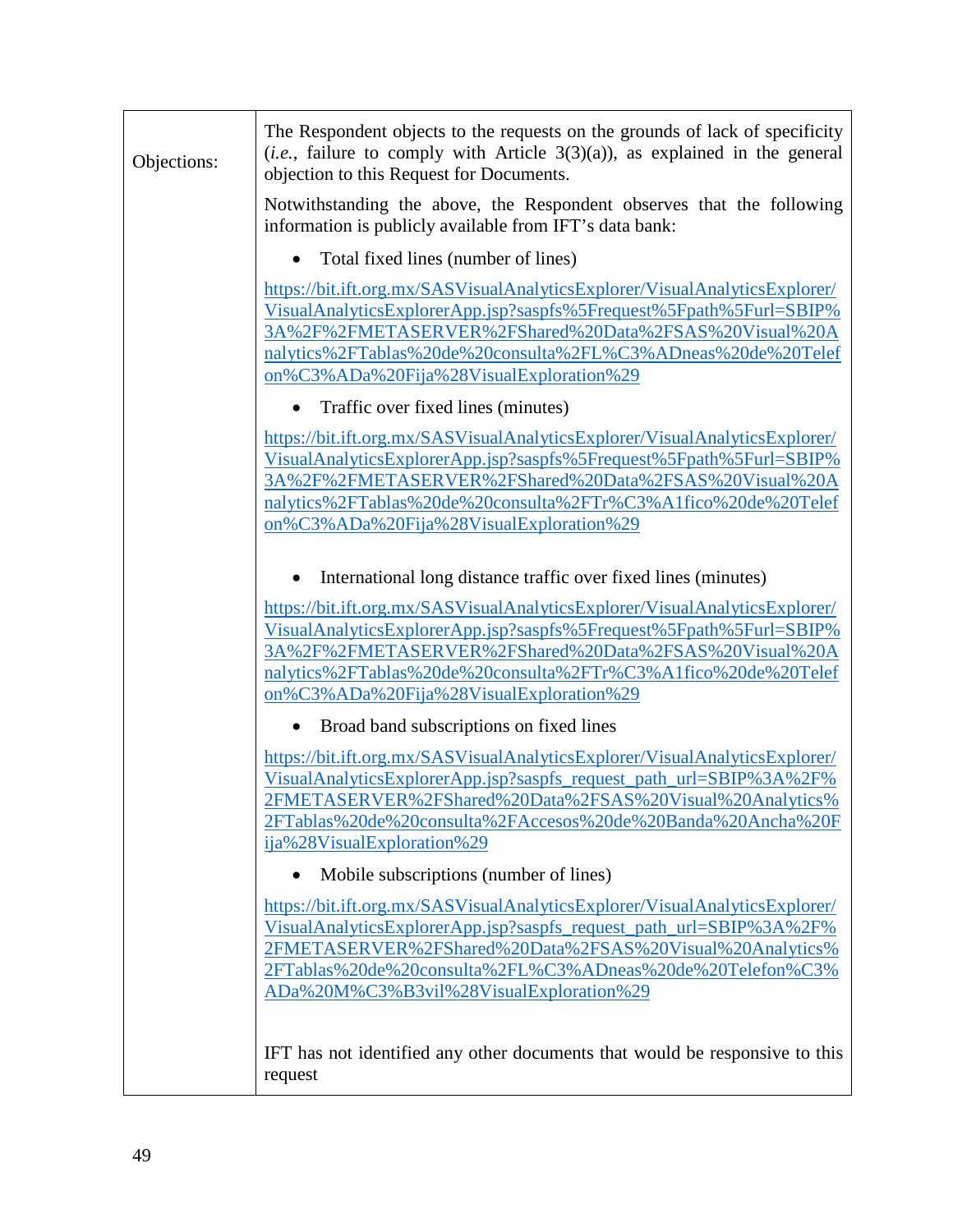| Objections: | The Respondent objects to the requests on the grounds of lack of specificity<br>$(i.e.,$ failure to comply with Article 3(3)(a)), as explained in the general<br>objection to this Request for Documents.                                                                                                             |
|-------------|-----------------------------------------------------------------------------------------------------------------------------------------------------------------------------------------------------------------------------------------------------------------------------------------------------------------------|
|             | Notwithstanding the above, the Respondent observes that the following<br>information is publicly available from IFT's data bank:                                                                                                                                                                                      |
|             | Total fixed lines (number of lines)                                                                                                                                                                                                                                                                                   |
|             | https://bit.ift.org.mx/SASVisualAnalyticsExplorer/VisualAnalyticsExplorer/<br>VisualAnalyticsExplorerApp.jsp?saspfs%5Frequest%5Fpath%5Furl=SBIP%<br>3A%2F%2FMETASERVER%2FShared%20Data%2FSAS%20Visual%20A<br>nalytics%2FTablas%20de%20consulta%2FL%C3%ADneas%20de%20Telef<br>on%C3%ADa%20Fija%28VisualExploration%29  |
|             | Traffic over fixed lines (minutes)                                                                                                                                                                                                                                                                                    |
|             | https://bit.ift.org.mx/SASVisualAnalyticsExplorer/VisualAnalyticsExplorer/<br>VisualAnalyticsExplorerApp.jsp?saspfs%5Frequest%5Fpath%5Furl=SBIP%<br>3A%2F%2FMETASERVER%2FShared%20Data%2FSAS%20Visual%20A<br>nalytics%2FTablas%20de%20consulta%2FTr%C3%A1fico%20de%20Telef<br>on%C3%ADa%20Fija%28VisualExploration%29 |
|             | International long distance traffic over fixed lines (minutes)                                                                                                                                                                                                                                                        |
|             | https://bit.ift.org.mx/SASVisualAnalyticsExplorer/VisualAnalyticsExplorer/<br>VisualAnalyticsExplorerApp.jsp?saspfs%5Frequest%5Fpath%5Furl=SBIP%<br>3A%2F%2FMETASERVER%2FShared%20Data%2FSAS%20Visual%20A<br>nalytics%2FTablas%20de%20consulta%2FTr%C3%A1fico%20de%20Telef<br>on%C3%ADa%20Fija%28VisualExploration%29 |
|             | Broad band subscriptions on fixed lines                                                                                                                                                                                                                                                                               |
|             | https://bit.ift.org.mx/SASVisualAnalyticsExplorer/VisualAnalyticsExplorer/<br>VisualAnalyticsExplorerApp.jsp?saspfs_request_path_url=SBIP%3A%2F%<br>2FMETASERVER%2FShared%20Data%2FSAS%20Visual%20Analytics%<br>2FTablas%20de%20consulta%2FAccesos%20de%20Banda%20Ancha%20F<br>ija%28VisualExploration%29             |
|             | Mobile subscriptions (number of lines)                                                                                                                                                                                                                                                                                |
|             | https://bit.ift.org.mx/SASVisualAnalyticsExplorer/VisualAnalyticsExplorer/<br>VisualAnalyticsExplorerApp.jsp?saspfs_request_path_url=SBIP%3A%2F%<br>2FMETASERVER%2FShared%20Data%2FSAS%20Visual%20Analytics%<br>2FTablas%20de%20consulta%2FL%C3%ADneas%20de%20Telefon%C3%<br>ADa%20M%C3%B3vil%28VisualExploration%29  |
|             | IFT has not identified any other documents that would be responsive to this<br>request                                                                                                                                                                                                                                |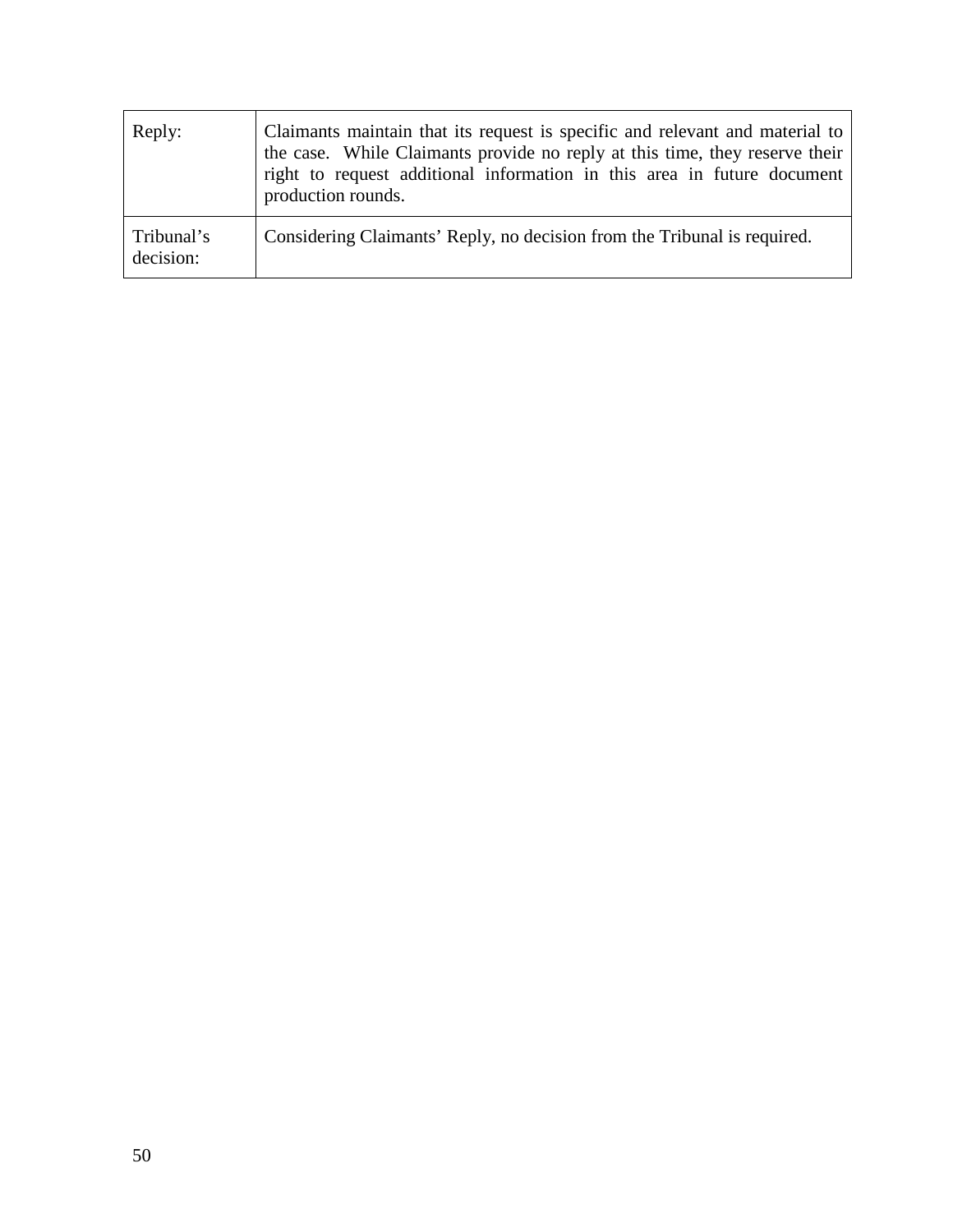| Reply:                  | Claimants maintain that its request is specific and relevant and material to<br>the case. While Claimants provide no reply at this time, they reserve their<br>right to request additional information in this area in future document<br>production rounds. |
|-------------------------|--------------------------------------------------------------------------------------------------------------------------------------------------------------------------------------------------------------------------------------------------------------|
| Tribunal's<br>decision: | Considering Claimants' Reply, no decision from the Tribunal is required.                                                                                                                                                                                     |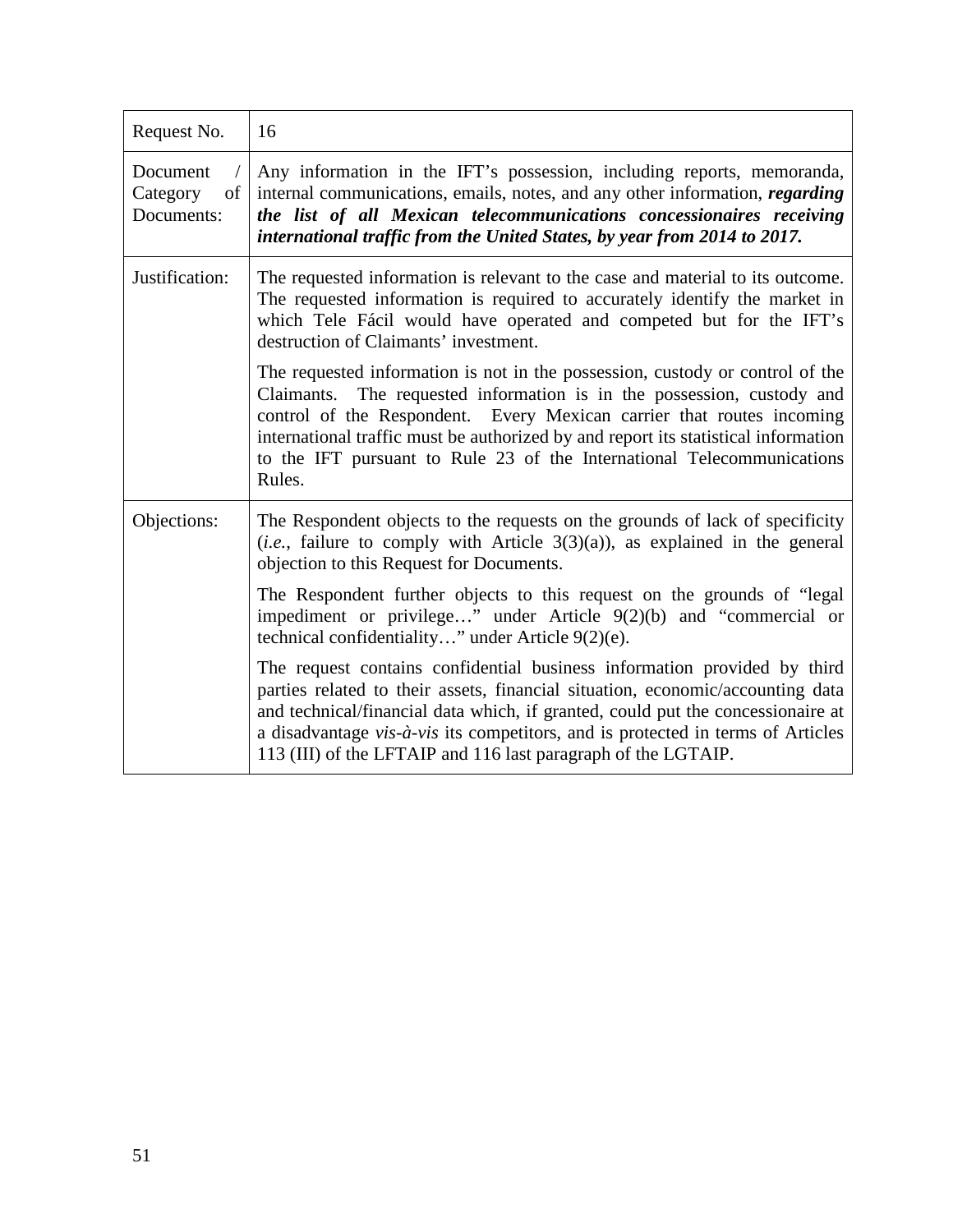| Request No.                              | 16                                                                                                                                                                                                                                                                                                                                                                                                         |
|------------------------------------------|------------------------------------------------------------------------------------------------------------------------------------------------------------------------------------------------------------------------------------------------------------------------------------------------------------------------------------------------------------------------------------------------------------|
| Document<br>Category<br>of<br>Documents: | Any information in the IFT's possession, including reports, memoranda,<br>internal communications, emails, notes, and any other information, regarding<br>the list of all Mexican telecommunications concessionaires receiving<br>international traffic from the United States, by year from 2014 to 2017.                                                                                                 |
| Justification:                           | The requested information is relevant to the case and material to its outcome.<br>The requested information is required to accurately identify the market in<br>which Tele Fácil would have operated and competed but for the IFT's<br>destruction of Claimants' investment.                                                                                                                               |
|                                          | The requested information is not in the possession, custody or control of the<br>Claimants. The requested information is in the possession, custody and<br>control of the Respondent. Every Mexican carrier that routes incoming<br>international traffic must be authorized by and report its statistical information<br>to the IFT pursuant to Rule 23 of the International Telecommunications<br>Rules. |
| Objections:                              | The Respondent objects to the requests on the grounds of lack of specificity<br>( <i>i.e.</i> , failure to comply with Article $3(3)(a)$ ), as explained in the general<br>objection to this Request for Documents.                                                                                                                                                                                        |
|                                          | The Respondent further objects to this request on the grounds of "legal"<br>impediment or privilege" under Article $9(2)(b)$ and "commercial or<br>technical confidentiality" under Article 9(2)(e).                                                                                                                                                                                                       |
|                                          | The request contains confidential business information provided by third<br>parties related to their assets, financial situation, economic/accounting data<br>and technical/financial data which, if granted, could put the concessionaire at<br>a disadvantage vis-à-vis its competitors, and is protected in terms of Articles<br>113 (III) of the LFTAIP and 116 last paragraph of the LGTAIP.          |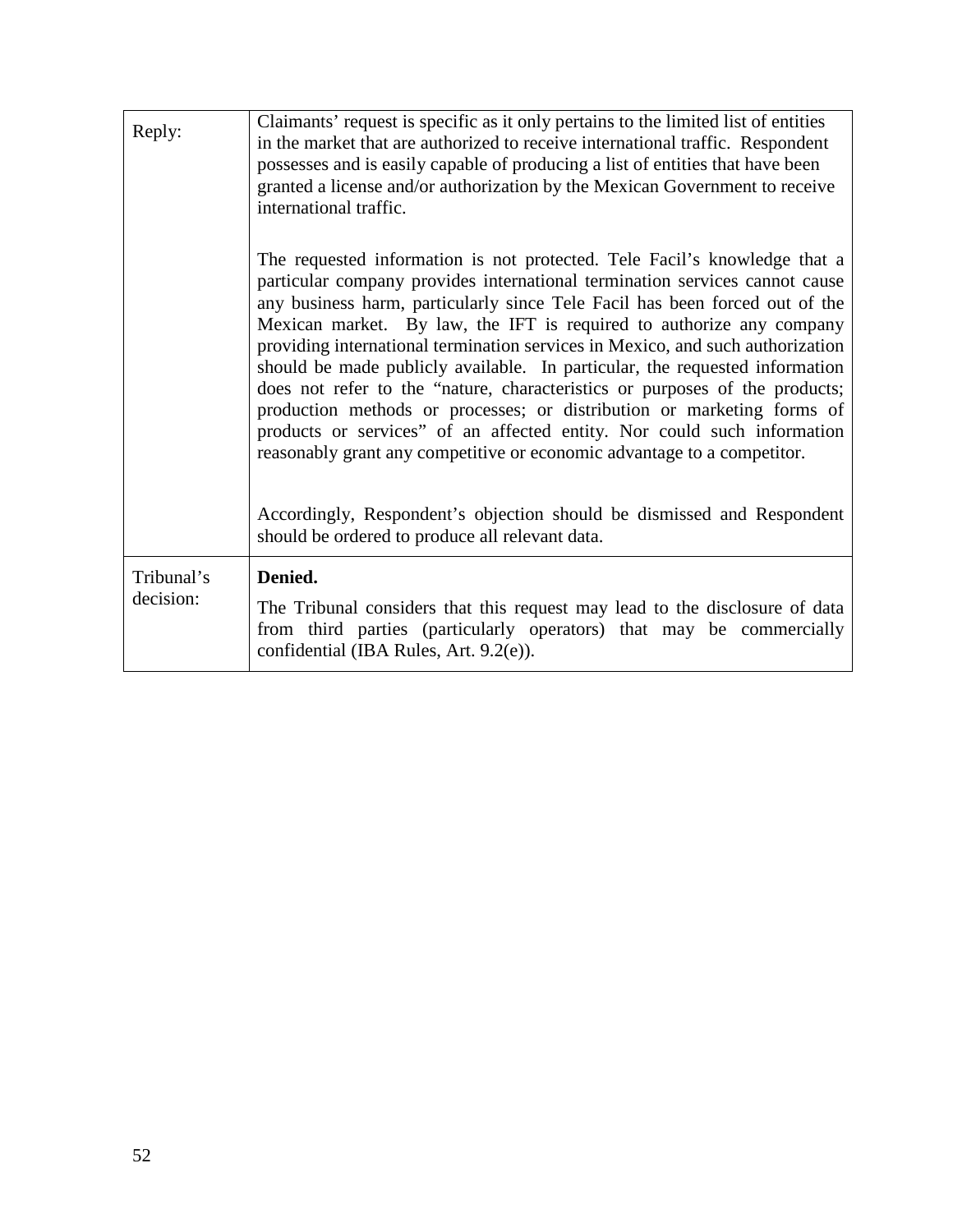| Reply:                  | Claimants' request is specific as it only pertains to the limited list of entities<br>in the market that are authorized to receive international traffic. Respondent<br>possesses and is easily capable of producing a list of entities that have been<br>granted a license and/or authorization by the Mexican Government to receive<br>international traffic.                                                                                                                                                                                                                                                                                                                                                                                                                                 |
|-------------------------|-------------------------------------------------------------------------------------------------------------------------------------------------------------------------------------------------------------------------------------------------------------------------------------------------------------------------------------------------------------------------------------------------------------------------------------------------------------------------------------------------------------------------------------------------------------------------------------------------------------------------------------------------------------------------------------------------------------------------------------------------------------------------------------------------|
|                         | The requested information is not protected. Tele Facil's knowledge that a<br>particular company provides international termination services cannot cause<br>any business harm, particularly since Tele Facil has been forced out of the<br>Mexican market. By law, the IFT is required to authorize any company<br>providing international termination services in Mexico, and such authorization<br>should be made publicly available. In particular, the requested information<br>does not refer to the "nature, characteristics or purposes of the products;<br>production methods or processes; or distribution or marketing forms of<br>products or services" of an affected entity. Nor could such information<br>reasonably grant any competitive or economic advantage to a competitor. |
|                         | Accordingly, Respondent's objection should be dismissed and Respondent<br>should be ordered to produce all relevant data.                                                                                                                                                                                                                                                                                                                                                                                                                                                                                                                                                                                                                                                                       |
| Tribunal's<br>decision: | Denied.<br>The Tribunal considers that this request may lead to the disclosure of data<br>from third parties (particularly operators) that may be commercially<br>confidential (IBA Rules, Art. 9.2(e)).                                                                                                                                                                                                                                                                                                                                                                                                                                                                                                                                                                                        |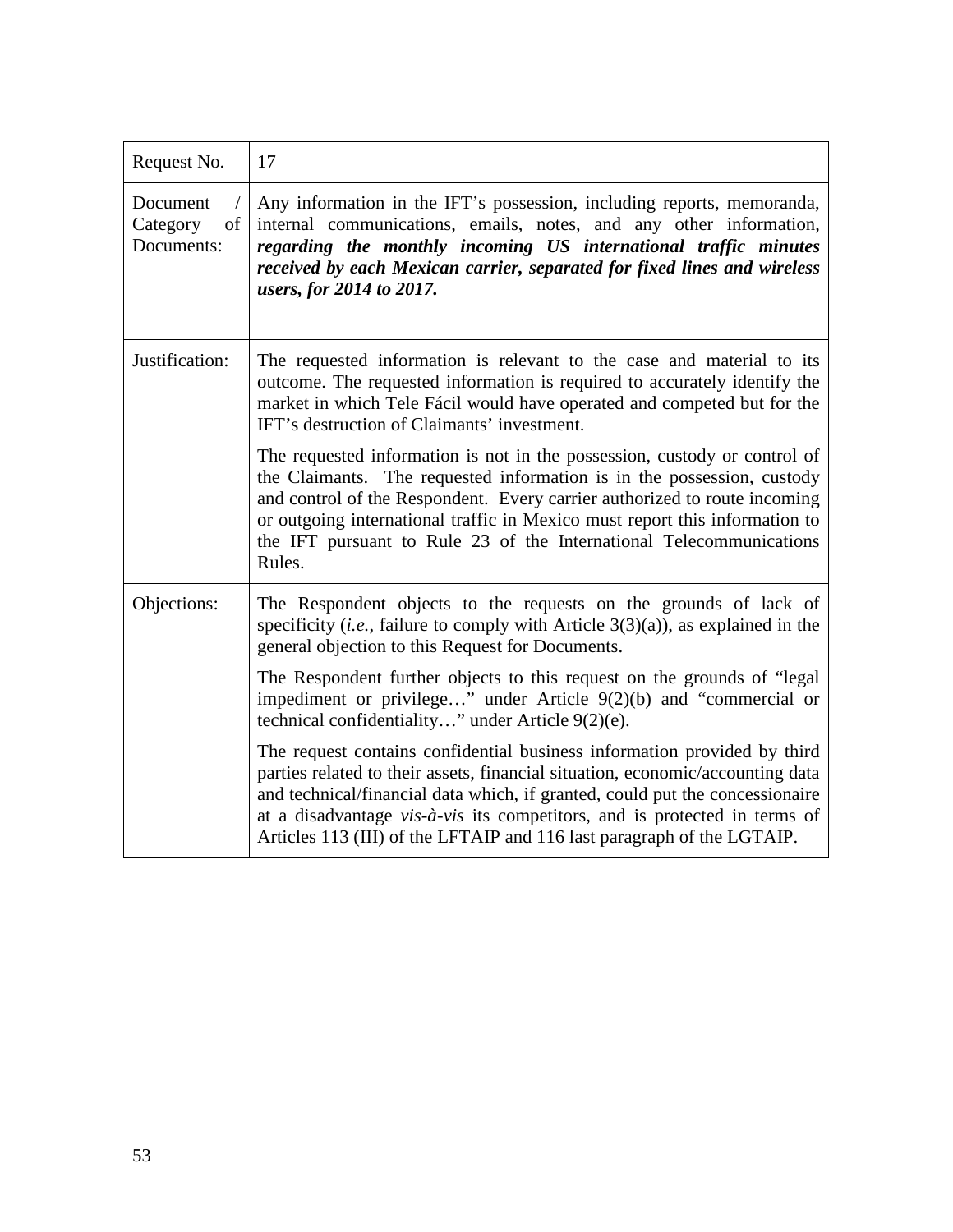| Request No.                              | 17                                                                                                                                                                                                                                                                                                                                                                                                          |
|------------------------------------------|-------------------------------------------------------------------------------------------------------------------------------------------------------------------------------------------------------------------------------------------------------------------------------------------------------------------------------------------------------------------------------------------------------------|
| Document<br>Category<br>of<br>Documents: | Any information in the IFT's possession, including reports, memoranda,<br>internal communications, emails, notes, and any other information,<br>regarding the monthly incoming US international traffic minutes<br>received by each Mexican carrier, separated for fixed lines and wireless<br>users, for 2014 to 2017.                                                                                     |
| Justification:                           | The requested information is relevant to the case and material to its<br>outcome. The requested information is required to accurately identify the<br>market in which Tele Fácil would have operated and competed but for the<br>IFT's destruction of Claimants' investment.                                                                                                                                |
|                                          | The requested information is not in the possession, custody or control of<br>the Claimants. The requested information is in the possession, custody<br>and control of the Respondent. Every carrier authorized to route incoming<br>or outgoing international traffic in Mexico must report this information to<br>the IFT pursuant to Rule 23 of the International Telecommunications<br>Rules.            |
| Objections:                              | The Respondent objects to the requests on the grounds of lack of<br>specificity ( <i>i.e.</i> , failure to comply with Article $3(3)(a)$ ), as explained in the<br>general objection to this Request for Documents.                                                                                                                                                                                         |
|                                          | The Respondent further objects to this request on the grounds of "legal"<br>impediment or privilege" under Article $9(2)(b)$ and "commercial or<br>technical confidentiality" under Article 9(2)(e).                                                                                                                                                                                                        |
|                                          | The request contains confidential business information provided by third<br>parties related to their assets, financial situation, economic/accounting data<br>and technical/financial data which, if granted, could put the concessionaire<br>at a disadvantage $vis-\hat{a} - vis$ its competitors, and is protected in terms of<br>Articles 113 (III) of the LFTAIP and 116 last paragraph of the LGTAIP. |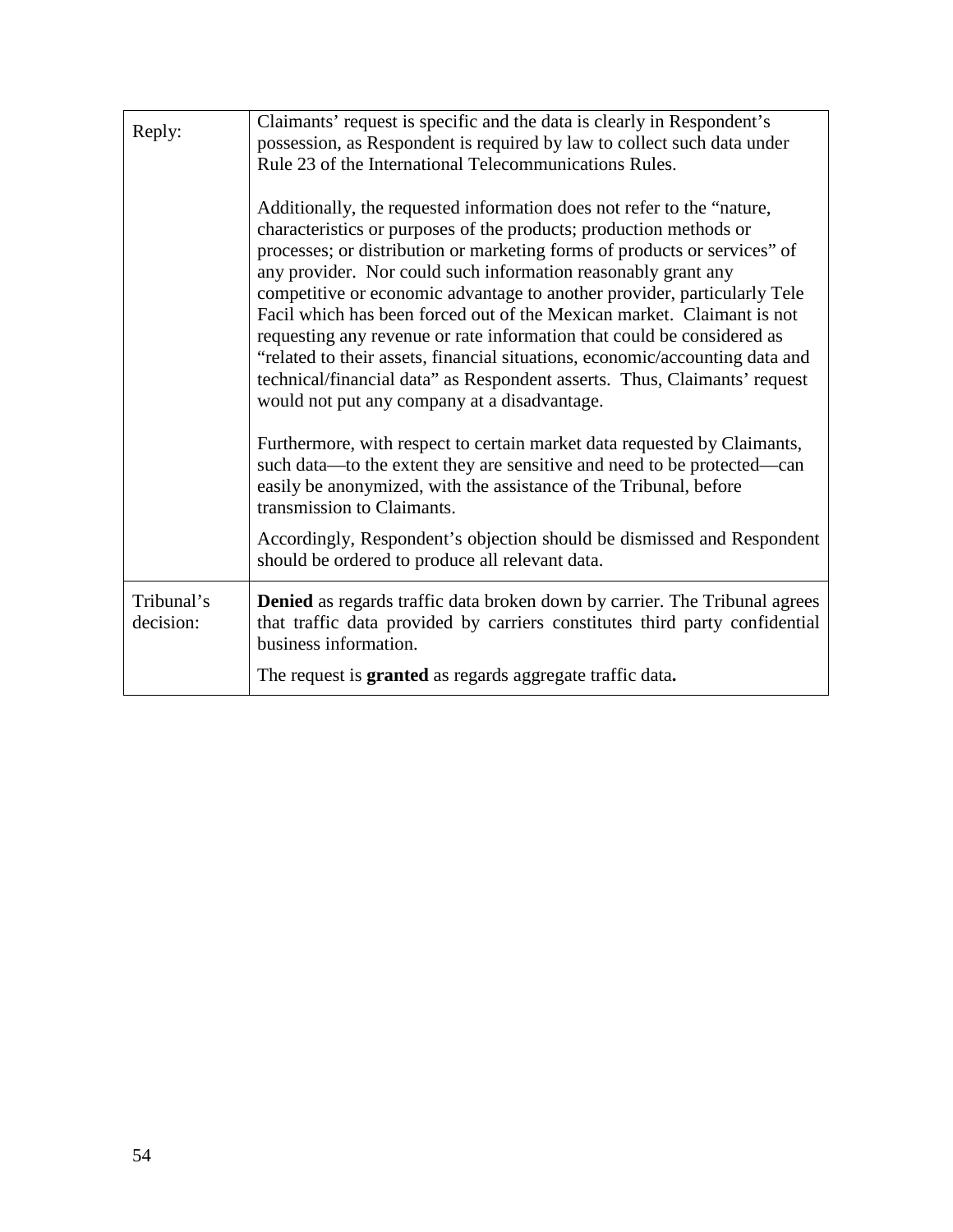| Reply:                  | Claimants' request is specific and the data is clearly in Respondent's<br>possession, as Respondent is required by law to collect such data under<br>Rule 23 of the International Telecommunications Rules.<br>Additionally, the requested information does not refer to the "nature,<br>characteristics or purposes of the products; production methods or<br>processes; or distribution or marketing forms of products or services" of<br>any provider. Nor could such information reasonably grant any<br>competitive or economic advantage to another provider, particularly Tele<br>Facil which has been forced out of the Mexican market. Claimant is not<br>requesting any revenue or rate information that could be considered as<br>"related to their assets, financial situations, economic/accounting data and<br>technical/financial data" as Respondent asserts. Thus, Claimants' request<br>would not put any company at a disadvantage.<br>Furthermore, with respect to certain market data requested by Claimants,<br>such data—to the extent they are sensitive and need to be protected—can<br>easily be anonymized, with the assistance of the Tribunal, before<br>transmission to Claimants.<br>Accordingly, Respondent's objection should be dismissed and Respondent<br>should be ordered to produce all relevant data. |
|-------------------------|-----------------------------------------------------------------------------------------------------------------------------------------------------------------------------------------------------------------------------------------------------------------------------------------------------------------------------------------------------------------------------------------------------------------------------------------------------------------------------------------------------------------------------------------------------------------------------------------------------------------------------------------------------------------------------------------------------------------------------------------------------------------------------------------------------------------------------------------------------------------------------------------------------------------------------------------------------------------------------------------------------------------------------------------------------------------------------------------------------------------------------------------------------------------------------------------------------------------------------------------------------------------------------------------------------------------------------------------------|
| Tribunal's<br>decision: | <b>Denied</b> as regards traffic data broken down by carrier. The Tribunal agrees<br>that traffic data provided by carriers constitutes third party confidential<br>business information.                                                                                                                                                                                                                                                                                                                                                                                                                                                                                                                                                                                                                                                                                                                                                                                                                                                                                                                                                                                                                                                                                                                                                     |
|                         | The request is <b>granted</b> as regards aggregate traffic data.                                                                                                                                                                                                                                                                                                                                                                                                                                                                                                                                                                                                                                                                                                                                                                                                                                                                                                                                                                                                                                                                                                                                                                                                                                                                              |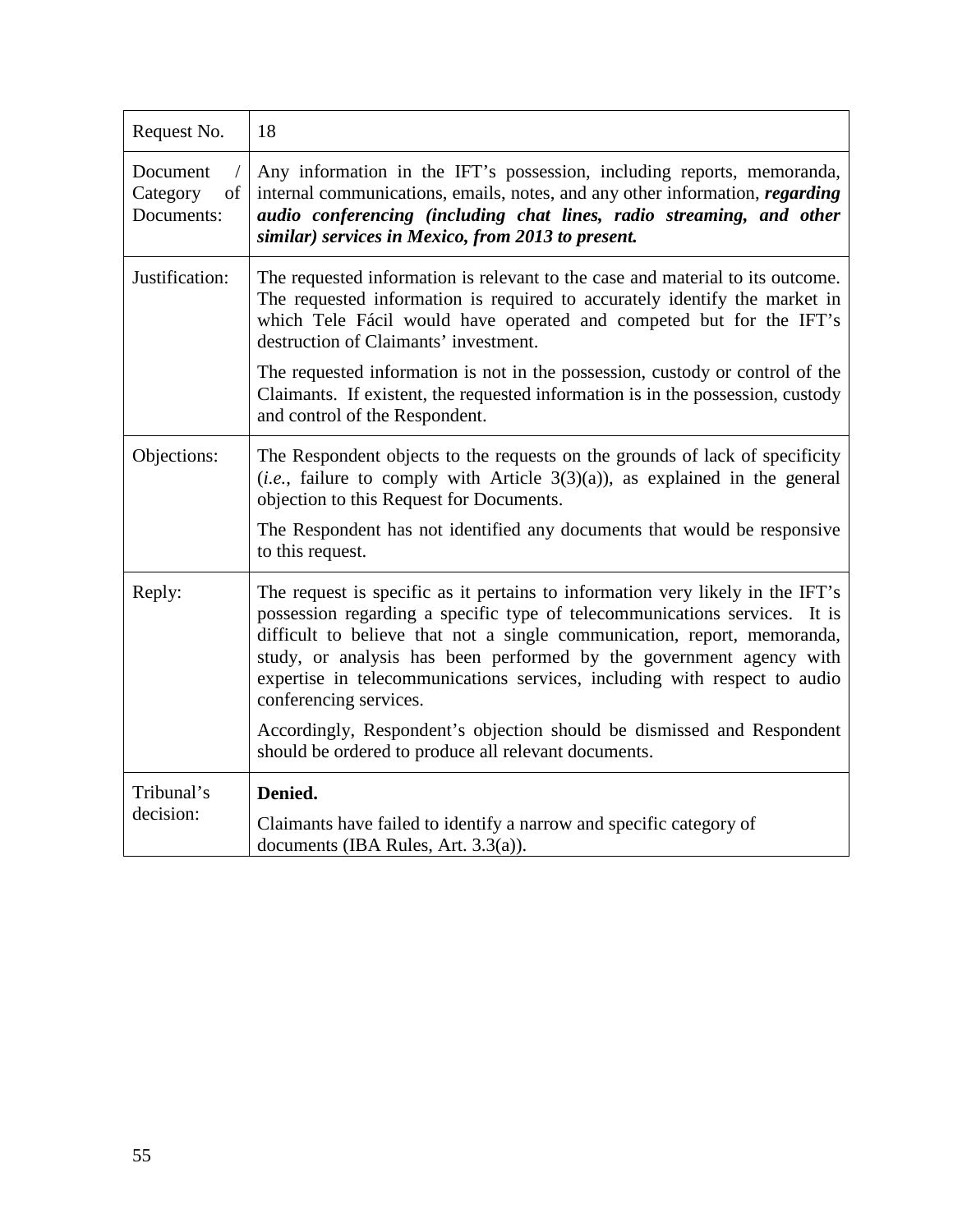| Request No.                              | 18                                                                                                                                                                                                                                                                                                                                                                                                                                                                                                                                                       |
|------------------------------------------|----------------------------------------------------------------------------------------------------------------------------------------------------------------------------------------------------------------------------------------------------------------------------------------------------------------------------------------------------------------------------------------------------------------------------------------------------------------------------------------------------------------------------------------------------------|
| Document<br>Category<br>of<br>Documents: | Any information in the IFT's possession, including reports, memoranda,<br>internal communications, emails, notes, and any other information, regarding<br>audio conferencing (including chat lines, radio streaming, and other<br>similar) services in Mexico, from 2013 to present.                                                                                                                                                                                                                                                                     |
| Justification:                           | The requested information is relevant to the case and material to its outcome.<br>The requested information is required to accurately identify the market in<br>which Tele Fácil would have operated and competed but for the IFT's<br>destruction of Claimants' investment.                                                                                                                                                                                                                                                                             |
|                                          | The requested information is not in the possession, custody or control of the<br>Claimants. If existent, the requested information is in the possession, custody<br>and control of the Respondent.                                                                                                                                                                                                                                                                                                                                                       |
| Objections:                              | The Respondent objects to the requests on the grounds of lack of specificity<br>$(i.e.,$ failure to comply with Article $3(3)(a)$ , as explained in the general<br>objection to this Request for Documents.<br>The Respondent has not identified any documents that would be responsive<br>to this request.                                                                                                                                                                                                                                              |
| Reply:                                   | The request is specific as it pertains to information very likely in the IFT's<br>possession regarding a specific type of telecommunications services. It is<br>difficult to believe that not a single communication, report, memoranda,<br>study, or analysis has been performed by the government agency with<br>expertise in telecommunications services, including with respect to audio<br>conferencing services.<br>Accordingly, Respondent's objection should be dismissed and Respondent<br>should be ordered to produce all relevant documents. |
| Tribunal's<br>decision:                  | Denied.<br>Claimants have failed to identify a narrow and specific category of<br>documents (IBA Rules, Art. 3.3(a)).                                                                                                                                                                                                                                                                                                                                                                                                                                    |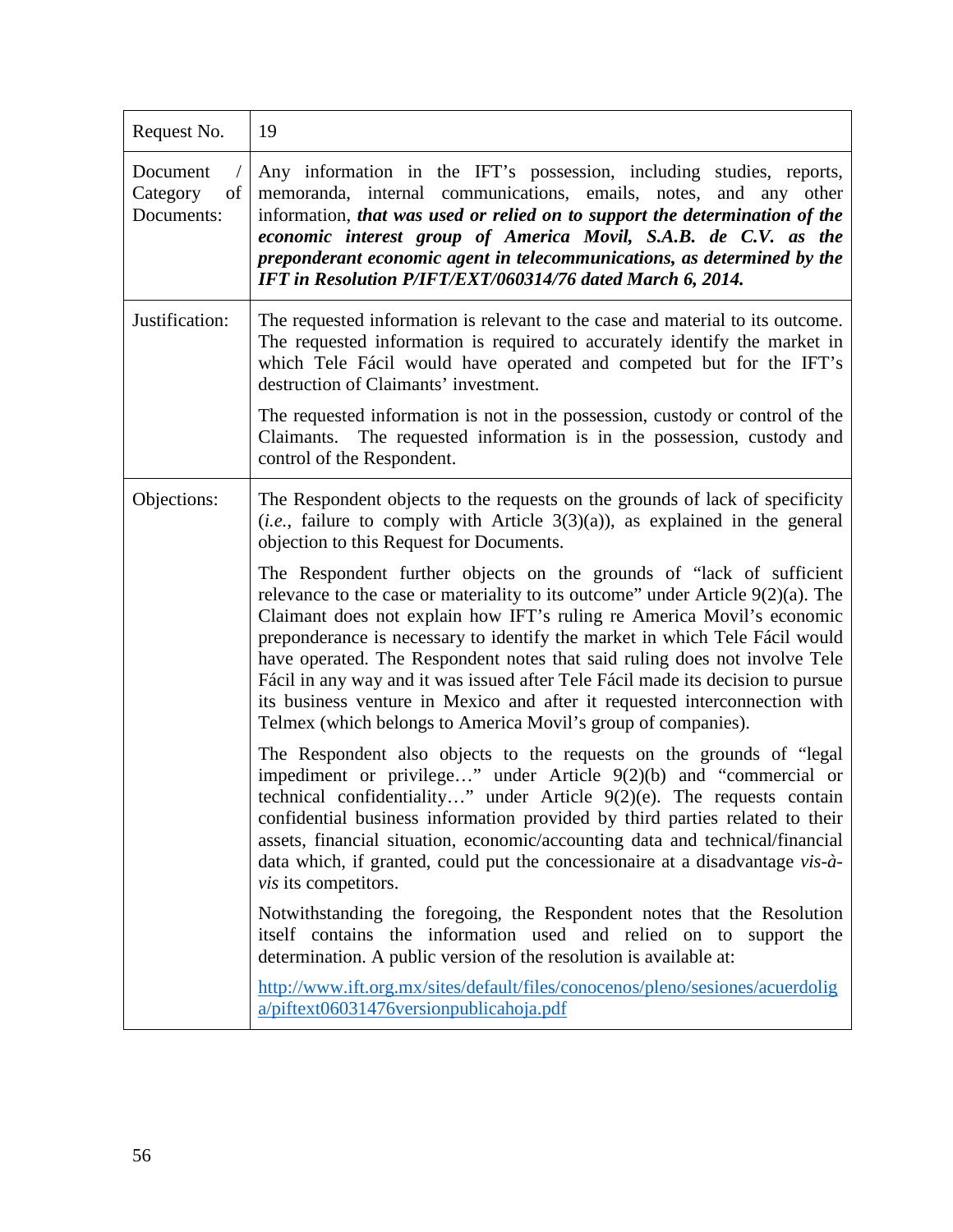| Request No.                              | 19                                                                                                                                                                                                                                                                                                                                                                                                                                                                                                                                                                                                                                   |
|------------------------------------------|--------------------------------------------------------------------------------------------------------------------------------------------------------------------------------------------------------------------------------------------------------------------------------------------------------------------------------------------------------------------------------------------------------------------------------------------------------------------------------------------------------------------------------------------------------------------------------------------------------------------------------------|
| Document<br>of<br>Category<br>Documents: | Any information in the IFT's possession, including studies, reports,<br>memoranda, internal communications, emails, notes, and any other<br>information, that was used or relied on to support the determination of the<br>economic interest group of America Movil, S.A.B. de C.V. as the<br>preponderant economic agent in telecommunications, as determined by the<br>IFT in Resolution P/IFT/EXT/060314/76 dated March 6, 2014.                                                                                                                                                                                                  |
| Justification:                           | The requested information is relevant to the case and material to its outcome.<br>The requested information is required to accurately identify the market in<br>which Tele Fácil would have operated and competed but for the IFT's<br>destruction of Claimants' investment.                                                                                                                                                                                                                                                                                                                                                         |
|                                          | The requested information is not in the possession, custody or control of the<br>Claimants. The requested information is in the possession, custody and<br>control of the Respondent.                                                                                                                                                                                                                                                                                                                                                                                                                                                |
| Objections:                              | The Respondent objects to the requests on the grounds of lack of specificity<br>( <i>i.e.</i> , failure to comply with Article $3(3)(a)$ ), as explained in the general<br>objection to this Request for Documents.                                                                                                                                                                                                                                                                                                                                                                                                                  |
|                                          | The Respondent further objects on the grounds of "lack of sufficient"<br>relevance to the case or materiality to its outcome" under Article $9(2)(a)$ . The<br>Claimant does not explain how IFT's ruling re America Movil's economic<br>preponderance is necessary to identify the market in which Tele Fácil would<br>have operated. The Respondent notes that said ruling does not involve Tele<br>Fácil in any way and it was issued after Tele Fácil made its decision to pursue<br>its business venture in Mexico and after it requested interconnection with<br>Telmex (which belongs to America Movil's group of companies). |
|                                          | The Respondent also objects to the requests on the grounds of "legal"<br>impediment or privilege" under Article $9(2)(b)$ and "commercial or<br>technical confidentiality" under Article 9(2)(e). The requests contain<br>confidential business information provided by third parties related to their<br>assets, financial situation, economic/accounting data and technical/financial<br>data which, if granted, could put the concessionaire at a disadvantage vis-à-<br><i>vis</i> its competitors.                                                                                                                              |
|                                          | Notwithstanding the foregoing, the Respondent notes that the Resolution<br>itself contains the information used and relied on to support the<br>determination. A public version of the resolution is available at:                                                                                                                                                                                                                                                                                                                                                                                                                   |
|                                          | http://www.ift.org.mx/sites/default/files/conocenos/pleno/sesiones/acuerdolig<br>a/piftext06031476versionpublicahoja.pdf                                                                                                                                                                                                                                                                                                                                                                                                                                                                                                             |